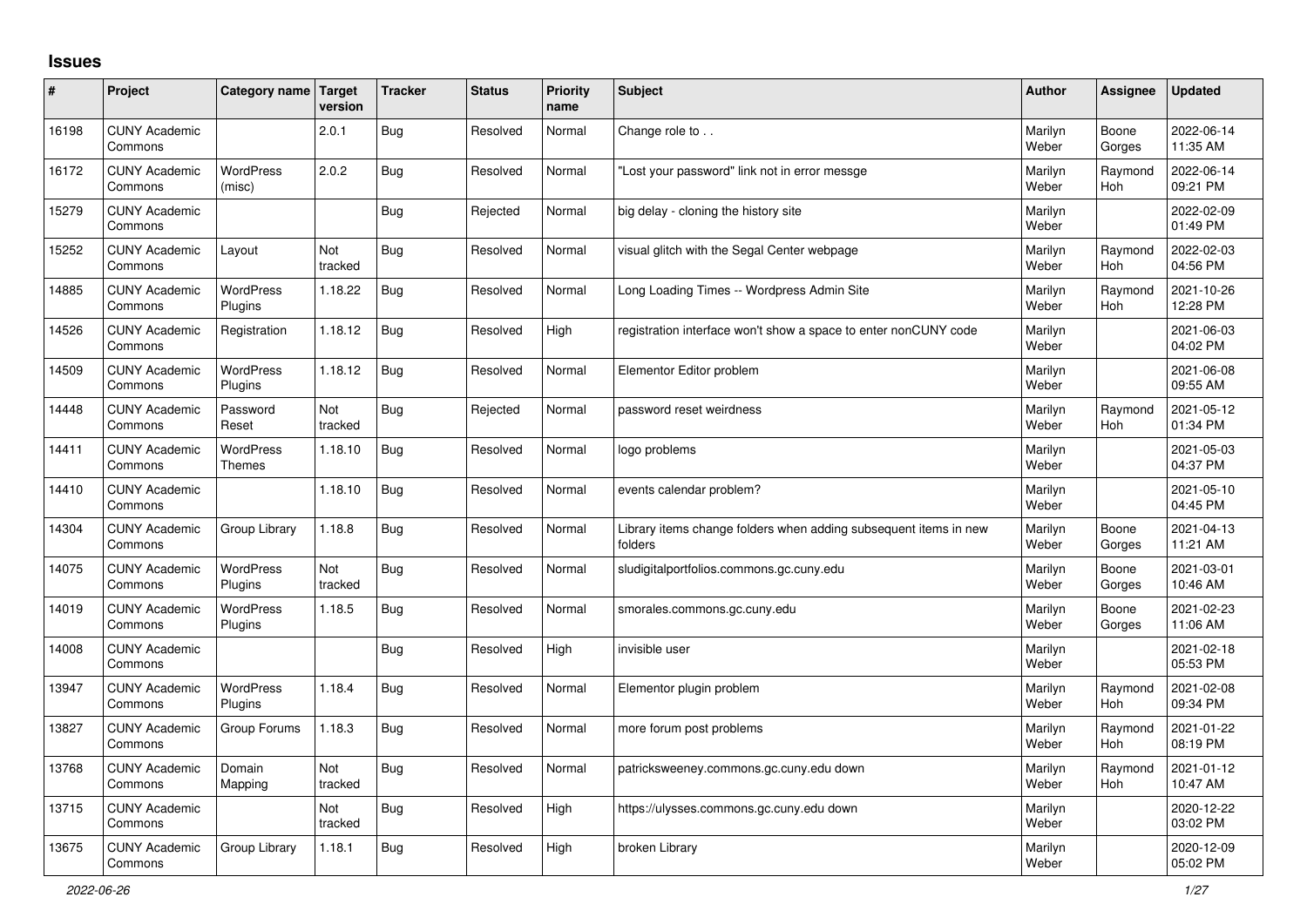## **Issues**

| #     | Project                         | Category name                     | <b>Target</b><br>version | <b>Tracker</b> | <b>Status</b> | <b>Priority</b><br>name | <b>Subject</b>                                                              | <b>Author</b>    | Assignee              | <b>Updated</b>         |
|-------|---------------------------------|-----------------------------------|--------------------------|----------------|---------------|-------------------------|-----------------------------------------------------------------------------|------------------|-----------------------|------------------------|
| 16198 | <b>CUNY Academic</b><br>Commons |                                   | 2.0.1                    | <b>Bug</b>     | Resolved      | Normal                  | Change role to                                                              | Marilyn<br>Weber | Boone<br>Gorges       | 2022-06-14<br>11:35 AM |
| 16172 | <b>CUNY Academic</b><br>Commons | <b>WordPress</b><br>(misc)        | 2.0.2                    | Bug            | Resolved      | Normal                  | Lost your password" link not in error messge                                | Marilyn<br>Weber | Raymond<br><b>Hoh</b> | 2022-06-14<br>09:21 PM |
| 15279 | <b>CUNY Academic</b><br>Commons |                                   |                          | <b>Bug</b>     | Rejected      | Normal                  | big delay - cloning the history site                                        | Marilyn<br>Weber |                       | 2022-02-09<br>01:49 PM |
| 15252 | <b>CUNY Academic</b><br>Commons | Layout                            | Not<br>tracked           | Bug            | Resolved      | Normal                  | visual glitch with the Segal Center webpage                                 | Marilyn<br>Weber | Raymond<br><b>Hoh</b> | 2022-02-03<br>04:56 PM |
| 14885 | <b>CUNY Academic</b><br>Commons | WordPress<br>Plugins              | 1.18.22                  | Bug            | Resolved      | Normal                  | Long Loading Times -- Wordpress Admin Site                                  | Marilyn<br>Weber | Raymond<br><b>Hoh</b> | 2021-10-26<br>12:28 PM |
| 14526 | <b>CUNY Academic</b><br>Commons | Registration                      | 1.18.12                  | Bug            | Resolved      | High                    | registration interface won't show a space to enter nonCUNY code             | Marilyn<br>Weber |                       | 2021-06-03<br>04:02 PM |
| 14509 | <b>CUNY Academic</b><br>Commons | <b>WordPress</b><br>Plugins       | 1.18.12                  | <b>Bug</b>     | Resolved      | Normal                  | Elementor Editor problem                                                    | Marilyn<br>Weber |                       | 2021-06-08<br>09:55 AM |
| 14448 | <b>CUNY Academic</b><br>Commons | Password<br>Reset                 | Not<br>tracked           | <b>Bug</b>     | Rejected      | Normal                  | password reset weirdness                                                    | Marilyn<br>Weber | Raymond<br><b>Hoh</b> | 2021-05-12<br>01:34 PM |
| 14411 | <b>CUNY Academic</b><br>Commons | <b>WordPress</b><br><b>Themes</b> | 1.18.10                  | <b>Bug</b>     | Resolved      | Normal                  | logo problems                                                               | Marilyn<br>Weber |                       | 2021-05-03<br>04:37 PM |
| 14410 | <b>CUNY Academic</b><br>Commons |                                   | 1.18.10                  | <b>Bug</b>     | Resolved      | Normal                  | events calendar problem?                                                    | Marilyn<br>Weber |                       | 2021-05-10<br>04:45 PM |
| 14304 | <b>CUNY Academic</b><br>Commons | Group Library                     | 1.18.8                   | <b>Bug</b>     | Resolved      | Normal                  | Library items change folders when adding subsequent items in new<br>folders | Marilyn<br>Weber | Boone<br>Gorges       | 2021-04-13<br>11:21 AM |
| 14075 | <b>CUNY Academic</b><br>Commons | WordPress<br>Plugins              | Not<br>tracked           | Bug            | Resolved      | Normal                  | sludigitalportfolios.commons.gc.cuny.edu                                    | Marilyn<br>Weber | Boone<br>Gorges       | 2021-03-01<br>10:46 AM |
| 14019 | <b>CUNY Academic</b><br>Commons | <b>WordPress</b><br>Plugins       | 1.18.5                   | Bug            | Resolved      | Normal                  | smorales.commons.gc.cuny.edu                                                | Marilyn<br>Weber | Boone<br>Gorges       | 2021-02-23<br>11:06 AM |
| 14008 | <b>CUNY Academic</b><br>Commons |                                   |                          | <b>Bug</b>     | Resolved      | High                    | invisible user                                                              | Marilyn<br>Weber |                       | 2021-02-18<br>05:53 PM |
| 13947 | <b>CUNY Academic</b><br>Commons | <b>WordPress</b><br>Plugins       | 1.18.4                   | Bug            | Resolved      | Normal                  | Elementor plugin problem                                                    | Marilyn<br>Weber | Raymond<br><b>Hoh</b> | 2021-02-08<br>09:34 PM |
| 13827 | <b>CUNY Academic</b><br>Commons | Group Forums                      | 1.18.3                   | <b>Bug</b>     | Resolved      | Normal                  | more forum post problems                                                    | Marilyn<br>Weber | Raymond<br><b>Hoh</b> | 2021-01-22<br>08:19 PM |
| 13768 | <b>CUNY Academic</b><br>Commons | Domain<br>Mapping                 | Not<br>tracked           | Bug            | Resolved      | Normal                  | patricksweeney.commons.gc.cuny.edu down                                     | Marilyn<br>Weber | Raymond<br><b>Hoh</b> | 2021-01-12<br>10:47 AM |
| 13715 | <b>CUNY Academic</b><br>Commons |                                   | Not<br>tracked           | <b>Bug</b>     | Resolved      | High                    | https://ulysses.commons.gc.cuny.edu down                                    | Marilyn<br>Weber |                       | 2020-12-22<br>03:02 PM |
| 13675 | <b>CUNY Academic</b><br>Commons | Group Library                     | 1.18.1                   | Bug            | Resolved      | High                    | broken Library                                                              | Marilyn<br>Weber |                       | 2020-12-09<br>05:02 PM |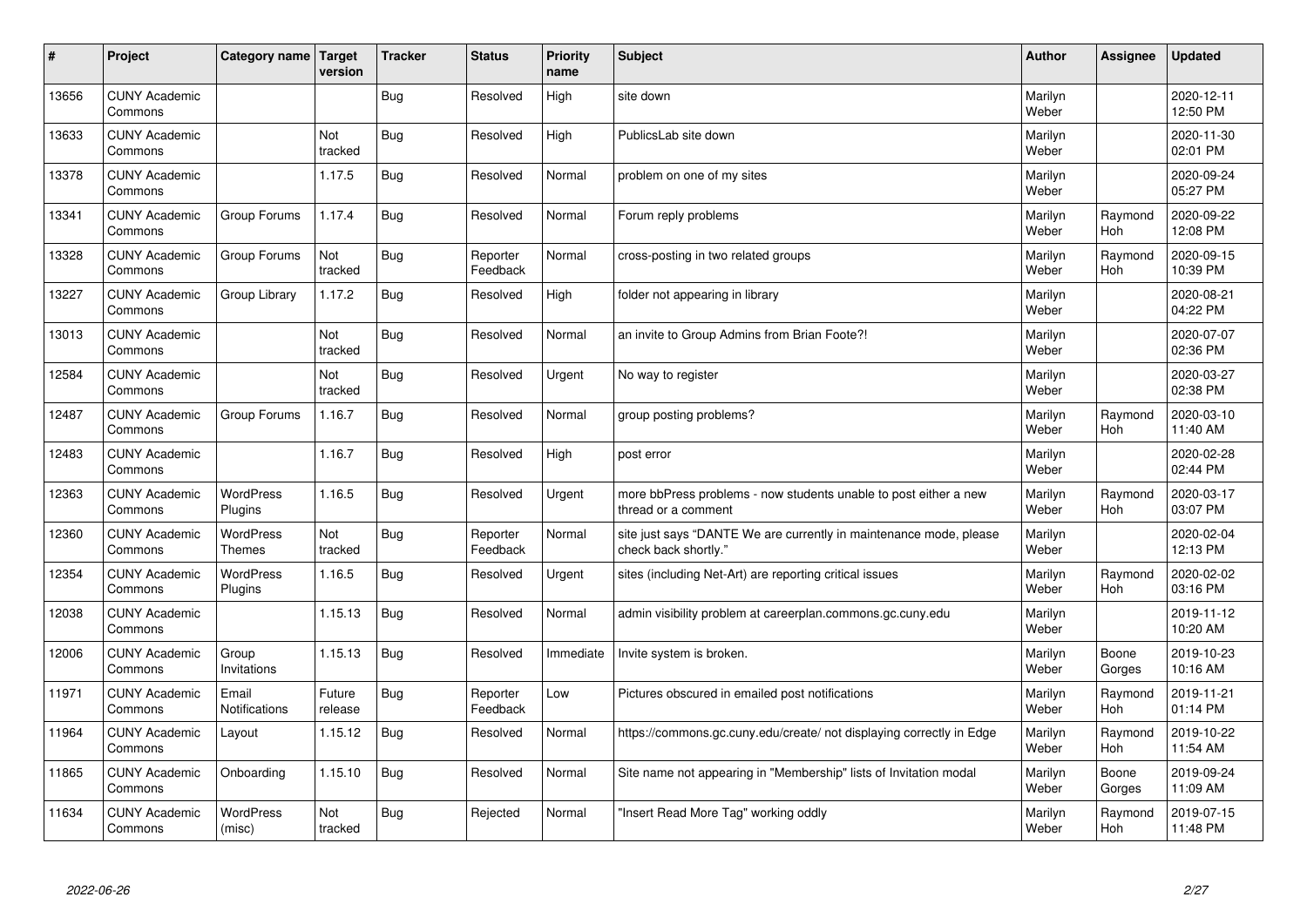| #     | Project                         | Category name   Target            | version           | <b>Tracker</b> | <b>Status</b>        | <b>Priority</b><br>name | <b>Subject</b>                                                                             | <b>Author</b>    | Assignee              | <b>Updated</b>         |
|-------|---------------------------------|-----------------------------------|-------------------|----------------|----------------------|-------------------------|--------------------------------------------------------------------------------------------|------------------|-----------------------|------------------------|
| 13656 | <b>CUNY Academic</b><br>Commons |                                   |                   | Bug            | Resolved             | High                    | site down                                                                                  | Marilyn<br>Weber |                       | 2020-12-11<br>12:50 PM |
| 13633 | <b>CUNY Academic</b><br>Commons |                                   | Not<br>tracked    | Bug            | Resolved             | High                    | PublicsLab site down                                                                       | Marilyn<br>Weber |                       | 2020-11-30<br>02:01 PM |
| 13378 | <b>CUNY Academic</b><br>Commons |                                   | 1.17.5            | <b>Bug</b>     | Resolved             | Normal                  | problem on one of my sites                                                                 | Marilyn<br>Weber |                       | 2020-09-24<br>05:27 PM |
| 13341 | <b>CUNY Academic</b><br>Commons | Group Forums                      | 1.17.4            | <b>Bug</b>     | Resolved             | Normal                  | Forum reply problems                                                                       | Marilyn<br>Weber | Raymond<br>Hoh        | 2020-09-22<br>12:08 PM |
| 13328 | <b>CUNY Academic</b><br>Commons | Group Forums                      | Not<br>tracked    | Bug            | Reporter<br>Feedback | Normal                  | cross-posting in two related groups                                                        | Marilyn<br>Weber | Raymond<br><b>Hoh</b> | 2020-09-15<br>10:39 PM |
| 13227 | <b>CUNY Academic</b><br>Commons | Group Library                     | 1.17.2            | <b>Bug</b>     | Resolved             | High                    | folder not appearing in library                                                            | Marilyn<br>Weber |                       | 2020-08-21<br>04:22 PM |
| 13013 | <b>CUNY Academic</b><br>Commons |                                   | Not<br>tracked    | Bug            | Resolved             | Normal                  | an invite to Group Admins from Brian Foote?!                                               | Marilyn<br>Weber |                       | 2020-07-07<br>02:36 PM |
| 12584 | <b>CUNY Academic</b><br>Commons |                                   | Not<br>tracked    | Bug            | Resolved             | Urgent                  | No way to register                                                                         | Marilyn<br>Weber |                       | 2020-03-27<br>02:38 PM |
| 12487 | <b>CUNY Academic</b><br>Commons | Group Forums                      | 1.16.7            | <b>Bug</b>     | Resolved             | Normal                  | group posting problems?                                                                    | Marilyn<br>Weber | Raymond<br><b>Hoh</b> | 2020-03-10<br>11:40 AM |
| 12483 | <b>CUNY Academic</b><br>Commons |                                   | 1.16.7            | <b>Bug</b>     | Resolved             | High                    | post error                                                                                 | Marilyn<br>Weber |                       | 2020-02-28<br>02:44 PM |
| 12363 | <b>CUNY Academic</b><br>Commons | <b>WordPress</b><br>Plugins       | 1.16.5            | <b>Bug</b>     | Resolved             | Urgent                  | more bbPress problems - now students unable to post either a new<br>thread or a comment    | Marilyn<br>Weber | Raymond<br>Hoh        | 2020-03-17<br>03:07 PM |
| 12360 | <b>CUNY Academic</b><br>Commons | <b>WordPress</b><br><b>Themes</b> | Not<br>tracked    | Bug            | Reporter<br>Feedback | Normal                  | site just says "DANTE We are currently in maintenance mode, please<br>check back shortly." | Marilyn<br>Weber |                       | 2020-02-04<br>12:13 PM |
| 12354 | <b>CUNY Academic</b><br>Commons | <b>WordPress</b><br>Plugins       | 1.16.5            | Bug            | Resolved             | Urgent                  | sites (including Net-Art) are reporting critical issues                                    | Marilyn<br>Weber | Raymond<br>Hoh        | 2020-02-02<br>03:16 PM |
| 12038 | <b>CUNY Academic</b><br>Commons |                                   | 1.15.13           | <b>Bug</b>     | Resolved             | Normal                  | admin visibility problem at careerplan.commons.gc.cuny.edu                                 | Marilyn<br>Weber |                       | 2019-11-12<br>10:20 AM |
| 12006 | <b>CUNY Academic</b><br>Commons | Group<br>Invitations              | 1.15.13           | Bug            | Resolved             | Immediate               | Invite system is broken.                                                                   | Marilyn<br>Weber | Boone<br>Gorges       | 2019-10-23<br>10:16 AM |
| 11971 | <b>CUNY Academic</b><br>Commons | Email<br>Notifications            | Future<br>release | Bug            | Reporter<br>Feedback | Low                     | Pictures obscured in emailed post notifications                                            | Marilyn<br>Weber | Raymond<br><b>Hoh</b> | 2019-11-21<br>01:14 PM |
| 11964 | <b>CUNY Academic</b><br>Commons | Layout                            | 1.15.12           | Bug            | Resolved             | Normal                  | https://commons.gc.cuny.edu/create/ not displaying correctly in Edge                       | Marilyn<br>Weber | Raymond<br><b>Hoh</b> | 2019-10-22<br>11:54 AM |
| 11865 | <b>CUNY Academic</b><br>Commons | Onboarding                        | 1.15.10           | Bug            | Resolved             | Normal                  | Site name not appearing in "Membership" lists of Invitation modal                          | Marilyn<br>Weber | Boone<br>Gorges       | 2019-09-24<br>11:09 AM |
| 11634 | <b>CUNY Academic</b><br>Commons | <b>WordPress</b><br>(misc)        | Not<br>tracked    | Bug            | Rejected             | Normal                  | 'Insert Read More Tag" working oddly                                                       | Marilyn<br>Weber | Raymond<br><b>Hoh</b> | 2019-07-15<br>11:48 PM |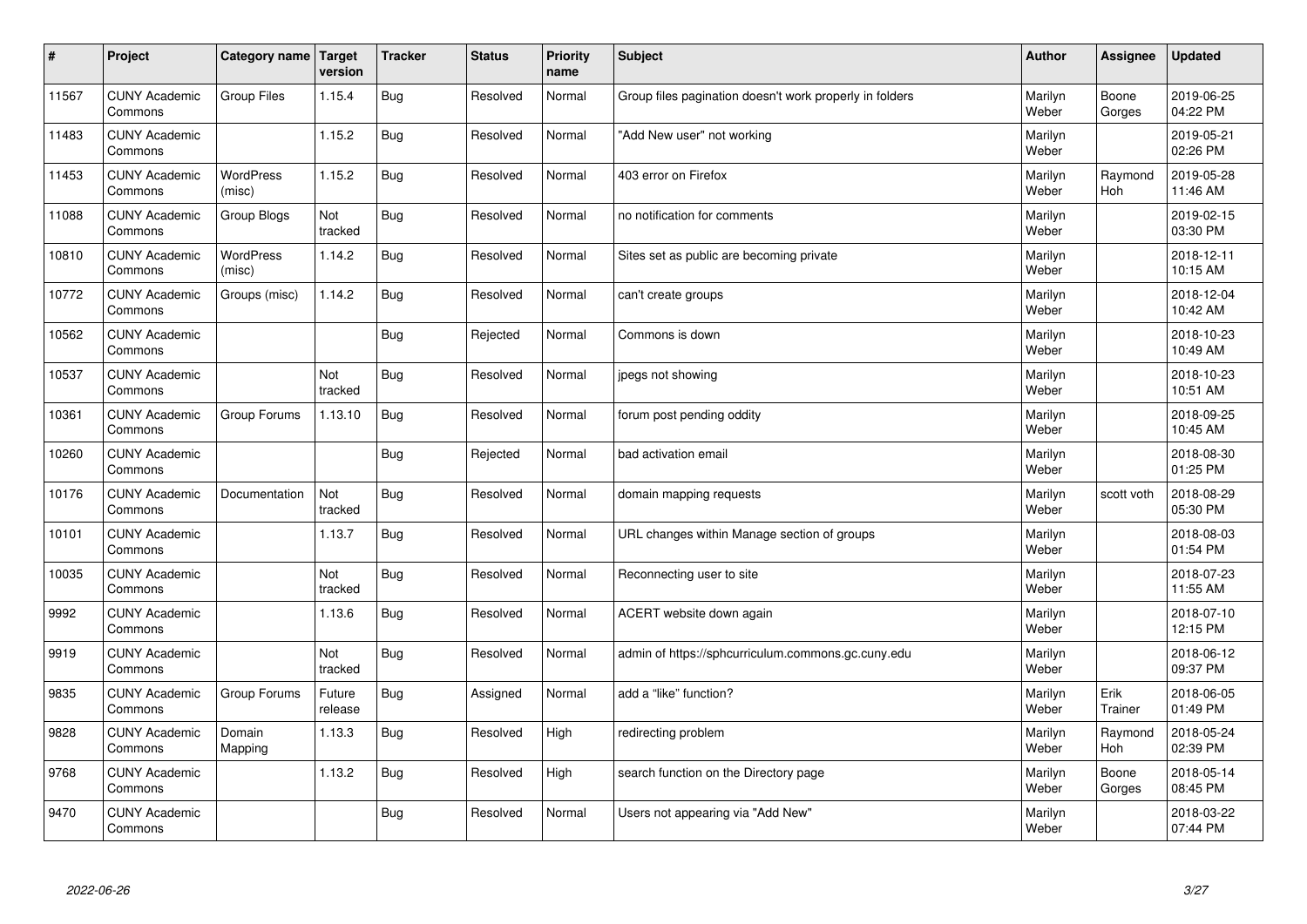| $\sharp$ | Project                         | Category name   Target     | version           | <b>Tracker</b> | <b>Status</b> | <b>Priority</b><br>name | <b>Subject</b>                                          | <b>Author</b>    | Assignee              | <b>Updated</b>         |
|----------|---------------------------------|----------------------------|-------------------|----------------|---------------|-------------------------|---------------------------------------------------------|------------------|-----------------------|------------------------|
| 11567    | <b>CUNY Academic</b><br>Commons | <b>Group Files</b>         | 1.15.4            | Bug            | Resolved      | Normal                  | Group files pagination doesn't work properly in folders | Marilyn<br>Weber | Boone<br>Gorges       | 2019-06-25<br>04:22 PM |
| 11483    | <b>CUNY Academic</b><br>Commons |                            | 1.15.2            | Bug            | Resolved      | Normal                  | 'Add New user" not working                              | Marilyn<br>Weber |                       | 2019-05-21<br>02:26 PM |
| 11453    | <b>CUNY Academic</b><br>Commons | <b>WordPress</b><br>(misc) | 1.15.2            | Bug            | Resolved      | Normal                  | 403 error on Firefox                                    | Marilyn<br>Weber | Raymond<br>Hoh        | 2019-05-28<br>11:46 AM |
| 11088    | <b>CUNY Academic</b><br>Commons | Group Blogs                | Not<br>tracked    | Bug            | Resolved      | Normal                  | no notification for comments                            | Marilyn<br>Weber |                       | 2019-02-15<br>03:30 PM |
| 10810    | <b>CUNY Academic</b><br>Commons | <b>WordPress</b><br>(misc) | 1.14.2            | Bug            | Resolved      | Normal                  | Sites set as public are becoming private                | Marilyn<br>Weber |                       | 2018-12-11<br>10:15 AM |
| 10772    | <b>CUNY Academic</b><br>Commons | Groups (misc)              | 1.14.2            | <b>Bug</b>     | Resolved      | Normal                  | can't create groups                                     | Marilyn<br>Weber |                       | 2018-12-04<br>10:42 AM |
| 10562    | <b>CUNY Academic</b><br>Commons |                            |                   | Bug            | Rejected      | Normal                  | Commons is down                                         | Marilyn<br>Weber |                       | 2018-10-23<br>10:49 AM |
| 10537    | <b>CUNY Academic</b><br>Commons |                            | Not<br>tracked    | Bug            | Resolved      | Normal                  | jpegs not showing                                       | Marilyn<br>Weber |                       | 2018-10-23<br>10:51 AM |
| 10361    | <b>CUNY Academic</b><br>Commons | Group Forums               | 1.13.10           | Bug            | Resolved      | Normal                  | forum post pending oddity                               | Marilyn<br>Weber |                       | 2018-09-25<br>10:45 AM |
| 10260    | <b>CUNY Academic</b><br>Commons |                            |                   | Bug            | Rejected      | Normal                  | bad activation email                                    | Marilyn<br>Weber |                       | 2018-08-30<br>01:25 PM |
| 10176    | <b>CUNY Academic</b><br>Commons | Documentation              | Not<br>tracked    | Bug            | Resolved      | Normal                  | domain mapping requests                                 | Marilyn<br>Weber | scott voth            | 2018-08-29<br>05:30 PM |
| 10101    | <b>CUNY Academic</b><br>Commons |                            | 1.13.7            | <b>Bug</b>     | Resolved      | Normal                  | URL changes within Manage section of groups             | Marilyn<br>Weber |                       | 2018-08-03<br>01:54 PM |
| 10035    | <b>CUNY Academic</b><br>Commons |                            | Not<br>tracked    | Bug            | Resolved      | Normal                  | Reconnecting user to site                               | Marilyn<br>Weber |                       | 2018-07-23<br>11:55 AM |
| 9992     | <b>CUNY Academic</b><br>Commons |                            | 1.13.6            | Bug            | Resolved      | Normal                  | ACERT website down again                                | Marilyn<br>Weber |                       | 2018-07-10<br>12:15 PM |
| 9919     | <b>CUNY Academic</b><br>Commons |                            | Not<br>tracked    | Bug            | Resolved      | Normal                  | admin of https://sphcurriculum.commons.gc.cuny.edu      | Marilyn<br>Weber |                       | 2018-06-12<br>09:37 PM |
| 9835     | <b>CUNY Academic</b><br>Commons | Group Forums               | Future<br>release | Bug            | Assigned      | Normal                  | add a "like" function?                                  | Marilyn<br>Weber | Erik<br>Trainer       | 2018-06-05<br>01:49 PM |
| 9828     | <b>CUNY Academic</b><br>Commons | Domain<br>Mapping          | 1.13.3            | Bug            | Resolved      | High                    | redirecting problem                                     | Marilyn<br>Weber | Raymond<br><b>Hoh</b> | 2018-05-24<br>02:39 PM |
| 9768     | <b>CUNY Academic</b><br>Commons |                            | 1.13.2            | <b>Bug</b>     | Resolved      | High                    | search function on the Directory page                   | Marilyn<br>Weber | Boone<br>Gorges       | 2018-05-14<br>08:45 PM |
| 9470     | <b>CUNY Academic</b><br>Commons |                            |                   | Bug            | Resolved      | Normal                  | Users not appearing via "Add New"                       | Marilyn<br>Weber |                       | 2018-03-22<br>07:44 PM |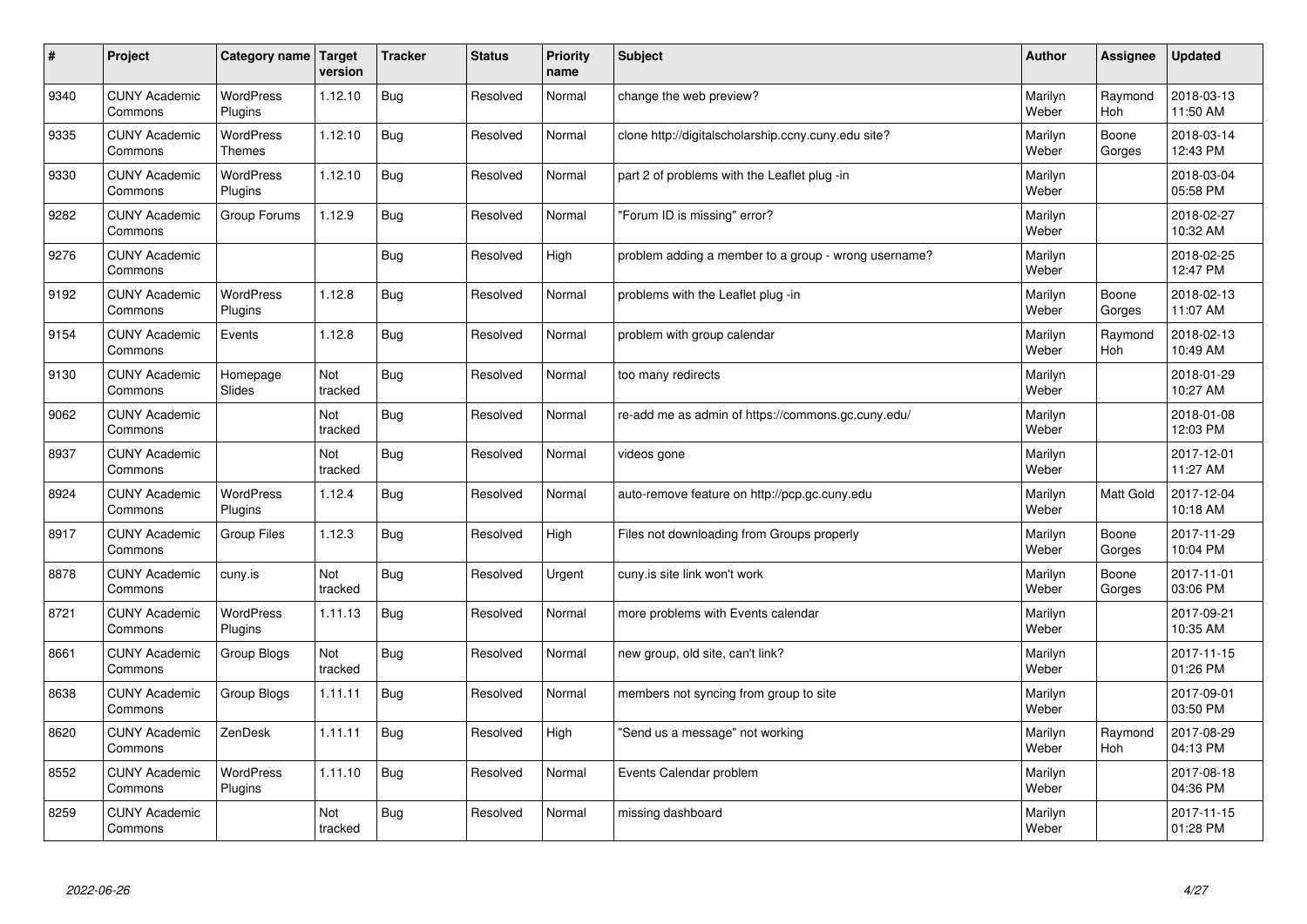| $\sharp$ | Project                         | Category name               | Target<br>version | <b>Tracker</b> | <b>Status</b> | <b>Priority</b><br>name | <b>Subject</b>                                       | <b>Author</b>    | Assignee              | Updated                |
|----------|---------------------------------|-----------------------------|-------------------|----------------|---------------|-------------------------|------------------------------------------------------|------------------|-----------------------|------------------------|
| 9340     | <b>CUNY Academic</b><br>Commons | <b>WordPress</b><br>Plugins | 1.12.10           | <b>Bug</b>     | Resolved      | Normal                  | change the web preview?                              | Marilyn<br>Weber | Raymond<br>Hoh        | 2018-03-13<br>11:50 AM |
| 9335     | <b>CUNY Academic</b><br>Commons | WordPress<br><b>Themes</b>  | 1.12.10           | Bug            | Resolved      | Normal                  | clone http://digitalscholarship.ccny.cuny.edu site?  | Marilyn<br>Weber | Boone<br>Gorges       | 2018-03-14<br>12:43 PM |
| 9330     | <b>CUNY Academic</b><br>Commons | <b>WordPress</b><br>Plugins | 1.12.10           | Bug            | Resolved      | Normal                  | part 2 of problems with the Leaflet plug -in         | Marilyn<br>Weber |                       | 2018-03-04<br>05:58 PM |
| 9282     | <b>CUNY Academic</b><br>Commons | Group Forums                | 1.12.9            | <b>Bug</b>     | Resolved      | Normal                  | 'Forum ID is missing" error?                         | Marilyn<br>Weber |                       | 2018-02-27<br>10:32 AM |
| 9276     | <b>CUNY Academic</b><br>Commons |                             |                   | Bug            | Resolved      | High                    | problem adding a member to a group - wrong username? | Marilyn<br>Weber |                       | 2018-02-25<br>12:47 PM |
| 9192     | <b>CUNY Academic</b><br>Commons | <b>WordPress</b><br>Plugins | 1.12.8            | Bug            | Resolved      | Normal                  | problems with the Leaflet plug -in                   | Marilyn<br>Weber | Boone<br>Gorges       | 2018-02-13<br>11:07 AM |
| 9154     | <b>CUNY Academic</b><br>Commons | Events                      | 1.12.8            | <b>Bug</b>     | Resolved      | Normal                  | problem with group calendar                          | Marilyn<br>Weber | Raymond<br><b>Hoh</b> | 2018-02-13<br>10:49 AM |
| 9130     | <b>CUNY Academic</b><br>Commons | Homepage<br>Slides          | Not<br>tracked    | Bug            | Resolved      | Normal                  | too many redirects                                   | Marilyn<br>Weber |                       | 2018-01-29<br>10:27 AM |
| 9062     | <b>CUNY Academic</b><br>Commons |                             | Not<br>tracked    | Bug            | Resolved      | Normal                  | re-add me as admin of https://commons.gc.cuny.edu/   | Marilyn<br>Weber |                       | 2018-01-08<br>12:03 PM |
| 8937     | <b>CUNY Academic</b><br>Commons |                             | Not<br>tracked    | Bug            | Resolved      | Normal                  | videos gone                                          | Marilyn<br>Weber |                       | 2017-12-01<br>11:27 AM |
| 8924     | <b>CUNY Academic</b><br>Commons | WordPress<br>Plugins        | 1.12.4            | Bug            | Resolved      | Normal                  | auto-remove feature on http://pcp.gc.cuny.edu        | Marilyn<br>Weber | Matt Gold             | 2017-12-04<br>10:18 AM |
| 8917     | <b>CUNY Academic</b><br>Commons | Group Files                 | 1.12.3            | Bug            | Resolved      | High                    | Files not downloading from Groups properly           | Marilyn<br>Weber | Boone<br>Gorges       | 2017-11-29<br>10:04 PM |
| 8878     | <b>CUNY Academic</b><br>Commons | cuny.is                     | Not<br>tracked    | Bug            | Resolved      | Urgent                  | cuny.is site link won't work                         | Marilyn<br>Weber | Boone<br>Gorges       | 2017-11-01<br>03:06 PM |
| 8721     | <b>CUNY Academic</b><br>Commons | <b>WordPress</b><br>Plugins | 1.11.13           | Bug            | Resolved      | Normal                  | more problems with Events calendar                   | Marilyn<br>Weber |                       | 2017-09-21<br>10:35 AM |
| 8661     | <b>CUNY Academic</b><br>Commons | Group Blogs                 | Not<br>tracked    | Bug            | Resolved      | Normal                  | new group, old site, can't link?                     | Marilyn<br>Weber |                       | 2017-11-15<br>01:26 PM |
| 8638     | <b>CUNY Academic</b><br>Commons | Group Blogs                 | 1.11.11           | Bug            | Resolved      | Normal                  | members not syncing from group to site               | Marilyn<br>Weber |                       | 2017-09-01<br>03:50 PM |
| 8620     | <b>CUNY Academic</b><br>Commons | ZenDesk                     | 1.11.11           | Bug            | Resolved      | High                    | 'Send us a message" not working                      | Marilyn<br>Weber | Raymond<br>Hoh        | 2017-08-29<br>04:13 PM |
| 8552     | <b>CUNY Academic</b><br>Commons | <b>WordPress</b><br>Plugins | 1.11.10           | <b>Bug</b>     | Resolved      | Normal                  | Events Calendar problem                              | Marilyn<br>Weber |                       | 2017-08-18<br>04:36 PM |
| 8259     | <b>CUNY Academic</b><br>Commons |                             | Not<br>tracked    | Bug            | Resolved      | Normal                  | missing dashboard                                    | Marilyn<br>Weber |                       | 2017-11-15<br>01:28 PM |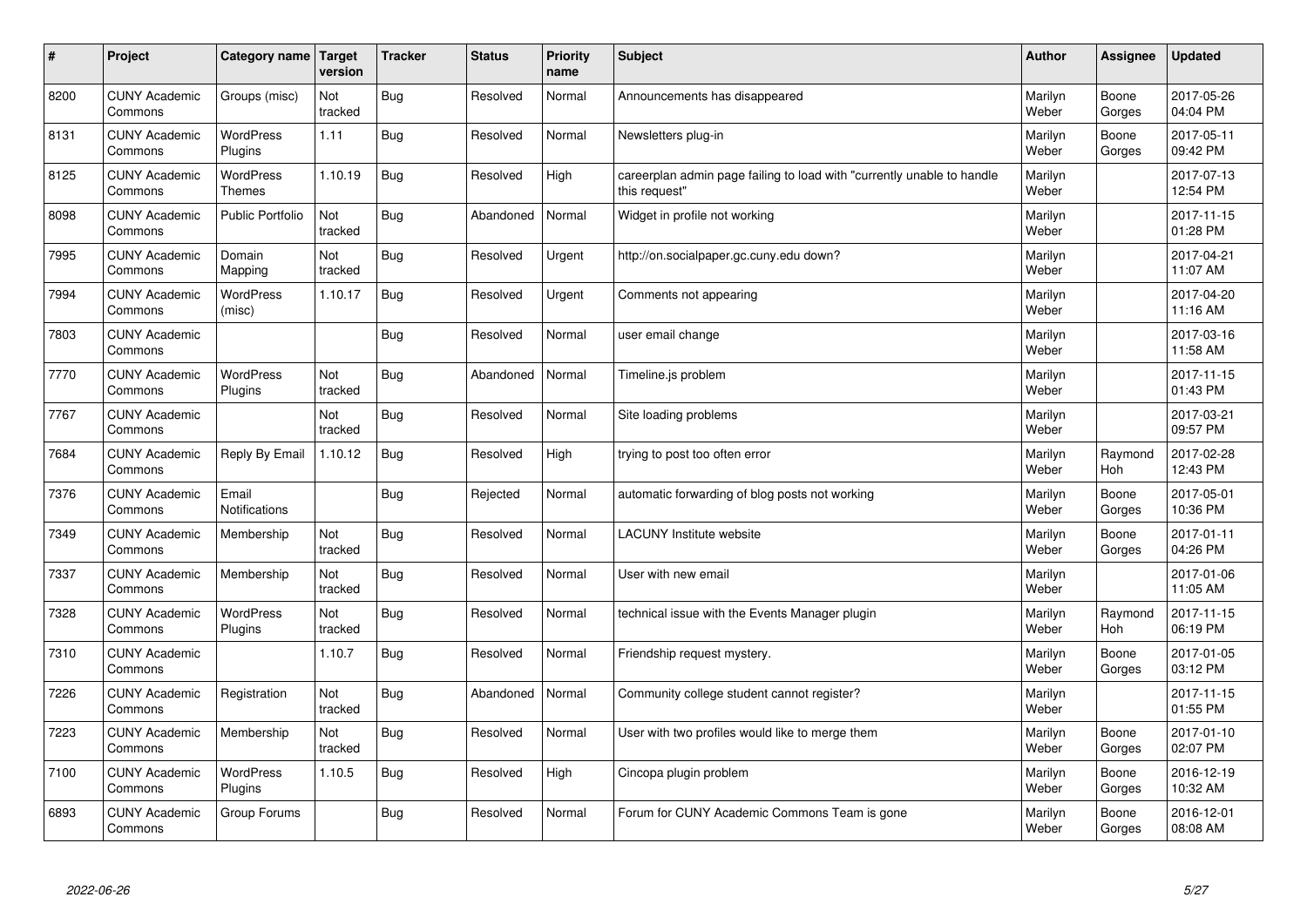| $\sharp$ | Project                         | Category name   Target            | version        | <b>Tracker</b> | <b>Status</b> | <b>Priority</b><br>name | <b>Subject</b>                                                                          | <b>Author</b>    | Assignee              | Updated                |
|----------|---------------------------------|-----------------------------------|----------------|----------------|---------------|-------------------------|-----------------------------------------------------------------------------------------|------------------|-----------------------|------------------------|
| 8200     | <b>CUNY Academic</b><br>Commons | Groups (misc)                     | Not<br>tracked | Bug            | Resolved      | Normal                  | Announcements has disappeared                                                           | Marilyn<br>Weber | Boone<br>Gorges       | 2017-05-26<br>04:04 PM |
| 8131     | <b>CUNY Academic</b><br>Commons | <b>WordPress</b><br>Plugins       | 1.11           | Bug            | Resolved      | Normal                  | Newsletters plug-in                                                                     | Marilyn<br>Weber | Boone<br>Gorges       | 2017-05-11<br>09:42 PM |
| 8125     | <b>CUNY Academic</b><br>Commons | <b>WordPress</b><br><b>Themes</b> | 1.10.19        | Bug            | Resolved      | High                    | careerplan admin page failing to load with "currently unable to handle<br>this request" | Marilyn<br>Weber |                       | 2017-07-13<br>12:54 PM |
| 8098     | <b>CUNY Academic</b><br>Commons | <b>Public Portfolio</b>           | Not<br>tracked | Bug            | Abandoned     | Normal                  | Widget in profile not working                                                           | Marilyn<br>Weber |                       | 2017-11-15<br>01:28 PM |
| 7995     | <b>CUNY Academic</b><br>Commons | Domain<br>Mapping                 | Not<br>tracked | Bug            | Resolved      | Urgent                  | http://on.socialpaper.gc.cuny.edu down?                                                 | Marilyn<br>Weber |                       | 2017-04-21<br>11:07 AM |
| 7994     | <b>CUNY Academic</b><br>Commons | WordPress<br>(misc)               | 1.10.17        | Bug            | Resolved      | Urgent                  | Comments not appearing                                                                  | Marilyn<br>Weber |                       | 2017-04-20<br>11:16 AM |
| 7803     | <b>CUNY Academic</b><br>Commons |                                   |                | Bug            | Resolved      | Normal                  | user email change                                                                       | Marilyn<br>Weber |                       | 2017-03-16<br>11:58 AM |
| 7770     | <b>CUNY Academic</b><br>Commons | WordPress<br>Plugins              | Not<br>tracked | Bug            | Abandoned     | Normal                  | Timeline.is problem                                                                     | Marilyn<br>Weber |                       | 2017-11-15<br>01:43 PM |
| 7767     | <b>CUNY Academic</b><br>Commons |                                   | Not<br>tracked | Bug            | Resolved      | Normal                  | Site loading problems                                                                   | Marilyn<br>Weber |                       | 2017-03-21<br>09:57 PM |
| 7684     | <b>CUNY Academic</b><br>Commons | Reply By Email                    | 1.10.12        | Bug            | Resolved      | High                    | trying to post too often error                                                          | Marilyn<br>Weber | Raymond<br>Hoh        | 2017-02-28<br>12:43 PM |
| 7376     | <b>CUNY Academic</b><br>Commons | Email<br>Notifications            |                | <b>Bug</b>     | Rejected      | Normal                  | automatic forwarding of blog posts not working                                          | Marilyn<br>Weber | Boone<br>Gorges       | 2017-05-01<br>10:36 PM |
| 7349     | <b>CUNY Academic</b><br>Commons | Membership                        | Not<br>tracked | Bug            | Resolved      | Normal                  | <b>LACUNY</b> Institute website                                                         | Marilyn<br>Weber | Boone<br>Gorges       | 2017-01-11<br>04:26 PM |
| 7337     | <b>CUNY Academic</b><br>Commons | Membership                        | Not<br>tracked | Bug            | Resolved      | Normal                  | User with new email                                                                     | Marilyn<br>Weber |                       | 2017-01-06<br>11:05 AM |
| 7328     | <b>CUNY Academic</b><br>Commons | <b>WordPress</b><br>Plugins       | Not<br>tracked | Bug            | Resolved      | Normal                  | technical issue with the Events Manager plugin                                          | Marilyn<br>Weber | Raymond<br><b>Hoh</b> | 2017-11-15<br>06:19 PM |
| 7310     | <b>CUNY Academic</b><br>Commons |                                   | 1.10.7         | Bug            | Resolved      | Normal                  | Friendship request mystery.                                                             | Marilyn<br>Weber | Boone<br>Gorges       | 2017-01-05<br>03:12 PM |
| 7226     | <b>CUNY Academic</b><br>Commons | Registration                      | Not<br>tracked | Bug            | Abandoned     | Normal                  | Community college student cannot register?                                              | Marilyn<br>Weber |                       | 2017-11-15<br>01:55 PM |
| 7223     | <b>CUNY Academic</b><br>Commons | Membership                        | Not<br>tracked | Bug            | Resolved      | Normal                  | User with two profiles would like to merge them                                         | Marilyn<br>Weber | Boone<br>Gorges       | 2017-01-10<br>02:07 PM |
| 7100     | <b>CUNY Academic</b><br>Commons | <b>WordPress</b><br>Plugins       | 1.10.5         | <b>Bug</b>     | Resolved      | High                    | Cincopa plugin problem                                                                  | Marilyn<br>Weber | Boone<br>Gorges       | 2016-12-19<br>10:32 AM |
| 6893     | <b>CUNY Academic</b><br>Commons | Group Forums                      |                | Bug            | Resolved      | Normal                  | Forum for CUNY Academic Commons Team is gone                                            | Marilyn<br>Weber | Boone<br>Gorges       | 2016-12-01<br>08:08 AM |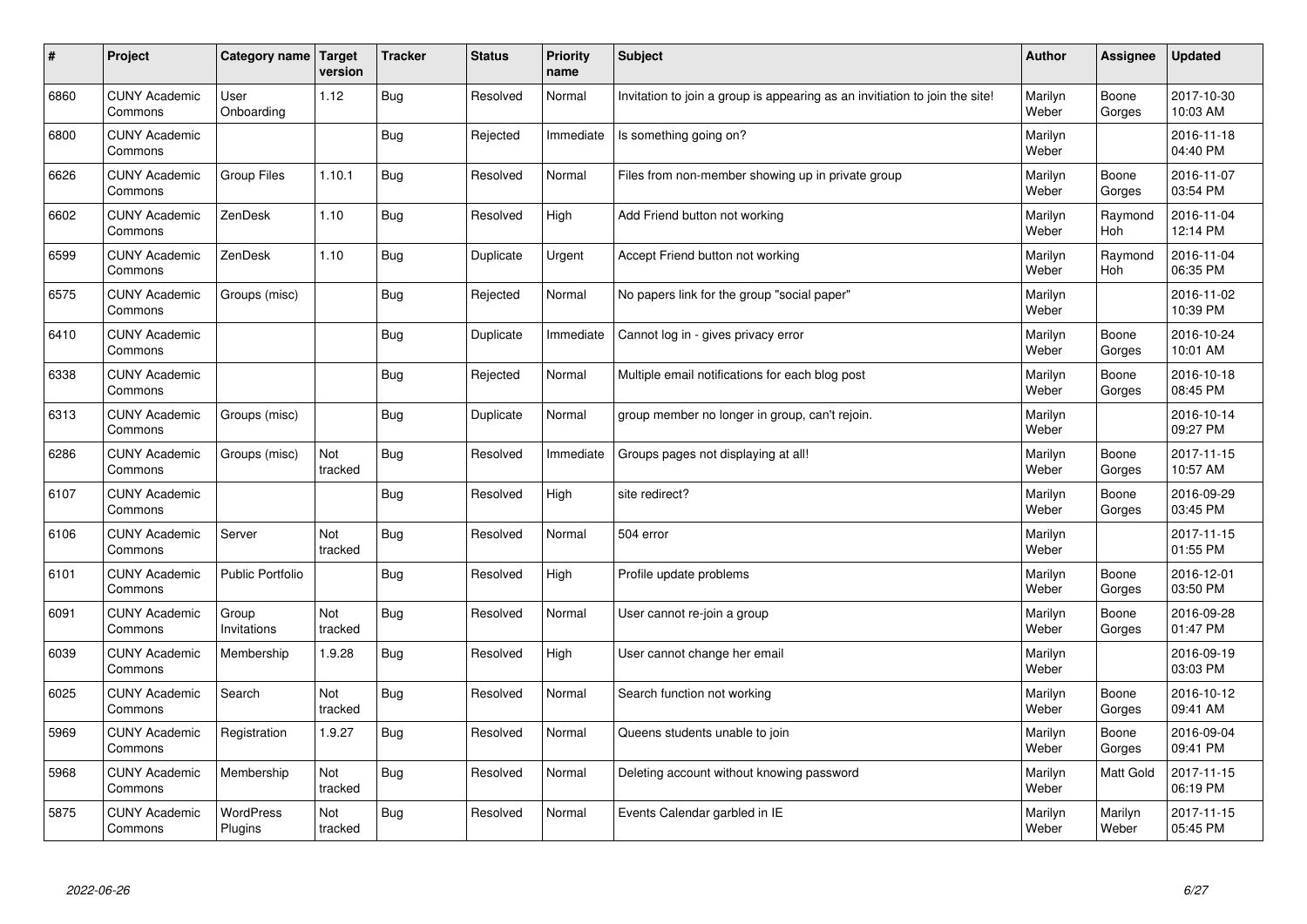| $\sharp$ | Project                         | Category name   Target      | version        | <b>Tracker</b> | <b>Status</b> | <b>Priority</b><br>name | <b>Subject</b>                                                              | <b>Author</b>    | Assignee              | <b>Updated</b>         |
|----------|---------------------------------|-----------------------------|----------------|----------------|---------------|-------------------------|-----------------------------------------------------------------------------|------------------|-----------------------|------------------------|
| 6860     | <b>CUNY Academic</b><br>Commons | User<br>Onboarding          | 1.12           | Bug            | Resolved      | Normal                  | Invitation to join a group is appearing as an invitiation to join the site! | Marilyn<br>Weber | Boone<br>Gorges       | 2017-10-30<br>10:03 AM |
| 6800     | <b>CUNY Academic</b><br>Commons |                             |                | Bug            | Rejected      | Immediate               | Is something going on?                                                      | Marilyn<br>Weber |                       | 2016-11-18<br>04:40 PM |
| 6626     | <b>CUNY Academic</b><br>Commons | <b>Group Files</b>          | 1.10.1         | Bug            | Resolved      | Normal                  | Files from non-member showing up in private group                           | Marilyn<br>Weber | Boone<br>Gorges       | 2016-11-07<br>03:54 PM |
| 6602     | <b>CUNY Academic</b><br>Commons | ZenDesk                     | 1.10           | Bug            | Resolved      | High                    | Add Friend button not working                                               | Marilyn<br>Weber | Raymond<br><b>Hoh</b> | 2016-11-04<br>12:14 PM |
| 6599     | <b>CUNY Academic</b><br>Commons | ZenDesk                     | 1.10           | Bug            | Duplicate     | Urgent                  | Accept Friend button not working                                            | Marilyn<br>Weber | Raymond<br>Hoh        | 2016-11-04<br>06:35 PM |
| 6575     | <b>CUNY Academic</b><br>Commons | Groups (misc)               |                | Bug            | Rejected      | Normal                  | No papers link for the group "social paper"                                 | Marilyn<br>Weber |                       | 2016-11-02<br>10:39 PM |
| 6410     | <b>CUNY Academic</b><br>Commons |                             |                | Bug            | Duplicate     | Immediate               | Cannot log in - gives privacy error                                         | Marilyn<br>Weber | Boone<br>Gorges       | 2016-10-24<br>10:01 AM |
| 6338     | <b>CUNY Academic</b><br>Commons |                             |                | Bug            | Rejected      | Normal                  | Multiple email notifications for each blog post                             | Marilyn<br>Weber | Boone<br>Gorges       | 2016-10-18<br>08:45 PM |
| 6313     | <b>CUNY Academic</b><br>Commons | Groups (misc)               |                | Bug            | Duplicate     | Normal                  | group member no longer in group, can't rejoin.                              | Marilyn<br>Weber |                       | 2016-10-14<br>09:27 PM |
| 6286     | <b>CUNY Academic</b><br>Commons | Groups (misc)               | Not<br>tracked | Bug            | Resolved      | Immediate               | Groups pages not displaying at all!                                         | Marilyn<br>Weber | Boone<br>Gorges       | 2017-11-15<br>10:57 AM |
| 6107     | <b>CUNY Academic</b><br>Commons |                             |                | Bug            | Resolved      | High                    | site redirect?                                                              | Marilyn<br>Weber | Boone<br>Gorges       | 2016-09-29<br>03:45 PM |
| 6106     | <b>CUNY Academic</b><br>Commons | Server                      | Not<br>tracked | Bug            | Resolved      | Normal                  | 504 error                                                                   | Marilyn<br>Weber |                       | 2017-11-15<br>01:55 PM |
| 6101     | <b>CUNY Academic</b><br>Commons | <b>Public Portfolio</b>     |                | Bug            | Resolved      | High                    | Profile update problems                                                     | Marilyn<br>Weber | Boone<br>Gorges       | 2016-12-01<br>03:50 PM |
| 6091     | <b>CUNY Academic</b><br>Commons | Group<br>Invitations        | Not<br>tracked | Bug            | Resolved      | Normal                  | User cannot re-join a group                                                 | Marilyn<br>Weber | Boone<br>Gorges       | 2016-09-28<br>01:47 PM |
| 6039     | <b>CUNY Academic</b><br>Commons | Membership                  | 1.9.28         | Bug            | Resolved      | High                    | User cannot change her email                                                | Marilyn<br>Weber |                       | 2016-09-19<br>03:03 PM |
| 6025     | <b>CUNY Academic</b><br>Commons | Search                      | Not<br>tracked | Bug            | Resolved      | Normal                  | Search function not working                                                 | Marilyn<br>Weber | Boone<br>Gorges       | 2016-10-12<br>09:41 AM |
| 5969     | <b>CUNY Academic</b><br>Commons | Registration                | 1.9.27         | Bug            | Resolved      | Normal                  | Queens students unable to join                                              | Marilyn<br>Weber | Boone<br>Gorges       | 2016-09-04<br>09:41 PM |
| 5968     | <b>CUNY Academic</b><br>Commons | Membership                  | Not<br>tracked | Bug            | Resolved      | Normal                  | Deleting account without knowing password                                   | Marilyn<br>Weber | <b>Matt Gold</b>      | 2017-11-15<br>06:19 PM |
| 5875     | <b>CUNY Academic</b><br>Commons | <b>WordPress</b><br>Plugins | Not<br>tracked | Bug            | Resolved      | Normal                  | Events Calendar garbled in IE                                               | Marilyn<br>Weber | Marilyn<br>Weber      | 2017-11-15<br>05:45 PM |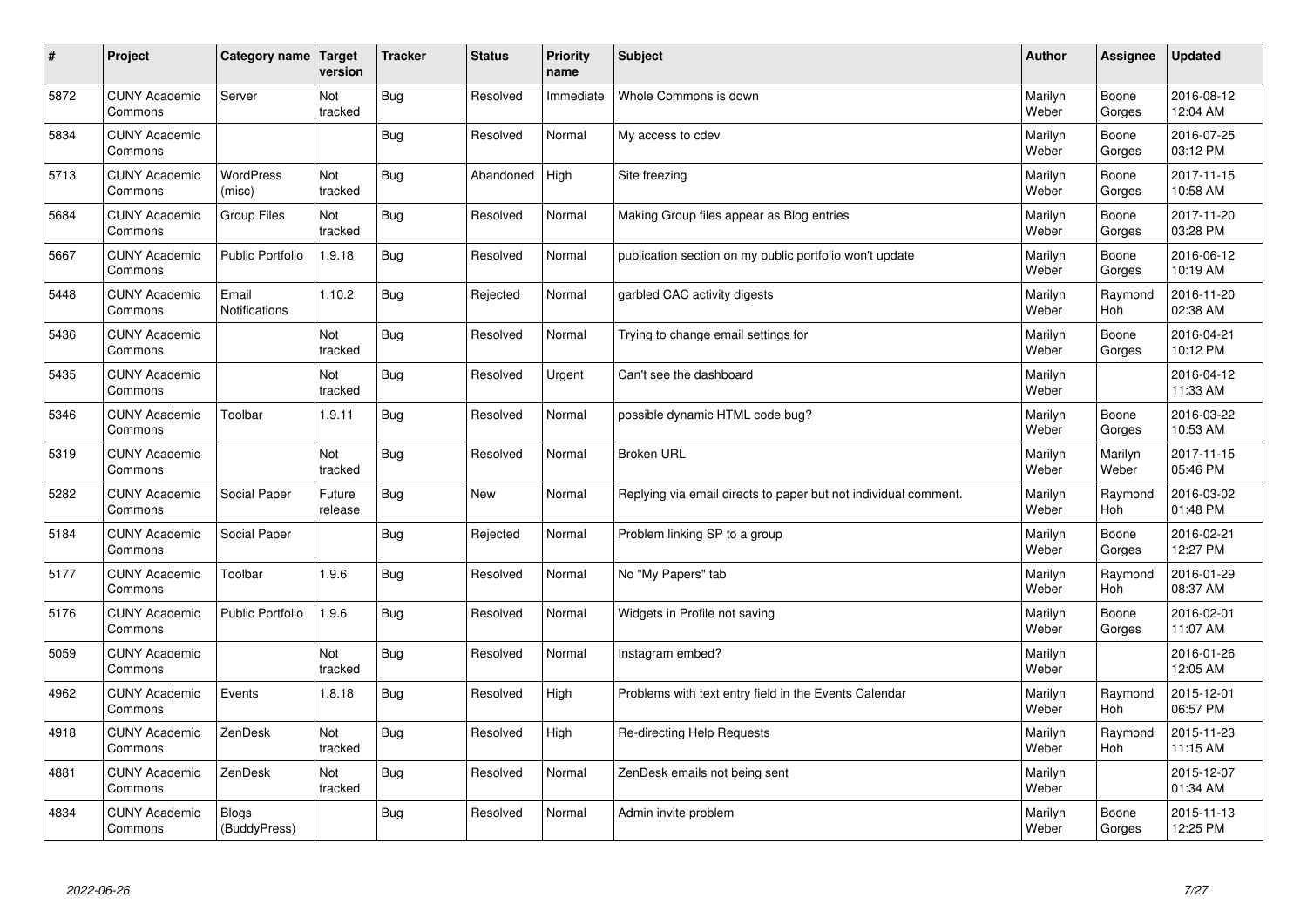| $\vert$ # | Project                         | Category name   Target        | version           | <b>Tracker</b> | <b>Status</b> | <b>Priority</b><br>name | <b>Subject</b>                                                  | <b>Author</b>    | Assignee              | <b>Updated</b>         |
|-----------|---------------------------------|-------------------------------|-------------------|----------------|---------------|-------------------------|-----------------------------------------------------------------|------------------|-----------------------|------------------------|
| 5872      | <b>CUNY Academic</b><br>Commons | Server                        | Not<br>tracked    | Bug            | Resolved      | Immediate               | Whole Commons is down                                           | Marilyn<br>Weber | Boone<br>Gorges       | 2016-08-12<br>12:04 AM |
| 5834      | <b>CUNY Academic</b><br>Commons |                               |                   | Bug            | Resolved      | Normal                  | My access to cdev                                               | Marilyn<br>Weber | Boone<br>Gorges       | 2016-07-25<br>03:12 PM |
| 5713      | <b>CUNY Academic</b><br>Commons | <b>WordPress</b><br>(misc)    | Not<br>tracked    | Bug            | Abandoned     | High                    | Site freezing                                                   | Marilyn<br>Weber | Boone<br>Gorges       | 2017-11-15<br>10:58 AM |
| 5684      | <b>CUNY Academic</b><br>Commons | <b>Group Files</b>            | Not<br>tracked    | Bug            | Resolved      | Normal                  | Making Group files appear as Blog entries                       | Marilyn<br>Weber | Boone<br>Gorges       | 2017-11-20<br>03:28 PM |
| 5667      | <b>CUNY Academic</b><br>Commons | <b>Public Portfolio</b>       | 1.9.18            | Bug            | Resolved      | Normal                  | publication section on my public portfolio won't update         | Marilyn<br>Weber | Boone<br>Gorges       | 2016-06-12<br>10:19 AM |
| 5448      | <b>CUNY Academic</b><br>Commons | Email<br><b>Notifications</b> | 1.10.2            | Bug            | Rejected      | Normal                  | garbled CAC activity digests                                    | Marilyn<br>Weber | Raymond<br>Hoh        | 2016-11-20<br>02:38 AM |
| 5436      | <b>CUNY Academic</b><br>Commons |                               | Not<br>tracked    | Bug            | Resolved      | Normal                  | Trying to change email settings for                             | Marilyn<br>Weber | Boone<br>Gorges       | 2016-04-21<br>10:12 PM |
| 5435      | <b>CUNY Academic</b><br>Commons |                               | Not<br>tracked    | <b>Bug</b>     | Resolved      | Urgent                  | Can't see the dashboard                                         | Marilyn<br>Weber |                       | 2016-04-12<br>11:33 AM |
| 5346      | <b>CUNY Academic</b><br>Commons | Toolbar                       | 1.9.11            | Bug            | Resolved      | Normal                  | possible dynamic HTML code bug?                                 | Marilyn<br>Weber | Boone<br>Gorges       | 2016-03-22<br>10:53 AM |
| 5319      | <b>CUNY Academic</b><br>Commons |                               | Not<br>tracked    | Bug            | Resolved      | Normal                  | <b>Broken URL</b>                                               | Marilyn<br>Weber | Marilyn<br>Weber      | 2017-11-15<br>05:46 PM |
| 5282      | <b>CUNY Academic</b><br>Commons | Social Paper                  | Future<br>release | Bug            | New           | Normal                  | Replying via email directs to paper but not individual comment. | Marilyn<br>Weber | Raymond<br>Hoh        | 2016-03-02<br>01:48 PM |
| 5184      | <b>CUNY Academic</b><br>Commons | Social Paper                  |                   | <b>Bug</b>     | Rejected      | Normal                  | Problem linking SP to a group                                   | Marilyn<br>Weber | Boone<br>Gorges       | 2016-02-21<br>12:27 PM |
| 5177      | <b>CUNY Academic</b><br>Commons | Toolbar                       | 1.9.6             | Bug            | Resolved      | Normal                  | No "My Papers" tab                                              | Marilyn<br>Weber | Raymond<br>Hoh        | 2016-01-29<br>08:37 AM |
| 5176      | <b>CUNY Academic</b><br>Commons | <b>Public Portfolio</b>       | 1.9.6             | Bug            | Resolved      | Normal                  | Widgets in Profile not saving                                   | Marilyn<br>Weber | Boone<br>Gorges       | 2016-02-01<br>11:07 AM |
| 5059      | <b>CUNY Academic</b><br>Commons |                               | Not<br>tracked    | Bug            | Resolved      | Normal                  | Instagram embed?                                                | Marilyn<br>Weber |                       | 2016-01-26<br>12:05 AM |
| 4962      | <b>CUNY Academic</b><br>Commons | Events                        | 1.8.18            | Bug            | Resolved      | High                    | Problems with text entry field in the Events Calendar           | Marilyn<br>Weber | Raymond<br>Hoh        | 2015-12-01<br>06:57 PM |
| 4918      | <b>CUNY Academic</b><br>Commons | ZenDesk                       | Not<br>tracked    | <b>Bug</b>     | Resolved      | High                    | Re-directing Help Requests                                      | Marilyn<br>Weber | Raymond<br><b>Hoh</b> | 2015-11-23<br>11:15 AM |
| 4881      | <b>CUNY Academic</b><br>Commons | ZenDesk                       | Not<br>tracked    | <b>Bug</b>     | Resolved      | Normal                  | ZenDesk emails not being sent                                   | Marilyn<br>Weber |                       | 2015-12-07<br>01:34 AM |
| 4834      | <b>CUNY Academic</b><br>Commons | <b>Blogs</b><br>(BuddyPress)  |                   | Bug            | Resolved      | Normal                  | Admin invite problem                                            | Marilyn<br>Weber | Boone<br>Gorges       | 2015-11-13<br>12:25 PM |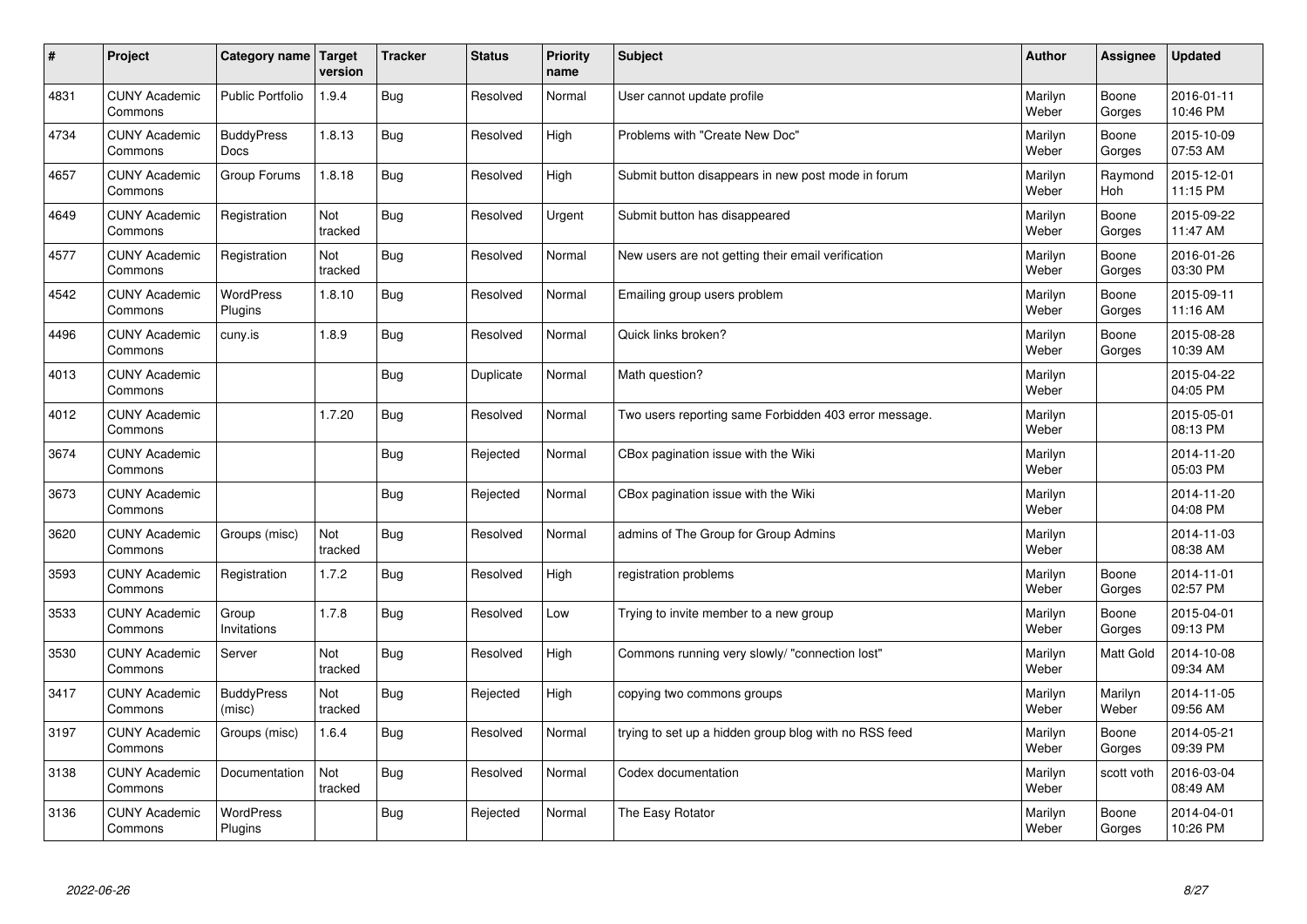| $\sharp$ | Project                         | Category name   Target      | version        | <b>Tracker</b> | <b>Status</b> | <b>Priority</b><br>name | <b>Subject</b>                                        | <b>Author</b>    | Assignee              | <b>Updated</b>         |
|----------|---------------------------------|-----------------------------|----------------|----------------|---------------|-------------------------|-------------------------------------------------------|------------------|-----------------------|------------------------|
| 4831     | <b>CUNY Academic</b><br>Commons | <b>Public Portfolio</b>     | 1.9.4          | Bug            | Resolved      | Normal                  | User cannot update profile                            | Marilyn<br>Weber | Boone<br>Gorges       | 2016-01-11<br>10:46 PM |
| 4734     | <b>CUNY Academic</b><br>Commons | <b>BuddyPress</b><br>Docs   | 1.8.13         | Bug            | Resolved      | High                    | Problems with "Create New Doc"                        | Marilyn<br>Weber | Boone<br>Gorges       | 2015-10-09<br>07:53 AM |
| 4657     | <b>CUNY Academic</b><br>Commons | Group Forums                | 1.8.18         | Bug            | Resolved      | High                    | Submit button disappears in new post mode in forum    | Marilyn<br>Weber | Raymond<br><b>Hoh</b> | 2015-12-01<br>11:15 PM |
| 4649     | <b>CUNY Academic</b><br>Commons | Registration                | Not<br>tracked | Bug            | Resolved      | Urgent                  | Submit button has disappeared                         | Marilyn<br>Weber | Boone<br>Gorges       | 2015-09-22<br>11:47 AM |
| 4577     | <b>CUNY Academic</b><br>Commons | Registration                | Not<br>tracked | Bug            | Resolved      | Normal                  | New users are not getting their email verification    | Marilyn<br>Weber | Boone<br>Gorges       | 2016-01-26<br>03:30 PM |
| 4542     | <b>CUNY Academic</b><br>Commons | <b>WordPress</b><br>Plugins | 1.8.10         | Bug            | Resolved      | Normal                  | Emailing group users problem                          | Marilyn<br>Weber | Boone<br>Gorges       | 2015-09-11<br>11:16 AM |
| 4496     | <b>CUNY Academic</b><br>Commons | cuny.is                     | 1.8.9          | Bug            | Resolved      | Normal                  | Quick links broken?                                   | Marilyn<br>Weber | Boone<br>Gorges       | 2015-08-28<br>10:39 AM |
| 4013     | <b>CUNY Academic</b><br>Commons |                             |                | Bug            | Duplicate     | Normal                  | Math question?                                        | Marilyn<br>Weber |                       | 2015-04-22<br>04:05 PM |
| 4012     | <b>CUNY Academic</b><br>Commons |                             | 1.7.20         | Bug            | Resolved      | Normal                  | Two users reporting same Forbidden 403 error message. | Marilyn<br>Weber |                       | 2015-05-01<br>08:13 PM |
| 3674     | <b>CUNY Academic</b><br>Commons |                             |                | Bug            | Rejected      | Normal                  | CBox pagination issue with the Wiki                   | Marilyn<br>Weber |                       | 2014-11-20<br>05:03 PM |
| 3673     | <b>CUNY Academic</b><br>Commons |                             |                | Bug            | Rejected      | Normal                  | CBox pagination issue with the Wiki                   | Marilyn<br>Weber |                       | 2014-11-20<br>04:08 PM |
| 3620     | <b>CUNY Academic</b><br>Commons | Groups (misc)               | Not<br>tracked | Bug            | Resolved      | Normal                  | admins of The Group for Group Admins                  | Marilyn<br>Weber |                       | 2014-11-03<br>08:38 AM |
| 3593     | <b>CUNY Academic</b><br>Commons | Registration                | 1.7.2          | Bug            | Resolved      | High                    | registration problems                                 | Marilyn<br>Weber | Boone<br>Gorges       | 2014-11-01<br>02:57 PM |
| 3533     | <b>CUNY Academic</b><br>Commons | Group<br>Invitations        | 1.7.8          | <b>Bug</b>     | Resolved      | Low                     | Trying to invite member to a new group                | Marilyn<br>Weber | Boone<br>Gorges       | 2015-04-01<br>09:13 PM |
| 3530     | <b>CUNY Academic</b><br>Commons | Server                      | Not<br>tracked | Bug            | Resolved      | High                    | Commons running very slowly/ "connection lost"        | Marilyn<br>Weber | Matt Gold             | 2014-10-08<br>09:34 AM |
| 3417     | <b>CUNY Academic</b><br>Commons | <b>BuddyPress</b><br>(misc) | Not<br>tracked | Bug            | Rejected      | High                    | copying two commons groups                            | Marilyn<br>Weber | Marilyn<br>Weber      | 2014-11-05<br>09:56 AM |
| 3197     | <b>CUNY Academic</b><br>Commons | Groups (misc)               | 1.6.4          | Bug            | Resolved      | Normal                  | trying to set up a hidden group blog with no RSS feed | Marilyn<br>Weber | Boone<br>Gorges       | 2014-05-21<br>09:39 PM |
| 3138     | <b>CUNY Academic</b><br>Commons | Documentation               | Not<br>tracked | Bug            | Resolved      | Normal                  | Codex documentation                                   | Marilyn<br>Weber | scott voth            | 2016-03-04<br>08:49 AM |
| 3136     | <b>CUNY Academic</b><br>Commons | <b>WordPress</b><br>Plugins |                | Bug            | Rejected      | Normal                  | The Easy Rotator                                      | Marilyn<br>Weber | Boone<br>Gorges       | 2014-04-01<br>10:26 PM |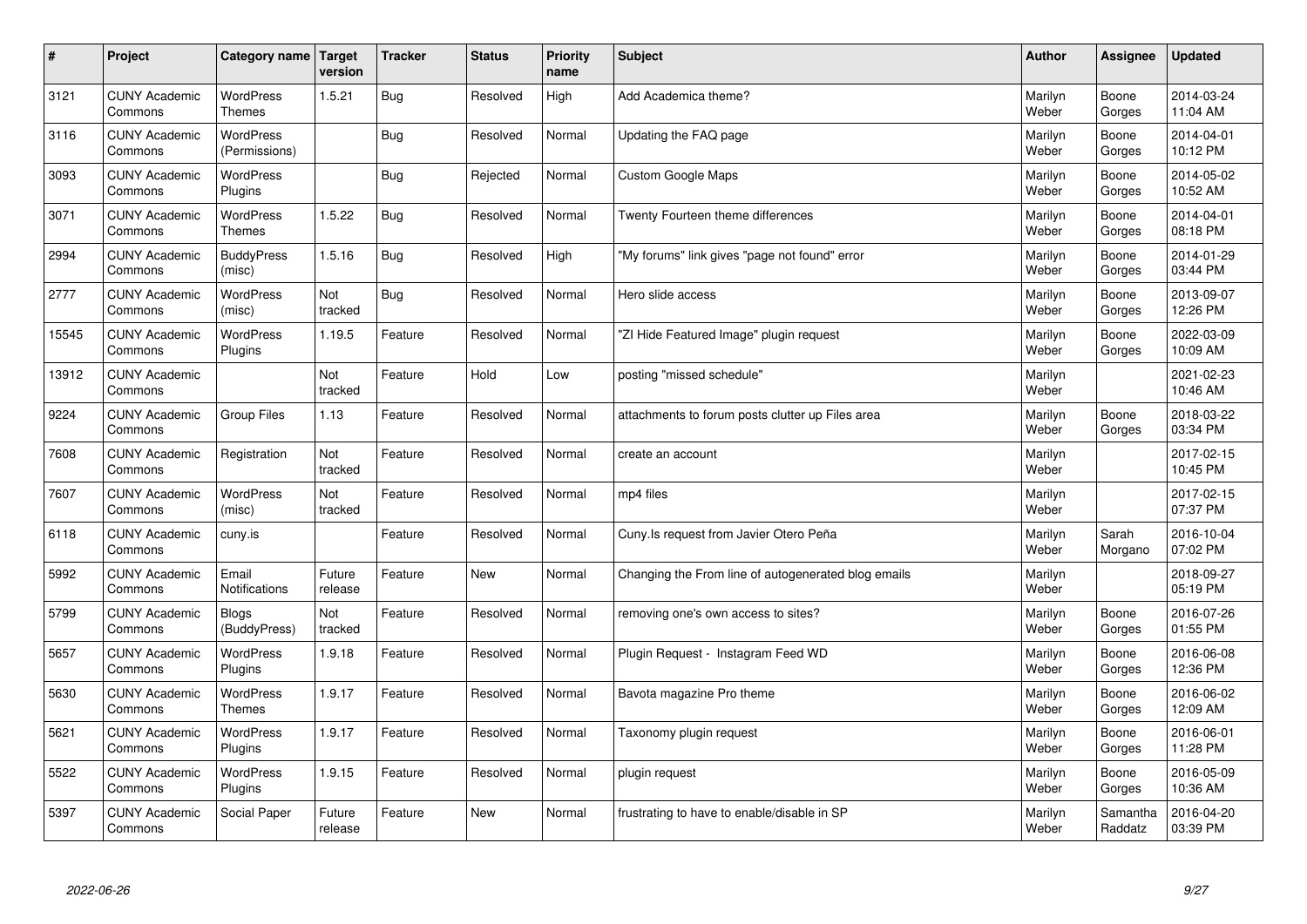| $\sharp$ | Project                         | Category name   Target            | version           | <b>Tracker</b> | <b>Status</b> | <b>Priority</b><br>name | <b>Subject</b>                                      | <b>Author</b>    | Assignee            | <b>Updated</b>         |
|----------|---------------------------------|-----------------------------------|-------------------|----------------|---------------|-------------------------|-----------------------------------------------------|------------------|---------------------|------------------------|
| 3121     | <b>CUNY Academic</b><br>Commons | <b>WordPress</b><br><b>Themes</b> | 1.5.21            | Bug            | Resolved      | High                    | Add Academica theme?                                | Marilyn<br>Weber | Boone<br>Gorges     | 2014-03-24<br>11:04 AM |
| 3116     | <b>CUNY Academic</b><br>Commons | <b>WordPress</b><br>(Permissions) |                   | Bug            | Resolved      | Normal                  | Updating the FAQ page                               | Marilyn<br>Weber | Boone<br>Gorges     | 2014-04-01<br>10:12 PM |
| 3093     | <b>CUNY Academic</b><br>Commons | WordPress<br>Plugins              |                   | Bug            | Rejected      | Normal                  | Custom Google Maps                                  | Marilyn<br>Weber | Boone<br>Gorges     | 2014-05-02<br>10:52 AM |
| 3071     | <b>CUNY Academic</b><br>Commons | <b>WordPress</b><br><b>Themes</b> | 1.5.22            | Bug            | Resolved      | Normal                  | Twenty Fourteen theme differences                   | Marilyn<br>Weber | Boone<br>Gorges     | 2014-04-01<br>08:18 PM |
| 2994     | <b>CUNY Academic</b><br>Commons | <b>BuddyPress</b><br>(misc)       | 1.5.16            | Bug            | Resolved      | High                    | "My forums" link gives "page not found" error       | Marilyn<br>Weber | Boone<br>Gorges     | 2014-01-29<br>03:44 PM |
| 2777     | <b>CUNY Academic</b><br>Commons | WordPress<br>(misc)               | Not<br>tracked    | Bug            | Resolved      | Normal                  | Hero slide access                                   | Marilyn<br>Weber | Boone<br>Gorges     | 2013-09-07<br>12:26 PM |
| 15545    | <b>CUNY Academic</b><br>Commons | WordPress<br>Plugins              | 1.19.5            | Feature        | Resolved      | Normal                  | 'ZI Hide Featured Image" plugin request             | Marilyn<br>Weber | Boone<br>Gorges     | 2022-03-09<br>10:09 AM |
| 13912    | <b>CUNY Academic</b><br>Commons |                                   | Not<br>tracked    | Feature        | Hold          | Low                     | posting "missed schedule"                           | Marilyn<br>Weber |                     | 2021-02-23<br>10:46 AM |
| 9224     | <b>CUNY Academic</b><br>Commons | Group Files                       | 1.13              | Feature        | Resolved      | Normal                  | attachments to forum posts clutter up Files area    | Marilyn<br>Weber | Boone<br>Gorges     | 2018-03-22<br>03:34 PM |
| 7608     | <b>CUNY Academic</b><br>Commons | Registration                      | Not<br>tracked    | Feature        | Resolved      | Normal                  | create an account                                   | Marilyn<br>Weber |                     | 2017-02-15<br>10:45 PM |
| 7607     | <b>CUNY Academic</b><br>Commons | WordPress<br>(misc)               | Not<br>tracked    | Feature        | Resolved      | Normal                  | mp4 files                                           | Marilyn<br>Weber |                     | 2017-02-15<br>07:37 PM |
| 6118     | <b>CUNY Academic</b><br>Commons | cuny.is                           |                   | Feature        | Resolved      | Normal                  | Cuny. Is request from Javier Otero Peña             | Marilyn<br>Weber | Sarah<br>Morgano    | 2016-10-04<br>07:02 PM |
| 5992     | <b>CUNY Academic</b><br>Commons | Email<br><b>Notifications</b>     | Future<br>release | Feature        | <b>New</b>    | Normal                  | Changing the From line of autogenerated blog emails | Marilyn<br>Weber |                     | 2018-09-27<br>05:19 PM |
| 5799     | <b>CUNY Academic</b><br>Commons | <b>Blogs</b><br>(BuddyPress)      | Not<br>tracked    | Feature        | Resolved      | Normal                  | removing one's own access to sites?                 | Marilyn<br>Weber | Boone<br>Gorges     | 2016-07-26<br>01:55 PM |
| 5657     | <b>CUNY Academic</b><br>Commons | <b>WordPress</b><br>Plugins       | 1.9.18            | Feature        | Resolved      | Normal                  | Plugin Request - Instagram Feed WD                  | Marilyn<br>Weber | Boone<br>Gorges     | 2016-06-08<br>12:36 PM |
| 5630     | <b>CUNY Academic</b><br>Commons | WordPress<br><b>Themes</b>        | 1.9.17            | Feature        | Resolved      | Normal                  | Bavota magazine Pro theme                           | Marilyn<br>Weber | Boone<br>Gorges     | 2016-06-02<br>12:09 AM |
| 5621     | <b>CUNY Academic</b><br>Commons | WordPress<br>Plugins              | 1.9.17            | Feature        | Resolved      | Normal                  | Taxonomy plugin request                             | Marilyn<br>Weber | Boone<br>Gorges     | 2016-06-01<br>11:28 PM |
| 5522     | <b>CUNY Academic</b><br>Commons | WordPress<br>Plugins              | 1.9.15            | Feature        | Resolved      | Normal                  | plugin request                                      | Marilyn<br>Weber | Boone<br>Gorges     | 2016-05-09<br>10:36 AM |
| 5397     | <b>CUNY Academic</b><br>Commons | Social Paper                      | Future<br>release | Feature        | <b>New</b>    | Normal                  | frustrating to have to enable/disable in SP         | Marilyn<br>Weber | Samantha<br>Raddatz | 2016-04-20<br>03:39 PM |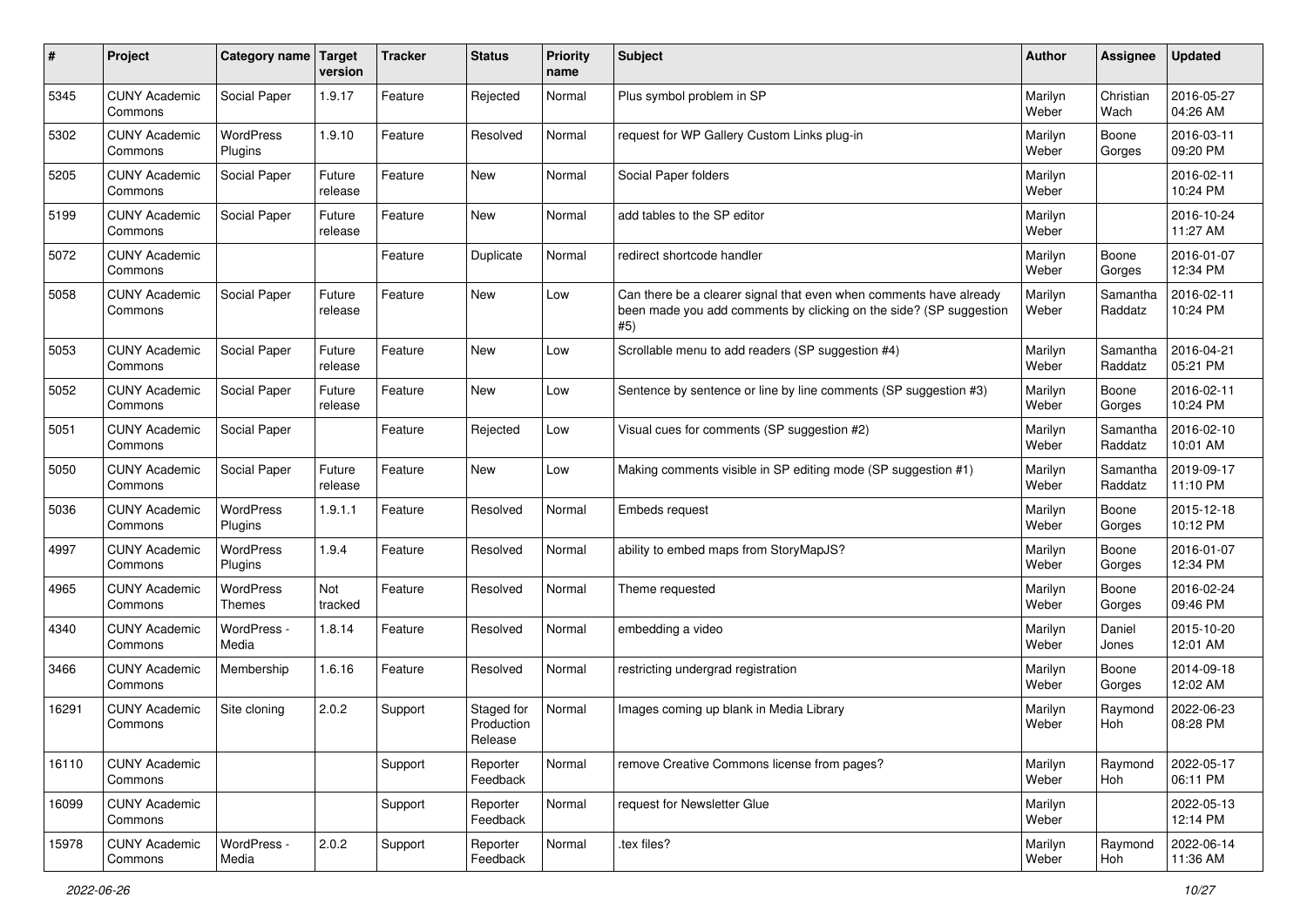| #     | Project                         | Category name              | <b>Target</b><br>version | <b>Tracker</b> | <b>Status</b>                       | <b>Priority</b><br>name | Subject                                                                                                                                         | Author           | Assignee            | <b>Updated</b>         |
|-------|---------------------------------|----------------------------|--------------------------|----------------|-------------------------------------|-------------------------|-------------------------------------------------------------------------------------------------------------------------------------------------|------------------|---------------------|------------------------|
| 5345  | <b>CUNY Academic</b><br>Commons | Social Paper               | 1.9.17                   | Feature        | Rejected                            | Normal                  | Plus symbol problem in SP                                                                                                                       | Marilyn<br>Weber | Christian<br>Wach   | 2016-05-27<br>04:26 AM |
| 5302  | <b>CUNY Academic</b><br>Commons | WordPress<br>Plugins       | 1.9.10                   | Feature        | Resolved                            | Normal                  | request for WP Gallery Custom Links plug-in                                                                                                     | Marilyn<br>Weber | Boone<br>Gorges     | 2016-03-11<br>09:20 PM |
| 5205  | <b>CUNY Academic</b><br>Commons | Social Paper               | Future<br>release        | Feature        | New                                 | Normal                  | Social Paper folders                                                                                                                            | Marilyn<br>Weber |                     | 2016-02-11<br>10:24 PM |
| 5199  | <b>CUNY Academic</b><br>Commons | Social Paper               | Future<br>release        | Feature        | New                                 | Normal                  | add tables to the SP editor                                                                                                                     | Marilyn<br>Weber |                     | 2016-10-24<br>11:27 AM |
| 5072  | <b>CUNY Academic</b><br>Commons |                            |                          | Feature        | Duplicate                           | Normal                  | redirect shortcode handler                                                                                                                      | Marilyn<br>Weber | Boone<br>Gorges     | 2016-01-07<br>12:34 PM |
| 5058  | <b>CUNY Academic</b><br>Commons | Social Paper               | Future<br>release        | Feature        | New                                 | Low                     | Can there be a clearer signal that even when comments have already<br>been made you add comments by clicking on the side? (SP suggestion<br>#5) | Marilyn<br>Weber | Samantha<br>Raddatz | 2016-02-11<br>10:24 PM |
| 5053  | <b>CUNY Academic</b><br>Commons | Social Paper               | Future<br>release        | Feature        | <b>New</b>                          | Low                     | Scrollable menu to add readers (SP suggestion #4)                                                                                               | Marilyn<br>Weber | Samantha<br>Raddatz | 2016-04-21<br>05:21 PM |
| 5052  | <b>CUNY Academic</b><br>Commons | Social Paper               | Future<br>release        | Feature        | New                                 | Low                     | Sentence by sentence or line by line comments (SP suggestion #3)                                                                                | Marilyn<br>Weber | Boone<br>Gorges     | 2016-02-11<br>10:24 PM |
| 5051  | <b>CUNY Academic</b><br>Commons | Social Paper               |                          | Feature        | Rejected                            | Low                     | Visual cues for comments (SP suggestion #2)                                                                                                     | Marilyn<br>Weber | Samantha<br>Raddatz | 2016-02-10<br>10:01 AM |
| 5050  | <b>CUNY Academic</b><br>Commons | Social Paper               | Future<br>release        | Feature        | New                                 | Low                     | Making comments visible in SP editing mode (SP suggestion #1)                                                                                   | Marilyn<br>Weber | Samantha<br>Raddatz | 2019-09-17<br>11:10 PM |
| 5036  | <b>CUNY Academic</b><br>Commons | WordPress<br>Plugins       | 1.9.1.1                  | Feature        | Resolved                            | Normal                  | Embeds request                                                                                                                                  | Marilyn<br>Weber | Boone<br>Gorges     | 2015-12-18<br>10:12 PM |
| 4997  | <b>CUNY Academic</b><br>Commons | WordPress<br>Plugins       | 1.9.4                    | Feature        | Resolved                            | Normal                  | ability to embed maps from StoryMapJS?                                                                                                          | Marilyn<br>Weber | Boone<br>Gorges     | 2016-01-07<br>12:34 PM |
| 4965  | <b>CUNY Academic</b><br>Commons | WordPress<br><b>Themes</b> | Not<br>tracked           | Feature        | Resolved                            | Normal                  | Theme requested                                                                                                                                 | Marilyn<br>Weber | Boone<br>Gorges     | 2016-02-24<br>09:46 PM |
| 4340  | <b>CUNY Academic</b><br>Commons | WordPress -<br>Media       | 1.8.14                   | Feature        | Resolved                            | Normal                  | embedding a video                                                                                                                               | Marilyn<br>Weber | Daniel<br>Jones     | 2015-10-20<br>12:01 AM |
| 3466  | <b>CUNY Academic</b><br>Commons | Membership                 | 1.6.16                   | Feature        | Resolved                            | Normal                  | restricting undergrad registration                                                                                                              | Marilyn<br>Weber | Boone<br>Gorges     | 2014-09-18<br>12:02 AM |
| 16291 | <b>CUNY Academic</b><br>Commons | Site cloning               | 2.0.2                    | Support        | Staged for<br>Production<br>Release | Normal                  | Images coming up blank in Media Library                                                                                                         | Marilyn<br>Weber | Raymond<br>Hoh      | 2022-06-23<br>08:28 PM |
| 16110 | <b>CUNY Academic</b><br>Commons |                            |                          | Support        | Reporter<br>Feedback                | Normal                  | remove Creative Commons license from pages?                                                                                                     | Marilyn<br>Weber | Raymond<br>Hoh      | 2022-05-17<br>06:11 PM |
| 16099 | <b>CUNY Academic</b><br>Commons |                            |                          | Support        | Reporter<br>Feedback                | Normal                  | request for Newsletter Glue                                                                                                                     | Marilyn<br>Weber |                     | 2022-05-13<br>12:14 PM |
| 15978 | <b>CUNY Academic</b><br>Commons | WordPress -<br>Media       | 2.0.2                    | Support        | Reporter<br>Feedback                | Normal                  | .tex files?                                                                                                                                     | Marilyn<br>Weber | Raymond<br>Hoh      | 2022-06-14<br>11:36 AM |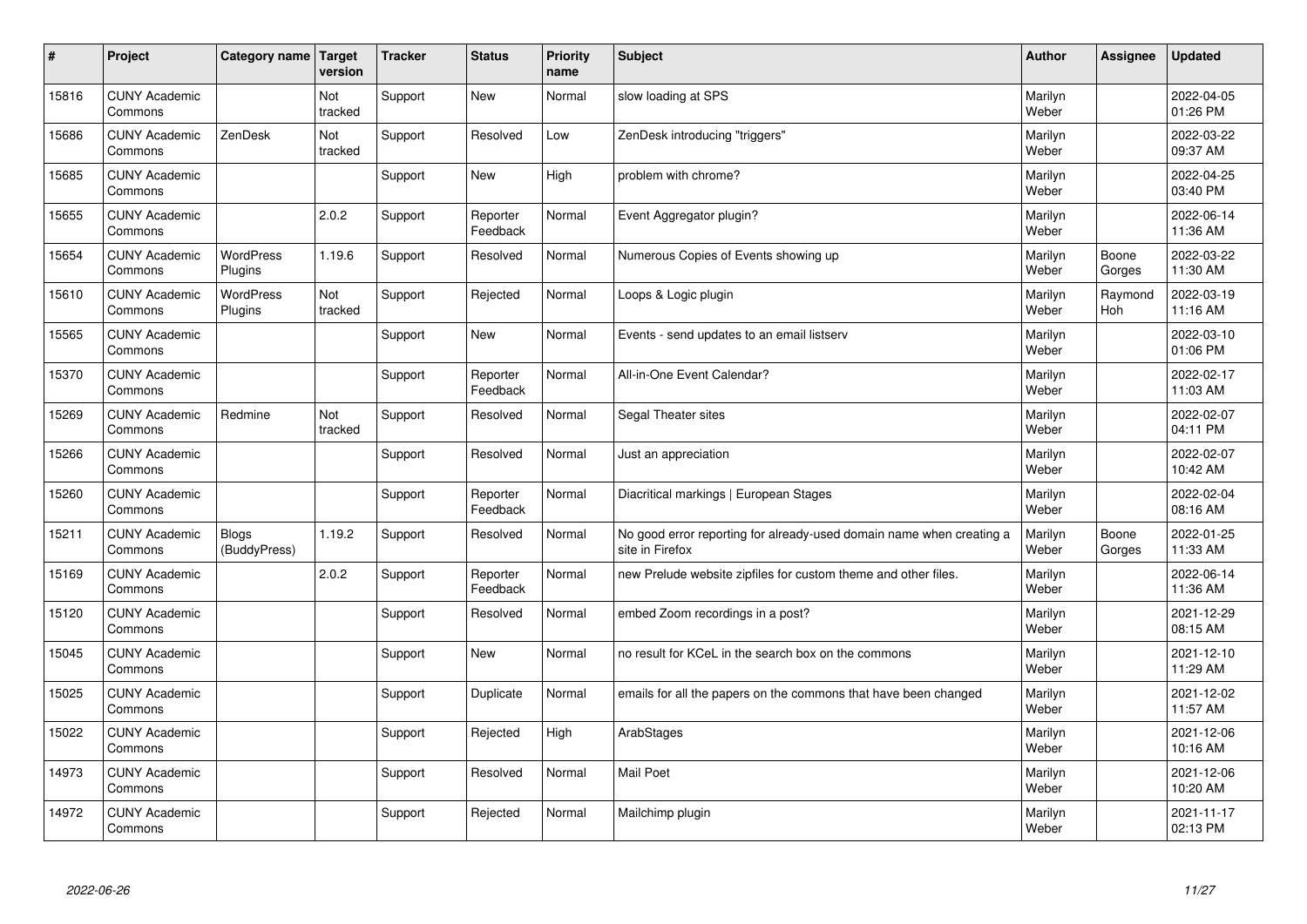| #     | Project                         | Category name   Target       | version        | <b>Tracker</b> | <b>Status</b>        | <b>Priority</b><br>name | <b>Subject</b>                                                                          | <b>Author</b>    | <b>Assignee</b> | <b>Updated</b>         |
|-------|---------------------------------|------------------------------|----------------|----------------|----------------------|-------------------------|-----------------------------------------------------------------------------------------|------------------|-----------------|------------------------|
| 15816 | <b>CUNY Academic</b><br>Commons |                              | Not<br>tracked | Support        | <b>New</b>           | Normal                  | slow loading at SPS                                                                     | Marilyn<br>Weber |                 | 2022-04-05<br>01:26 PM |
| 15686 | <b>CUNY Academic</b><br>Commons | ZenDesk                      | Not<br>tracked | Support        | Resolved             | Low                     | ZenDesk introducing "triggers"                                                          | Marilyn<br>Weber |                 | 2022-03-22<br>09:37 AM |
| 15685 | <b>CUNY Academic</b><br>Commons |                              |                | Support        | <b>New</b>           | High                    | problem with chrome?                                                                    | Marilyn<br>Weber |                 | 2022-04-25<br>03:40 PM |
| 15655 | <b>CUNY Academic</b><br>Commons |                              | 2.0.2          | Support        | Reporter<br>Feedback | Normal                  | Event Aggregator plugin?                                                                | Marilyn<br>Weber |                 | 2022-06-14<br>11:36 AM |
| 15654 | <b>CUNY Academic</b><br>Commons | <b>WordPress</b><br>Plugins  | 1.19.6         | Support        | Resolved             | Normal                  | Numerous Copies of Events showing up                                                    | Marilyn<br>Weber | Boone<br>Gorges | 2022-03-22<br>11:30 AM |
| 15610 | <b>CUNY Academic</b><br>Commons | <b>WordPress</b><br>Plugins  | Not<br>tracked | Support        | Rejected             | Normal                  | Loops & Logic plugin                                                                    | Marilyn<br>Weber | Raymond<br>Hoh  | 2022-03-19<br>11:16 AM |
| 15565 | <b>CUNY Academic</b><br>Commons |                              |                | Support        | <b>New</b>           | Normal                  | Events - send updates to an email listserv                                              | Marilyn<br>Weber |                 | 2022-03-10<br>01:06 PM |
| 15370 | <b>CUNY Academic</b><br>Commons |                              |                | Support        | Reporter<br>Feedback | Normal                  | All-in-One Event Calendar?                                                              | Marilyn<br>Weber |                 | 2022-02-17<br>11:03 AM |
| 15269 | <b>CUNY Academic</b><br>Commons | Redmine                      | Not<br>tracked | Support        | Resolved             | Normal                  | Segal Theater sites                                                                     | Marilyn<br>Weber |                 | 2022-02-07<br>04:11 PM |
| 15266 | <b>CUNY Academic</b><br>Commons |                              |                | Support        | Resolved             | Normal                  | Just an appreciation                                                                    | Marilyn<br>Weber |                 | 2022-02-07<br>10:42 AM |
| 15260 | <b>CUNY Academic</b><br>Commons |                              |                | Support        | Reporter<br>Feedback | Normal                  | Diacritical markings   European Stages                                                  | Marilyn<br>Weber |                 | 2022-02-04<br>08:16 AM |
| 15211 | <b>CUNY Academic</b><br>Commons | <b>Blogs</b><br>(BuddyPress) | 1.19.2         | Support        | Resolved             | Normal                  | No good error reporting for already-used domain name when creating a<br>site in Firefox | Marilyn<br>Weber | Boone<br>Gorges | 2022-01-25<br>11:33 AM |
| 15169 | <b>CUNY Academic</b><br>Commons |                              | 2.0.2          | Support        | Reporter<br>Feedback | Normal                  | new Prelude website zipfiles for custom theme and other files.                          | Marilyn<br>Weber |                 | 2022-06-14<br>11:36 AM |
| 15120 | <b>CUNY Academic</b><br>Commons |                              |                | Support        | Resolved             | Normal                  | embed Zoom recordings in a post?                                                        | Marilyn<br>Weber |                 | 2021-12-29<br>08:15 AM |
| 15045 | <b>CUNY Academic</b><br>Commons |                              |                | Support        | <b>New</b>           | Normal                  | no result for KCeL in the search box on the commons                                     | Marilyn<br>Weber |                 | 2021-12-10<br>11:29 AM |
| 15025 | <b>CUNY Academic</b><br>Commons |                              |                | Support        | Duplicate            | Normal                  | emails for all the papers on the commons that have been changed                         | Marilyn<br>Weber |                 | 2021-12-02<br>11:57 AM |
| 15022 | <b>CUNY Academic</b><br>Commons |                              |                | Support        | Rejected             | High                    | ArabStages                                                                              | Marilyn<br>Weber |                 | 2021-12-06<br>10:16 AM |
| 14973 | <b>CUNY Academic</b><br>Commons |                              |                | Support        | Resolved             | Normal                  | <b>Mail Poet</b>                                                                        | Marilyn<br>Weber |                 | 2021-12-06<br>10:20 AM |
| 14972 | <b>CUNY Academic</b><br>Commons |                              |                | Support        | Rejected             | Normal                  | Mailchimp plugin                                                                        | Marilyn<br>Weber |                 | 2021-11-17<br>02:13 PM |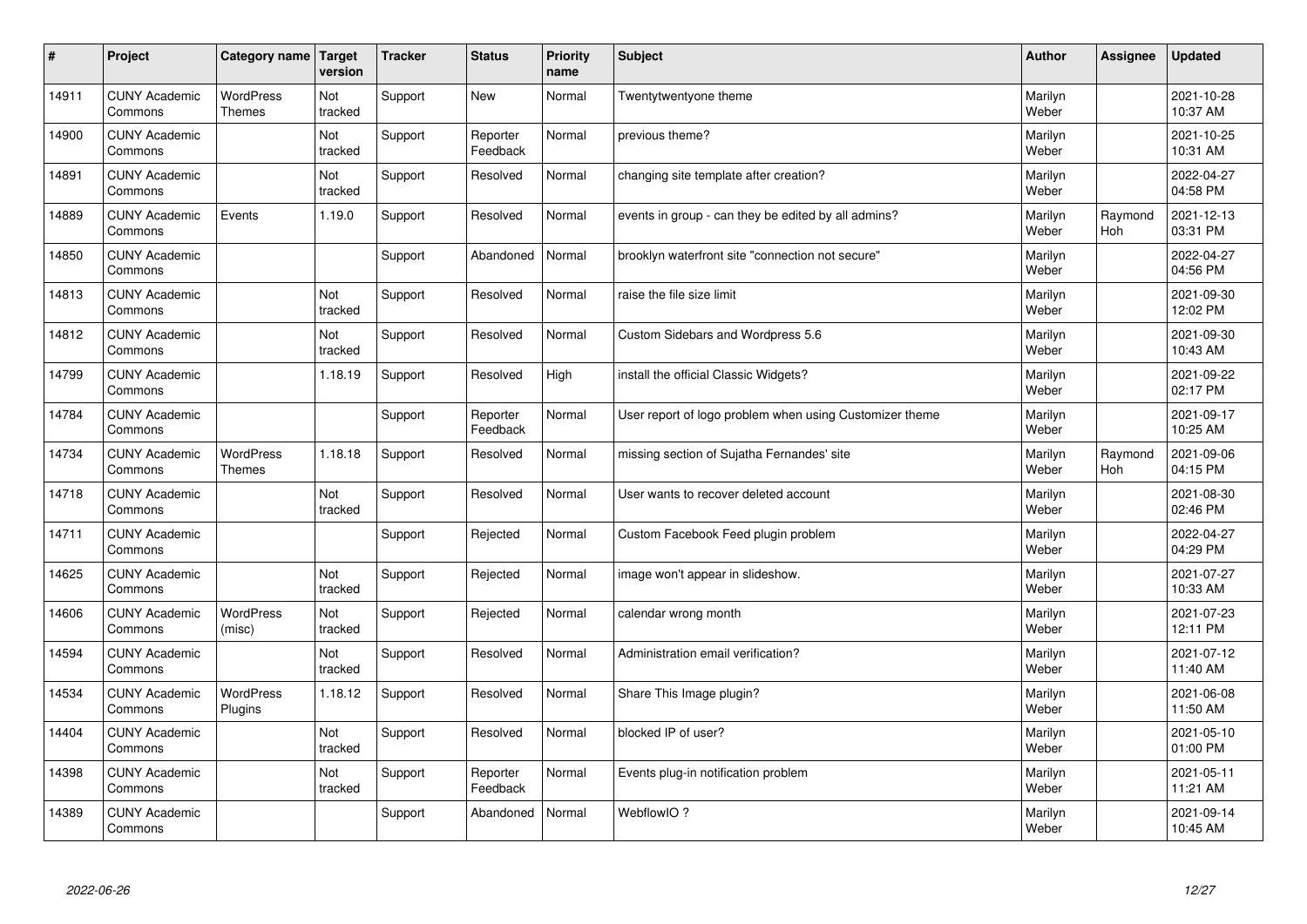| $\sharp$ | Project                         | Category name               | Target<br>version | <b>Tracker</b> | <b>Status</b>        | <b>Priority</b><br>name | <b>Subject</b>                                          | <b>Author</b>    | Assignee       | <b>Updated</b>         |
|----------|---------------------------------|-----------------------------|-------------------|----------------|----------------------|-------------------------|---------------------------------------------------------|------------------|----------------|------------------------|
| 14911    | <b>CUNY Academic</b><br>Commons | <b>WordPress</b><br>Themes  | Not<br>tracked    | Support        | <b>New</b>           | Normal                  | Twentytwentyone theme                                   | Marilyn<br>Weber |                | 2021-10-28<br>10:37 AM |
| 14900    | <b>CUNY Academic</b><br>Commons |                             | Not<br>tracked    | Support        | Reporter<br>Feedback | Normal                  | previous theme?                                         | Marilyn<br>Weber |                | 2021-10-25<br>10:31 AM |
| 14891    | <b>CUNY Academic</b><br>Commons |                             | Not<br>tracked    | Support        | Resolved             | Normal                  | changing site template after creation?                  | Marilyn<br>Weber |                | 2022-04-27<br>04:58 PM |
| 14889    | <b>CUNY Academic</b><br>Commons | Events                      | 1.19.0            | Support        | Resolved             | Normal                  | events in group - can they be edited by all admins?     | Marilyn<br>Weber | Raymond<br>Hoh | 2021-12-13<br>03:31 PM |
| 14850    | <b>CUNY Academic</b><br>Commons |                             |                   | Support        | Abandoned            | Normal                  | brooklyn waterfront site "connection not secure"        | Marilyn<br>Weber |                | 2022-04-27<br>04:56 PM |
| 14813    | <b>CUNY Academic</b><br>Commons |                             | Not<br>tracked    | Support        | Resolved             | Normal                  | raise the file size limit                               | Marilyn<br>Weber |                | 2021-09-30<br>12:02 PM |
| 14812    | <b>CUNY Academic</b><br>Commons |                             | Not<br>tracked    | Support        | Resolved             | Normal                  | Custom Sidebars and Wordpress 5.6                       | Marilyn<br>Weber |                | 2021-09-30<br>10:43 AM |
| 14799    | <b>CUNY Academic</b><br>Commons |                             | 1.18.19           | Support        | Resolved             | High                    | install the official Classic Widgets?                   | Marilyn<br>Weber |                | 2021-09-22<br>02:17 PM |
| 14784    | <b>CUNY Academic</b><br>Commons |                             |                   | Support        | Reporter<br>Feedback | Normal                  | User report of logo problem when using Customizer theme | Marilyn<br>Weber |                | 2021-09-17<br>10:25 AM |
| 14734    | <b>CUNY Academic</b><br>Commons | WordPress<br>Themes         | 1.18.18           | Support        | Resolved             | Normal                  | missing section of Sujatha Fernandes' site              | Marilyn<br>Weber | Raymond<br>Hoh | 2021-09-06<br>04:15 PM |
| 14718    | <b>CUNY Academic</b><br>Commons |                             | Not<br>tracked    | Support        | Resolved             | Normal                  | User wants to recover deleted account                   | Marilyn<br>Weber |                | 2021-08-30<br>02:46 PM |
| 14711    | <b>CUNY Academic</b><br>Commons |                             |                   | Support        | Rejected             | Normal                  | Custom Facebook Feed plugin problem                     | Marilyn<br>Weber |                | 2022-04-27<br>04:29 PM |
| 14625    | <b>CUNY Academic</b><br>Commons |                             | Not<br>tracked    | Support        | Rejected             | Normal                  | image won't appear in slideshow.                        | Marilyn<br>Weber |                | 2021-07-27<br>10:33 AM |
| 14606    | <b>CUNY Academic</b><br>Commons | <b>WordPress</b><br>(misc)  | Not<br>tracked    | Support        | Rejected             | Normal                  | calendar wrong month                                    | Marilyn<br>Weber |                | 2021-07-23<br>12:11 PM |
| 14594    | <b>CUNY Academic</b><br>Commons |                             | Not<br>tracked    | Support        | Resolved             | Normal                  | Administration email verification?                      | Marilyn<br>Weber |                | 2021-07-12<br>11:40 AM |
| 14534    | <b>CUNY Academic</b><br>Commons | <b>WordPress</b><br>Plugins | 1.18.12           | Support        | Resolved             | Normal                  | Share This Image plugin?                                | Marilyn<br>Weber |                | 2021-06-08<br>11:50 AM |
| 14404    | <b>CUNY Academic</b><br>Commons |                             | Not<br>tracked    | Support        | Resolved             | Normal                  | blocked IP of user?                                     | Marilyn<br>Weber |                | 2021-05-10<br>01:00 PM |
| 14398    | <b>CUNY Academic</b><br>Commons |                             | Not<br>tracked    | Support        | Reporter<br>Feedback | Normal                  | Events plug-in notification problem                     | Marilyn<br>Weber |                | 2021-05-11<br>11:21 AM |
| 14389    | <b>CUNY Academic</b><br>Commons |                             |                   | Support        | Abandoned            | Normal                  | WebflowIO?                                              | Marilyn<br>Weber |                | 2021-09-14<br>10:45 AM |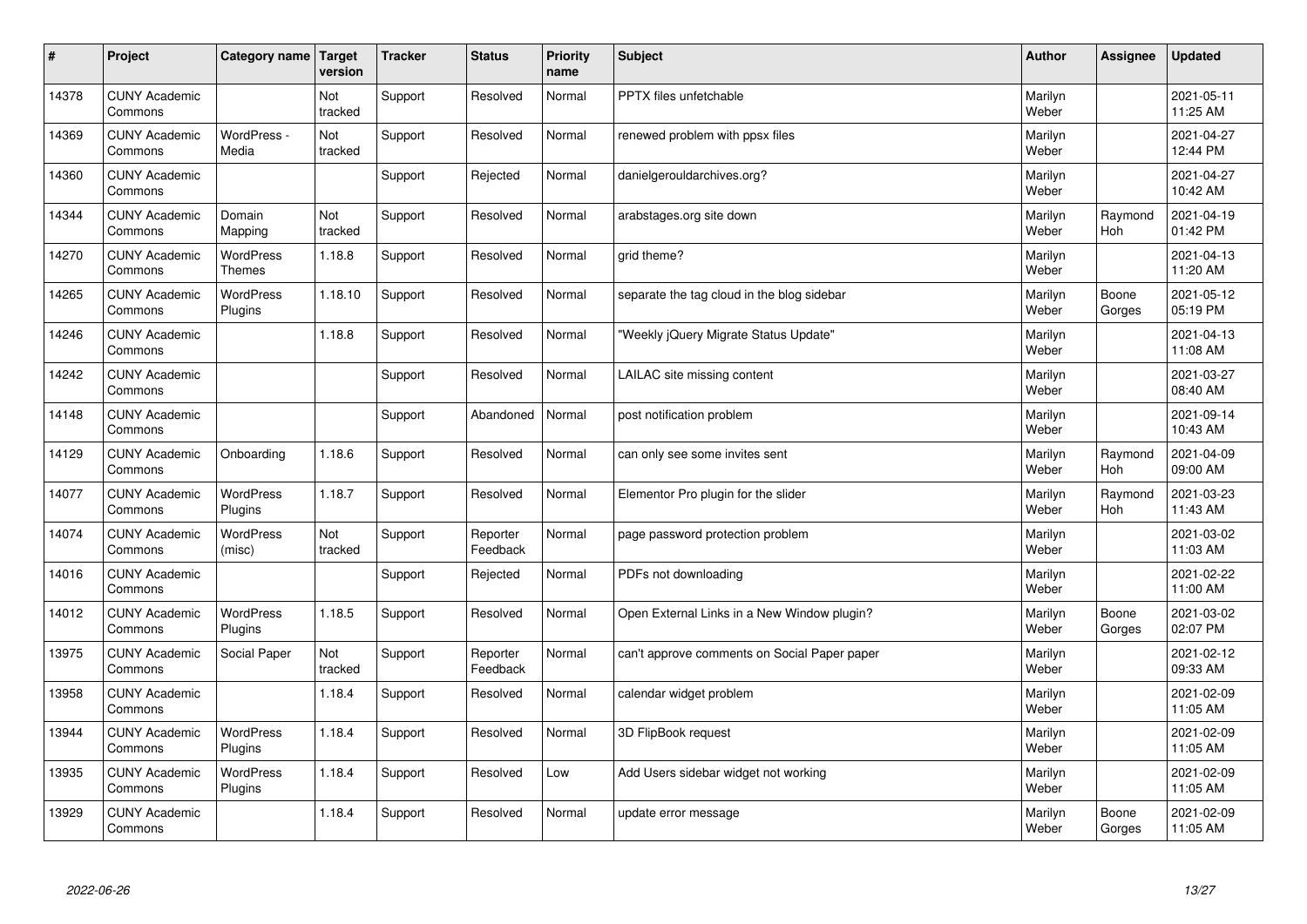| #     | Project                         | Category name   Target            | version        | <b>Tracker</b> | <b>Status</b>        | <b>Priority</b><br>name | <b>Subject</b>                               | <b>Author</b>    | Assignee              | <b>Updated</b>         |
|-------|---------------------------------|-----------------------------------|----------------|----------------|----------------------|-------------------------|----------------------------------------------|------------------|-----------------------|------------------------|
| 14378 | <b>CUNY Academic</b><br>Commons |                                   | Not<br>tracked | Support        | Resolved             | Normal                  | <b>PPTX</b> files unfetchable                | Marilyn<br>Weber |                       | 2021-05-11<br>11:25 AM |
| 14369 | <b>CUNY Academic</b><br>Commons | WordPress -<br>Media              | Not<br>tracked | Support        | Resolved             | Normal                  | renewed problem with ppsx files              | Marilyn<br>Weber |                       | 2021-04-27<br>12:44 PM |
| 14360 | <b>CUNY Academic</b><br>Commons |                                   |                | Support        | Rejected             | Normal                  | danielgerouldarchives.org?                   | Marilyn<br>Weber |                       | 2021-04-27<br>10:42 AM |
| 14344 | <b>CUNY Academic</b><br>Commons | Domain<br>Mapping                 | Not<br>tracked | Support        | Resolved             | Normal                  | arabstages.org site down                     | Marilyn<br>Weber | Raymond<br>Hoh        | 2021-04-19<br>01:42 PM |
| 14270 | <b>CUNY Academic</b><br>Commons | <b>WordPress</b><br><b>Themes</b> | 1.18.8         | Support        | Resolved             | Normal                  | grid theme?                                  | Marilyn<br>Weber |                       | 2021-04-13<br>11:20 AM |
| 14265 | <b>CUNY Academic</b><br>Commons | <b>WordPress</b><br>Plugins       | 1.18.10        | Support        | Resolved             | Normal                  | separate the tag cloud in the blog sidebar   | Marilyn<br>Weber | Boone<br>Gorges       | 2021-05-12<br>05:19 PM |
| 14246 | <b>CUNY Academic</b><br>Commons |                                   | 1.18.8         | Support        | Resolved             | Normal                  | 'Weekly jQuery Migrate Status Update"        | Marilyn<br>Weber |                       | 2021-04-13<br>11:08 AM |
| 14242 | <b>CUNY Academic</b><br>Commons |                                   |                | Support        | Resolved             | Normal                  | LAILAC site missing content                  | Marilyn<br>Weber |                       | 2021-03-27<br>08:40 AM |
| 14148 | <b>CUNY Academic</b><br>Commons |                                   |                | Support        | Abandoned            | Normal                  | post notification problem                    | Marilyn<br>Weber |                       | 2021-09-14<br>10:43 AM |
| 14129 | <b>CUNY Academic</b><br>Commons | Onboarding                        | 1.18.6         | Support        | Resolved             | Normal                  | can only see some invites sent               | Marilyn<br>Weber | Raymond<br><b>Hoh</b> | 2021-04-09<br>09:00 AM |
| 14077 | <b>CUNY Academic</b><br>Commons | <b>WordPress</b><br>Plugins       | 1.18.7         | Support        | Resolved             | Normal                  | Elementor Pro plugin for the slider          | Marilyn<br>Weber | Raymond<br><b>Hoh</b> | 2021-03-23<br>11:43 AM |
| 14074 | <b>CUNY Academic</b><br>Commons | <b>WordPress</b><br>(misc)        | Not<br>tracked | Support        | Reporter<br>Feedback | Normal                  | page password protection problem             | Marilyn<br>Weber |                       | 2021-03-02<br>11:03 AM |
| 14016 | <b>CUNY Academic</b><br>Commons |                                   |                | Support        | Rejected             | Normal                  | PDFs not downloading                         | Marilyn<br>Weber |                       | 2021-02-22<br>11:00 AM |
| 14012 | <b>CUNY Academic</b><br>Commons | WordPress<br>Plugins              | 1.18.5         | Support        | Resolved             | Normal                  | Open External Links in a New Window plugin?  | Marilyn<br>Weber | Boone<br>Gorges       | 2021-03-02<br>02:07 PM |
| 13975 | <b>CUNY Academic</b><br>Commons | Social Paper                      | Not<br>tracked | Support        | Reporter<br>Feedback | Normal                  | can't approve comments on Social Paper paper | Marilyn<br>Weber |                       | 2021-02-12<br>09:33 AM |
| 13958 | <b>CUNY Academic</b><br>Commons |                                   | 1.18.4         | Support        | Resolved             | Normal                  | calendar widget problem                      | Marilyn<br>Weber |                       | 2021-02-09<br>11:05 AM |
| 13944 | <b>CUNY Academic</b><br>Commons | WordPress<br>Plugins              | 1.18.4         | Support        | Resolved             | Normal                  | 3D FlipBook request                          | Marilyn<br>Weber |                       | 2021-02-09<br>11:05 AM |
| 13935 | <b>CUNY Academic</b><br>Commons | <b>WordPress</b><br>Plugins       | 1.18.4         | Support        | Resolved             | Low                     | Add Users sidebar widget not working         | Marilyn<br>Weber |                       | 2021-02-09<br>11:05 AM |
| 13929 | <b>CUNY Academic</b><br>Commons |                                   | 1.18.4         | Support        | Resolved             | Normal                  | update error message                         | Marilyn<br>Weber | Boone<br>Gorges       | 2021-02-09<br>11:05 AM |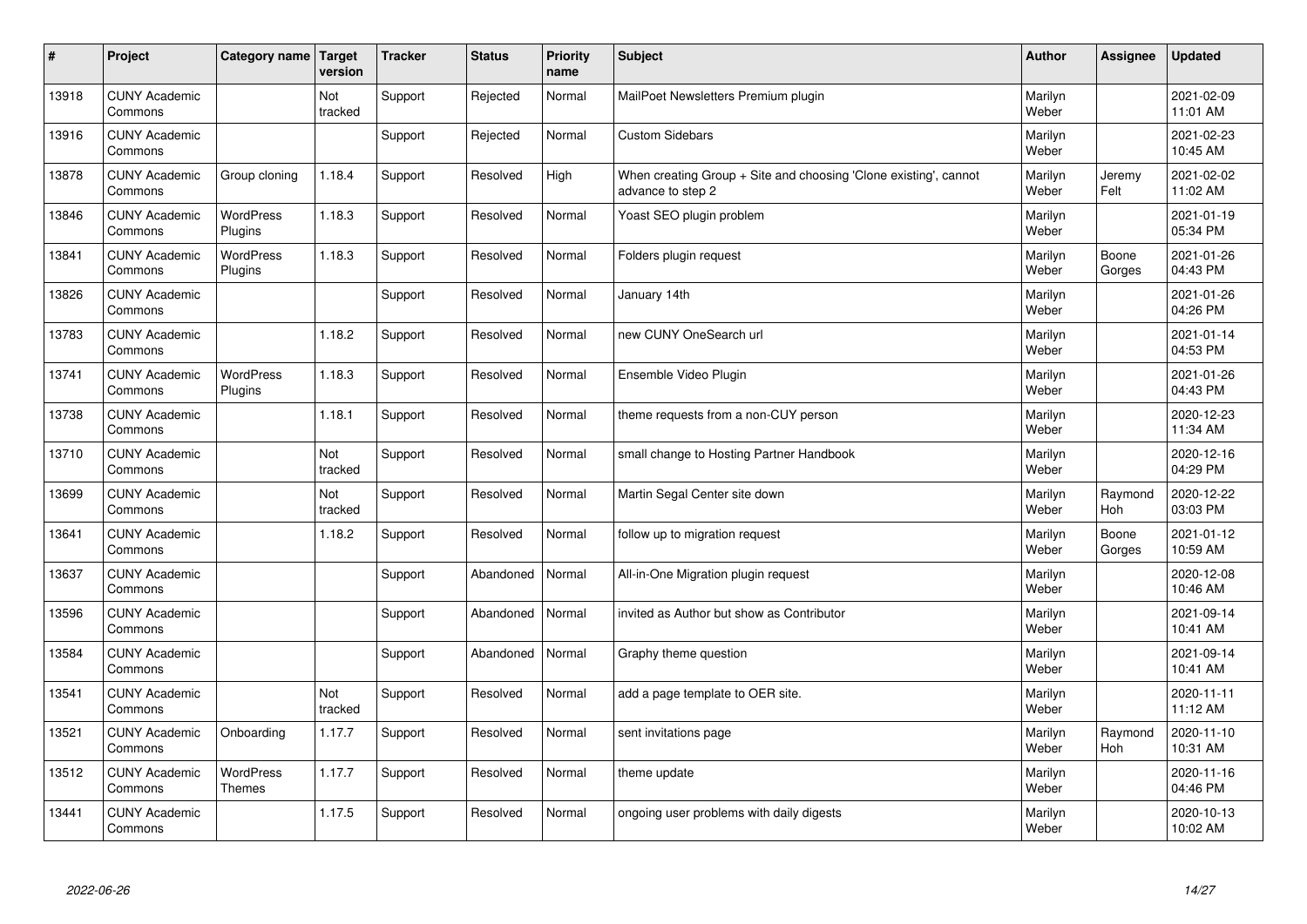| $\sharp$ | Project                         | Category name   Target            | version        | <b>Tracker</b> | <b>Status</b> | <b>Priority</b><br>name | <b>Subject</b>                                                                        | <b>Author</b>    | Assignee              | <b>Updated</b>         |
|----------|---------------------------------|-----------------------------------|----------------|----------------|---------------|-------------------------|---------------------------------------------------------------------------------------|------------------|-----------------------|------------------------|
| 13918    | <b>CUNY Academic</b><br>Commons |                                   | Not<br>tracked | Support        | Rejected      | Normal                  | MailPoet Newsletters Premium plugin                                                   | Marilyn<br>Weber |                       | 2021-02-09<br>11:01 AM |
| 13916    | <b>CUNY Academic</b><br>Commons |                                   |                | Support        | Rejected      | Normal                  | <b>Custom Sidebars</b>                                                                | Marilyn<br>Weber |                       | 2021-02-23<br>10:45 AM |
| 13878    | <b>CUNY Academic</b><br>Commons | Group cloning                     | 1.18.4         | Support        | Resolved      | High                    | When creating Group + Site and choosing 'Clone existing', cannot<br>advance to step 2 | Marilyn<br>Weber | Jeremy<br>Felt        | 2021-02-02<br>11:02 AM |
| 13846    | <b>CUNY Academic</b><br>Commons | <b>WordPress</b><br>Plugins       | 1.18.3         | Support        | Resolved      | Normal                  | Yoast SEO plugin problem                                                              | Marilyn<br>Weber |                       | 2021-01-19<br>05:34 PM |
| 13841    | <b>CUNY Academic</b><br>Commons | <b>WordPress</b><br>Plugins       | 1.18.3         | Support        | Resolved      | Normal                  | Folders plugin request                                                                | Marilyn<br>Weber | Boone<br>Gorges       | 2021-01-26<br>04:43 PM |
| 13826    | <b>CUNY Academic</b><br>Commons |                                   |                | Support        | Resolved      | Normal                  | January 14th                                                                          | Marilyn<br>Weber |                       | 2021-01-26<br>04:26 PM |
| 13783    | <b>CUNY Academic</b><br>Commons |                                   | 1.18.2         | Support        | Resolved      | Normal                  | new CUNY OneSearch url                                                                | Marilyn<br>Weber |                       | 2021-01-14<br>04:53 PM |
| 13741    | <b>CUNY Academic</b><br>Commons | WordPress<br>Plugins              | 1.18.3         | Support        | Resolved      | Normal                  | Ensemble Video Plugin                                                                 | Marilyn<br>Weber |                       | 2021-01-26<br>04:43 PM |
| 13738    | <b>CUNY Academic</b><br>Commons |                                   | 1.18.1         | Support        | Resolved      | Normal                  | theme requests from a non-CUY person                                                  | Marilyn<br>Weber |                       | 2020-12-23<br>11:34 AM |
| 13710    | <b>CUNY Academic</b><br>Commons |                                   | Not<br>tracked | Support        | Resolved      | Normal                  | small change to Hosting Partner Handbook                                              | Marilyn<br>Weber |                       | 2020-12-16<br>04:29 PM |
| 13699    | <b>CUNY Academic</b><br>Commons |                                   | Not<br>tracked | Support        | Resolved      | Normal                  | Martin Segal Center site down                                                         | Marilyn<br>Weber | Raymond<br>Hoh        | 2020-12-22<br>03:03 PM |
| 13641    | <b>CUNY Academic</b><br>Commons |                                   | 1.18.2         | Support        | Resolved      | Normal                  | follow up to migration request                                                        | Marilyn<br>Weber | Boone<br>Gorges       | 2021-01-12<br>10:59 AM |
| 13637    | <b>CUNY Academic</b><br>Commons |                                   |                | Support        | Abandoned     | Normal                  | All-in-One Migration plugin request                                                   | Marilyn<br>Weber |                       | 2020-12-08<br>10:46 AM |
| 13596    | <b>CUNY Academic</b><br>Commons |                                   |                | Support        | Abandoned     | Normal                  | invited as Author but show as Contributor                                             | Marilyn<br>Weber |                       | 2021-09-14<br>10:41 AM |
| 13584    | <b>CUNY Academic</b><br>Commons |                                   |                | Support        | Abandoned     | Normal                  | Graphy theme question                                                                 | Marilyn<br>Weber |                       | 2021-09-14<br>10:41 AM |
| 13541    | <b>CUNY Academic</b><br>Commons |                                   | Not<br>tracked | Support        | Resolved      | Normal                  | add a page template to OER site.                                                      | Marilyn<br>Weber |                       | 2020-11-11<br>11:12 AM |
| 13521    | <b>CUNY Academic</b><br>Commons | Onboarding                        | 1.17.7         | Support        | Resolved      | Normal                  | sent invitations page                                                                 | Marilyn<br>Weber | Raymond<br><b>Hoh</b> | 2020-11-10<br>10:31 AM |
| 13512    | <b>CUNY Academic</b><br>Commons | <b>WordPress</b><br><b>Themes</b> | 1.17.7         | Support        | Resolved      | Normal                  | theme update                                                                          | Marilyn<br>Weber |                       | 2020-11-16<br>04:46 PM |
| 13441    | <b>CUNY Academic</b><br>Commons |                                   | 1.17.5         | Support        | Resolved      | Normal                  | ongoing user problems with daily digests                                              | Marilyn<br>Weber |                       | 2020-10-13<br>10:02 AM |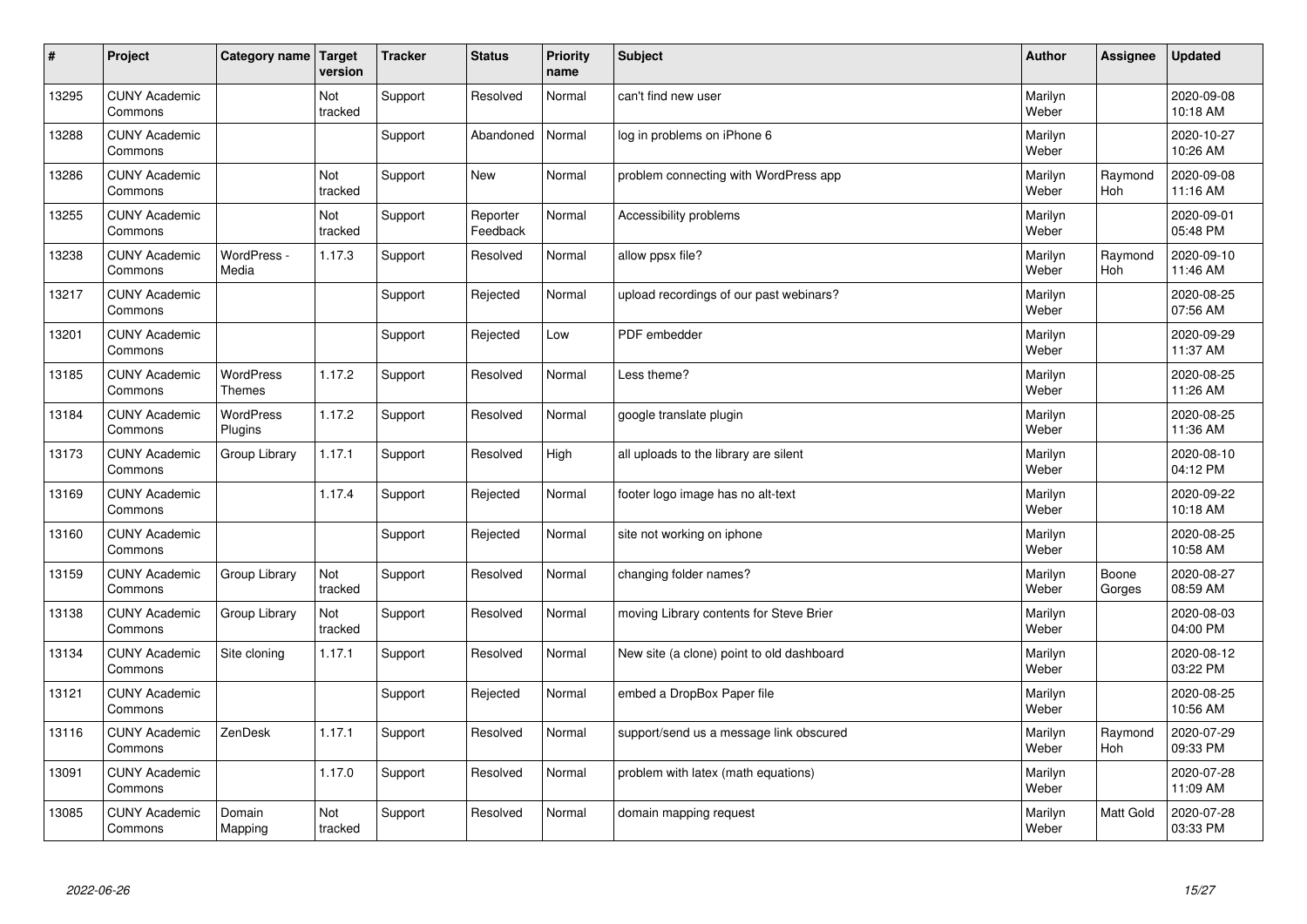| $\sharp$ | Project                         | Category name   Target            | version        | <b>Tracker</b> | <b>Status</b>        | <b>Priority</b><br>name | <b>Subject</b>                            | <b>Author</b>    | Assignee              | Updated                |
|----------|---------------------------------|-----------------------------------|----------------|----------------|----------------------|-------------------------|-------------------------------------------|------------------|-----------------------|------------------------|
| 13295    | <b>CUNY Academic</b><br>Commons |                                   | Not<br>tracked | Support        | Resolved             | Normal                  | can't find new user                       | Marilyn<br>Weber |                       | 2020-09-08<br>10:18 AM |
| 13288    | <b>CUNY Academic</b><br>Commons |                                   |                | Support        | Abandoned            | Normal                  | log in problems on iPhone 6               | Marilyn<br>Weber |                       | 2020-10-27<br>10:26 AM |
| 13286    | <b>CUNY Academic</b><br>Commons |                                   | Not<br>tracked | Support        | <b>New</b>           | Normal                  | problem connecting with WordPress app     | Marilyn<br>Weber | Raymond<br><b>Hoh</b> | 2020-09-08<br>11:16 AM |
| 13255    | <b>CUNY Academic</b><br>Commons |                                   | Not<br>tracked | Support        | Reporter<br>Feedback | Normal                  | Accessibility problems                    | Marilyn<br>Weber |                       | 2020-09-01<br>05:48 PM |
| 13238    | <b>CUNY Academic</b><br>Commons | WordPress -<br>Media              | 1.17.3         | Support        | Resolved             | Normal                  | allow ppsx file?                          | Marilyn<br>Weber | Raymond<br>Hoh        | 2020-09-10<br>11:46 AM |
| 13217    | <b>CUNY Academic</b><br>Commons |                                   |                | Support        | Rejected             | Normal                  | upload recordings of our past webinars?   | Marilyn<br>Weber |                       | 2020-08-25<br>07:56 AM |
| 13201    | <b>CUNY Academic</b><br>Commons |                                   |                | Support        | Rejected             | Low                     | PDF embedder                              | Marilyn<br>Weber |                       | 2020-09-29<br>11:37 AM |
| 13185    | <b>CUNY Academic</b><br>Commons | <b>WordPress</b><br><b>Themes</b> | 1.17.2         | Support        | Resolved             | Normal                  | Less theme?                               | Marilyn<br>Weber |                       | 2020-08-25<br>11:26 AM |
| 13184    | <b>CUNY Academic</b><br>Commons | <b>WordPress</b><br>Plugins       | 1.17.2         | Support        | Resolved             | Normal                  | google translate plugin                   | Marilyn<br>Weber |                       | 2020-08-25<br>11:36 AM |
| 13173    | <b>CUNY Academic</b><br>Commons | Group Library                     | 1.17.1         | Support        | Resolved             | High                    | all uploads to the library are silent     | Marilyn<br>Weber |                       | 2020-08-10<br>04:12 PM |
| 13169    | <b>CUNY Academic</b><br>Commons |                                   | 1.17.4         | Support        | Rejected             | Normal                  | footer logo image has no alt-text         | Marilyn<br>Weber |                       | 2020-09-22<br>10:18 AM |
| 13160    | <b>CUNY Academic</b><br>Commons |                                   |                | Support        | Rejected             | Normal                  | site not working on iphone                | Marilyn<br>Weber |                       | 2020-08-25<br>10:58 AM |
| 13159    | <b>CUNY Academic</b><br>Commons | Group Library                     | Not<br>tracked | Support        | Resolved             | Normal                  | changing folder names?                    | Marilyn<br>Weber | Boone<br>Gorges       | 2020-08-27<br>08:59 AM |
| 13138    | <b>CUNY Academic</b><br>Commons | Group Library                     | Not<br>tracked | Support        | Resolved             | Normal                  | moving Library contents for Steve Brier   | Marilyn<br>Weber |                       | 2020-08-03<br>04:00 PM |
| 13134    | <b>CUNY Academic</b><br>Commons | Site cloning                      | 1.17.1         | Support        | Resolved             | Normal                  | New site (a clone) point to old dashboard | Marilyn<br>Weber |                       | 2020-08-12<br>03:22 PM |
| 13121    | <b>CUNY Academic</b><br>Commons |                                   |                | Support        | Rejected             | Normal                  | embed a DropBox Paper file                | Marilyn<br>Weber |                       | 2020-08-25<br>10:56 AM |
| 13116    | <b>CUNY Academic</b><br>Commons | ZenDesk                           | 1.17.1         | Support        | Resolved             | Normal                  | support/send us a message link obscured   | Marilyn<br>Weber | Raymond<br>Hoh        | 2020-07-29<br>09:33 PM |
| 13091    | <b>CUNY Academic</b><br>Commons |                                   | 1.17.0         | Support        | Resolved             | Normal                  | problem with latex (math equations)       | Marilyn<br>Weber |                       | 2020-07-28<br>11:09 AM |
| 13085    | <b>CUNY Academic</b><br>Commons | Domain<br>Mapping                 | Not<br>tracked | Support        | Resolved             | Normal                  | domain mapping request                    | Marilyn<br>Weber | <b>Matt Gold</b>      | 2020-07-28<br>03:33 PM |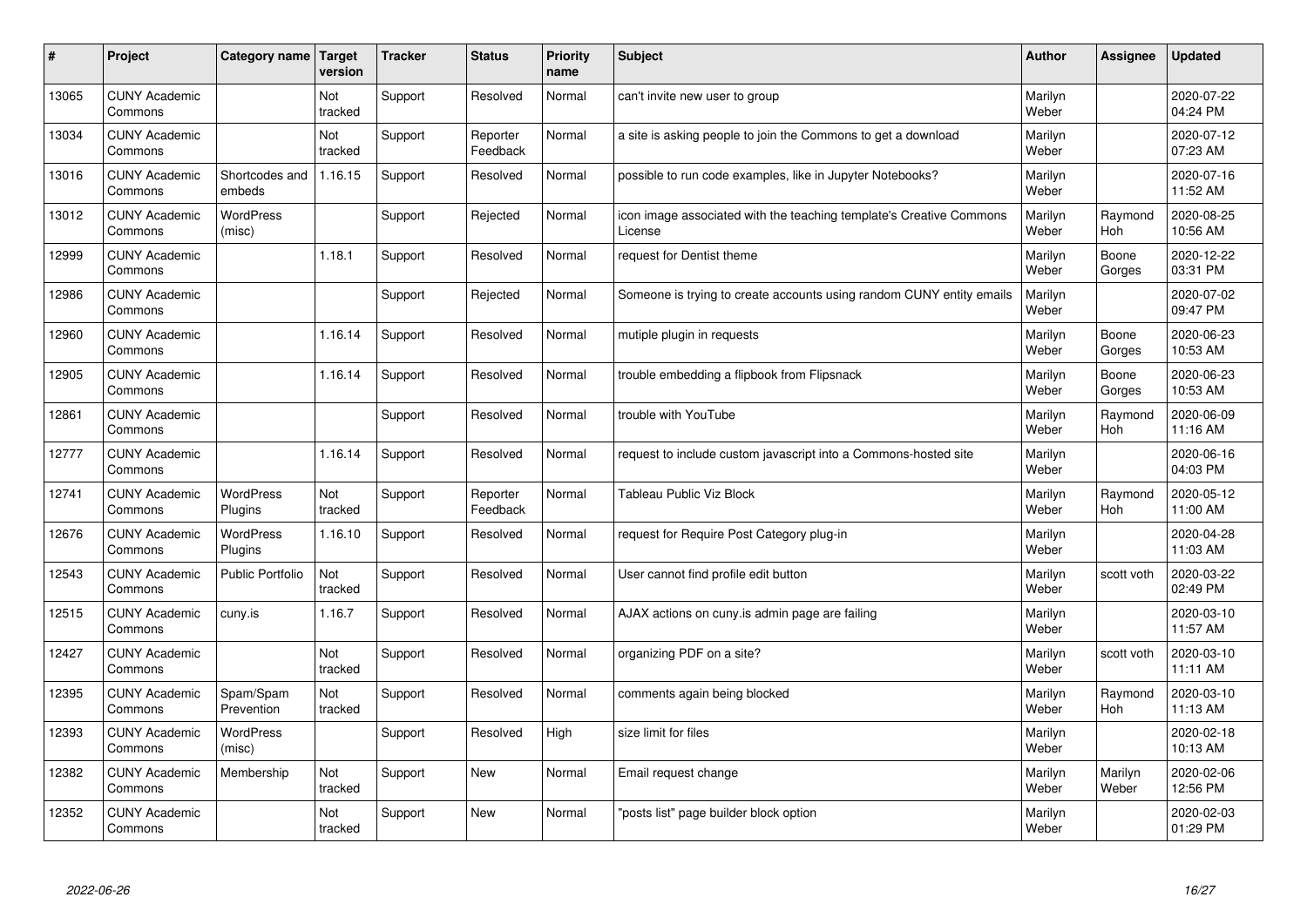| #     | Project                         | Category name   Target      | version        | <b>Tracker</b> | <b>Status</b>        | <b>Priority</b><br>name | <b>Subject</b>                                                                 | <b>Author</b>    | Assignee              | <b>Updated</b>         |
|-------|---------------------------------|-----------------------------|----------------|----------------|----------------------|-------------------------|--------------------------------------------------------------------------------|------------------|-----------------------|------------------------|
| 13065 | <b>CUNY Academic</b><br>Commons |                             | Not<br>tracked | Support        | Resolved             | Normal                  | can't invite new user to group                                                 | Marilyn<br>Weber |                       | 2020-07-22<br>04:24 PM |
| 13034 | <b>CUNY Academic</b><br>Commons |                             | Not<br>tracked | Support        | Reporter<br>Feedback | Normal                  | a site is asking people to join the Commons to get a download                  | Marilyn<br>Weber |                       | 2020-07-12<br>07:23 AM |
| 13016 | <b>CUNY Academic</b><br>Commons | Shortcodes and<br>embeds    | 1.16.15        | Support        | Resolved             | Normal                  | possible to run code examples, like in Jupyter Notebooks?                      | Marilyn<br>Weber |                       | 2020-07-16<br>11:52 AM |
| 13012 | <b>CUNY Academic</b><br>Commons | <b>WordPress</b><br>(misc)  |                | Support        | Rejected             | Normal                  | icon image associated with the teaching template's Creative Commons<br>License | Marilyn<br>Weber | Raymond<br>Hoh        | 2020-08-25<br>10:56 AM |
| 12999 | <b>CUNY Academic</b><br>Commons |                             | 1.18.1         | Support        | Resolved             | Normal                  | request for Dentist theme                                                      | Marilyn<br>Weber | Boone<br>Gorges       | 2020-12-22<br>03:31 PM |
| 12986 | <b>CUNY Academic</b><br>Commons |                             |                | Support        | Rejected             | Normal                  | Someone is trying to create accounts using random CUNY entity emails           | Marilyn<br>Weber |                       | 2020-07-02<br>09:47 PM |
| 12960 | <b>CUNY Academic</b><br>Commons |                             | 1.16.14        | Support        | Resolved             | Normal                  | mutiple plugin in requests                                                     | Marilyn<br>Weber | Boone<br>Gorges       | 2020-06-23<br>10:53 AM |
| 12905 | <b>CUNY Academic</b><br>Commons |                             | 1.16.14        | Support        | Resolved             | Normal                  | trouble embedding a flipbook from Flipsnack                                    | Marilyn<br>Weber | Boone<br>Gorges       | 2020-06-23<br>10:53 AM |
| 12861 | <b>CUNY Academic</b><br>Commons |                             |                | Support        | Resolved             | Normal                  | trouble with YouTube                                                           | Marilyn<br>Weber | Raymond<br>Hoh        | 2020-06-09<br>11:16 AM |
| 12777 | <b>CUNY Academic</b><br>Commons |                             | 1.16.14        | Support        | Resolved             | Normal                  | request to include custom javascript into a Commons-hosted site                | Marilyn<br>Weber |                       | 2020-06-16<br>04:03 PM |
| 12741 | <b>CUNY Academic</b><br>Commons | <b>WordPress</b><br>Plugins | Not<br>tracked | Support        | Reporter<br>Feedback | Normal                  | <b>Tableau Public Viz Block</b>                                                | Marilyn<br>Weber | Raymond<br><b>Hoh</b> | 2020-05-12<br>11:00 AM |
| 12676 | <b>CUNY Academic</b><br>Commons | <b>WordPress</b><br>Plugins | 1.16.10        | Support        | Resolved             | Normal                  | request for Require Post Category plug-in                                      | Marilyn<br>Weber |                       | 2020-04-28<br>11:03 AM |
| 12543 | <b>CUNY Academic</b><br>Commons | <b>Public Portfolio</b>     | Not<br>tracked | Support        | Resolved             | Normal                  | User cannot find profile edit button                                           | Marilyn<br>Weber | scott voth            | 2020-03-22<br>02:49 PM |
| 12515 | <b>CUNY Academic</b><br>Commons | cuny.is                     | 1.16.7         | Support        | Resolved             | Normal                  | AJAX actions on cuny is admin page are failing                                 | Marilyn<br>Weber |                       | 2020-03-10<br>11:57 AM |
| 12427 | <b>CUNY Academic</b><br>Commons |                             | Not<br>tracked | Support        | Resolved             | Normal                  | organizing PDF on a site?                                                      | Marilyn<br>Weber | scott voth            | 2020-03-10<br>11:11 AM |
| 12395 | <b>CUNY Academic</b><br>Commons | Spam/Spam<br>Prevention     | Not<br>tracked | Support        | Resolved             | Normal                  | comments again being blocked                                                   | Marilyn<br>Weber | Raymond<br><b>Hoh</b> | 2020-03-10<br>11:13 AM |
| 12393 | <b>CUNY Academic</b><br>Commons | WordPress<br>(misc)         |                | Support        | Resolved             | High                    | size limit for files                                                           | Marilyn<br>Weber |                       | 2020-02-18<br>10:13 AM |
| 12382 | <b>CUNY Academic</b><br>Commons | Membership                  | Not<br>tracked | Support        | <b>New</b>           | Normal                  | Email request change                                                           | Marilyn<br>Weber | Marilyn<br>Weber      | 2020-02-06<br>12:56 PM |
| 12352 | <b>CUNY Academic</b><br>Commons |                             | Not<br>tracked | Support        | <b>New</b>           | Normal                  | 'posts list" page builder block option                                         | Marilyn<br>Weber |                       | 2020-02-03<br>01:29 PM |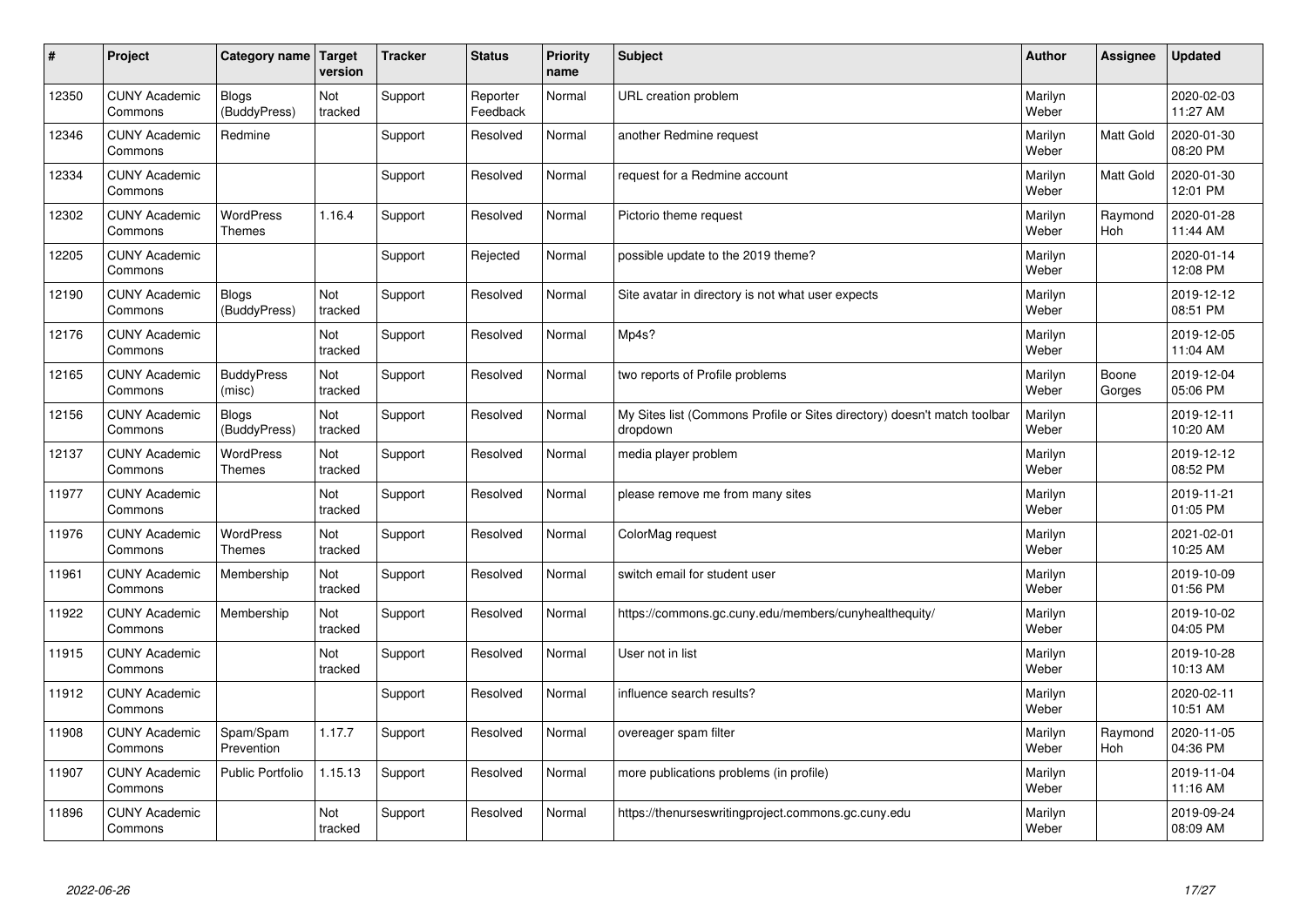| #     | Project                         | Category name   Target            | version        | <b>Tracker</b> | <b>Status</b>        | <b>Priority</b><br>name | <b>Subject</b>                                                                       | <b>Author</b>    | Assignee              | Updated                |
|-------|---------------------------------|-----------------------------------|----------------|----------------|----------------------|-------------------------|--------------------------------------------------------------------------------------|------------------|-----------------------|------------------------|
| 12350 | <b>CUNY Academic</b><br>Commons | <b>Blogs</b><br>(BuddyPress)      | Not<br>tracked | Support        | Reporter<br>Feedback | Normal                  | URL creation problem                                                                 | Marilyn<br>Weber |                       | 2020-02-03<br>11:27 AM |
| 12346 | <b>CUNY Academic</b><br>Commons | Redmine                           |                | Support        | Resolved             | Normal                  | another Redmine request                                                              | Marilyn<br>Weber | Matt Gold             | 2020-01-30<br>08:20 PM |
| 12334 | <b>CUNY Academic</b><br>Commons |                                   |                | Support        | Resolved             | Normal                  | request for a Redmine account                                                        | Marilyn<br>Weber | <b>Matt Gold</b>      | 2020-01-30<br>12:01 PM |
| 12302 | <b>CUNY Academic</b><br>Commons | <b>WordPress</b><br><b>Themes</b> | 1.16.4         | Support        | Resolved             | Normal                  | Pictorio theme request                                                               | Marilyn<br>Weber | Raymond<br><b>Hoh</b> | 2020-01-28<br>11:44 AM |
| 12205 | <b>CUNY Academic</b><br>Commons |                                   |                | Support        | Rejected             | Normal                  | possible update to the 2019 theme?                                                   | Marilyn<br>Weber |                       | 2020-01-14<br>12:08 PM |
| 12190 | <b>CUNY Academic</b><br>Commons | Blogs<br>(BuddyPress)             | Not<br>tracked | Support        | Resolved             | Normal                  | Site avatar in directory is not what user expects                                    | Marilyn<br>Weber |                       | 2019-12-12<br>08:51 PM |
| 12176 | <b>CUNY Academic</b><br>Commons |                                   | Not<br>tracked | Support        | Resolved             | Normal                  | Mp4s?                                                                                | Marilyn<br>Weber |                       | 2019-12-05<br>11:04 AM |
| 12165 | <b>CUNY Academic</b><br>Commons | <b>BuddyPress</b><br>(misc)       | Not<br>tracked | Support        | Resolved             | Normal                  | two reports of Profile problems                                                      | Marilyn<br>Weber | Boone<br>Gorges       | 2019-12-04<br>05:06 PM |
| 12156 | <b>CUNY Academic</b><br>Commons | <b>Blogs</b><br>(BuddyPress)      | Not<br>tracked | Support        | Resolved             | Normal                  | My Sites list (Commons Profile or Sites directory) doesn't match toolbar<br>dropdown | Marilyn<br>Weber |                       | 2019-12-11<br>10:20 AM |
| 12137 | <b>CUNY Academic</b><br>Commons | WordPress<br><b>Themes</b>        | Not<br>tracked | Support        | Resolved             | Normal                  | media player problem                                                                 | Marilyn<br>Weber |                       | 2019-12-12<br>08:52 PM |
| 11977 | <b>CUNY Academic</b><br>Commons |                                   | Not<br>tracked | Support        | Resolved             | Normal                  | please remove me from many sites                                                     | Marilyn<br>Weber |                       | 2019-11-21<br>01:05 PM |
| 11976 | <b>CUNY Academic</b><br>Commons | <b>WordPress</b><br><b>Themes</b> | Not<br>tracked | Support        | Resolved             | Normal                  | ColorMag request                                                                     | Marilyn<br>Weber |                       | 2021-02-01<br>10:25 AM |
| 11961 | <b>CUNY Academic</b><br>Commons | Membership                        | Not<br>tracked | Support        | Resolved             | Normal                  | switch email for student user                                                        | Marilyn<br>Weber |                       | 2019-10-09<br>01:56 PM |
| 11922 | <b>CUNY Academic</b><br>Commons | Membership                        | Not<br>tracked | Support        | Resolved             | Normal                  | https://commons.gc.cuny.edu/members/cunyhealthequity/                                | Marilyn<br>Weber |                       | 2019-10-02<br>04:05 PM |
| 11915 | <b>CUNY Academic</b><br>Commons |                                   | Not<br>tracked | Support        | Resolved             | Normal                  | User not in list                                                                     | Marilyn<br>Weber |                       | 2019-10-28<br>10:13 AM |
| 11912 | <b>CUNY Academic</b><br>Commons |                                   |                | Support        | Resolved             | Normal                  | influence search results?                                                            | Marilyn<br>Weber |                       | 2020-02-11<br>10:51 AM |
| 11908 | <b>CUNY Academic</b><br>Commons | Spam/Spam<br>Prevention           | 1.17.7         | Support        | Resolved             | Normal                  | overeager spam filter                                                                | Marilyn<br>Weber | Raymond<br>Hoh        | 2020-11-05<br>04:36 PM |
| 11907 | <b>CUNY Academic</b><br>Commons | Public Portfolio                  | 1.15.13        | Support        | Resolved             | Normal                  | more publications problems (in profile)                                              | Marilyn<br>Weber |                       | 2019-11-04<br>11:16 AM |
| 11896 | <b>CUNY Academic</b><br>Commons |                                   | Not<br>tracked | Support        | Resolved             | Normal                  | https://thenurseswritingproject.commons.gc.cuny.edu                                  | Marilyn<br>Weber |                       | 2019-09-24<br>08:09 AM |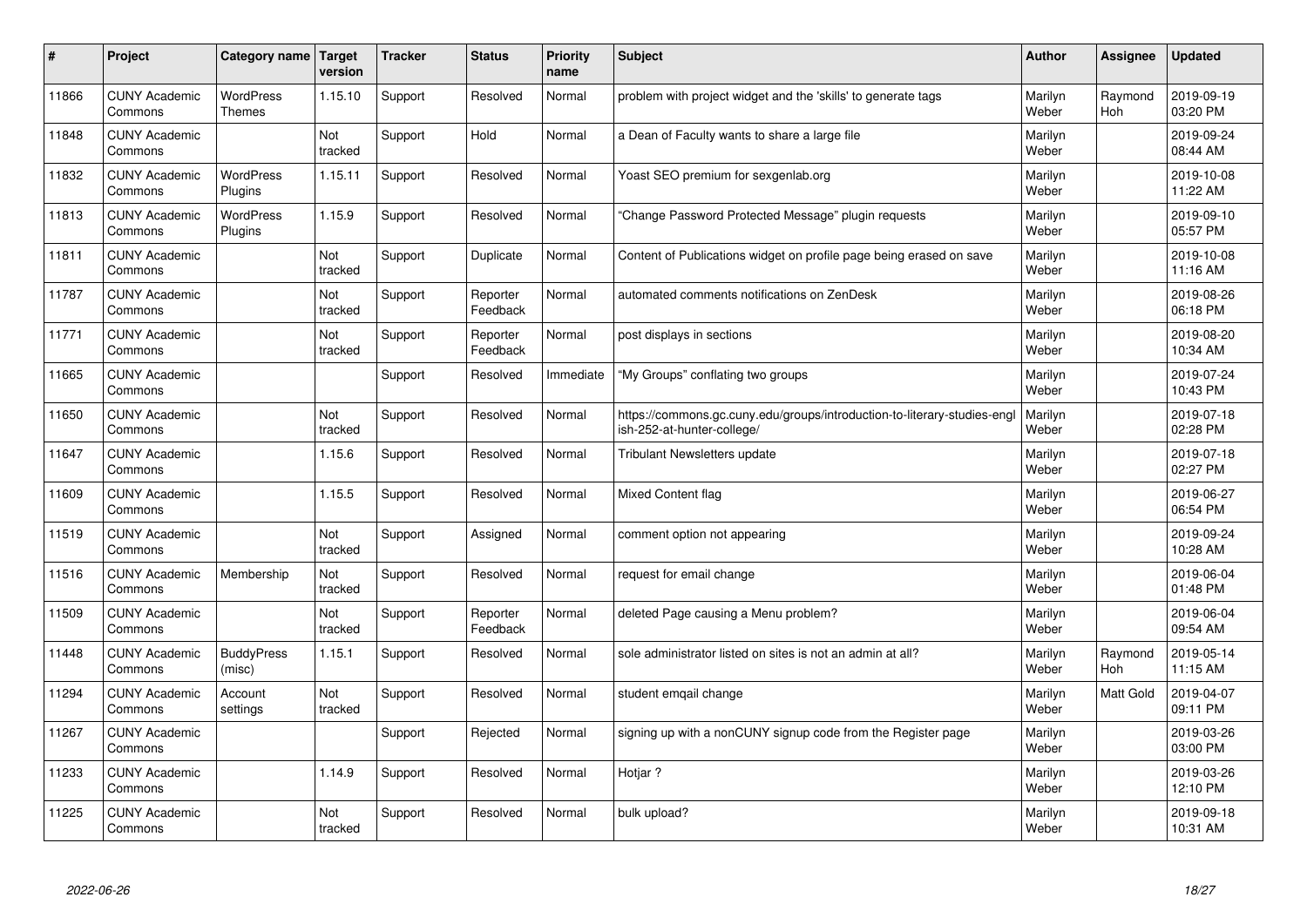| #     | Project                         | Category name               | Target<br>version | <b>Tracker</b> | <b>Status</b>        | <b>Priority</b><br>name | <b>Subject</b>                                                                                         | <b>Author</b>    | Assignee       | <b>Updated</b>         |
|-------|---------------------------------|-----------------------------|-------------------|----------------|----------------------|-------------------------|--------------------------------------------------------------------------------------------------------|------------------|----------------|------------------------|
| 11866 | <b>CUNY Academic</b><br>Commons | <b>WordPress</b><br>Themes  | 1.15.10           | Support        | Resolved             | Normal                  | problem with project widget and the 'skills' to generate tags                                          | Marilyn<br>Weber | Raymond<br>Hoh | 2019-09-19<br>03:20 PM |
| 11848 | <b>CUNY Academic</b><br>Commons |                             | Not<br>tracked    | Support        | Hold                 | Normal                  | a Dean of Faculty wants to share a large file                                                          | Marilyn<br>Weber |                | 2019-09-24<br>08:44 AM |
| 11832 | <b>CUNY Academic</b><br>Commons | <b>WordPress</b><br>Plugins | 1.15.11           | Support        | Resolved             | Normal                  | Yoast SEO premium for sexgenlab.org                                                                    | Marilyn<br>Weber |                | 2019-10-08<br>11:22 AM |
| 11813 | <b>CUNY Academic</b><br>Commons | <b>WordPress</b><br>Plugins | 1.15.9            | Support        | Resolved             | Normal                  | 'Change Password Protected Message" plugin requests                                                    | Marilyn<br>Weber |                | 2019-09-10<br>05:57 PM |
| 11811 | <b>CUNY Academic</b><br>Commons |                             | Not<br>tracked    | Support        | Duplicate            | Normal                  | Content of Publications widget on profile page being erased on save                                    | Marilyn<br>Weber |                | 2019-10-08<br>11:16 AM |
| 11787 | <b>CUNY Academic</b><br>Commons |                             | Not<br>tracked    | Support        | Reporter<br>Feedback | Normal                  | automated comments notifications on ZenDesk                                                            | Marilyn<br>Weber |                | 2019-08-26<br>06:18 PM |
| 11771 | <b>CUNY Academic</b><br>Commons |                             | Not<br>tracked    | Support        | Reporter<br>Feedback | Normal                  | post displays in sections                                                                              | Marilyn<br>Weber |                | 2019-08-20<br>10:34 AM |
| 11665 | <b>CUNY Academic</b><br>Commons |                             |                   | Support        | Resolved             | Immediate               | "My Groups" conflating two groups                                                                      | Marilyn<br>Weber |                | 2019-07-24<br>10:43 PM |
| 11650 | <b>CUNY Academic</b><br>Commons |                             | Not<br>tracked    | Support        | Resolved             | Normal                  | https://commons.gc.cuny.edu/groups/introduction-to-literary-studies-engl<br>ish-252-at-hunter-college/ | Marilyn<br>Weber |                | 2019-07-18<br>02:28 PM |
| 11647 | <b>CUNY Academic</b><br>Commons |                             | 1.15.6            | Support        | Resolved             | Normal                  | Tribulant Newsletters update                                                                           | Marilyn<br>Weber |                | 2019-07-18<br>02:27 PM |
| 11609 | <b>CUNY Academic</b><br>Commons |                             | 1.15.5            | Support        | Resolved             | Normal                  | <b>Mixed Content flag</b>                                                                              | Marilyn<br>Weber |                | 2019-06-27<br>06:54 PM |
| 11519 | <b>CUNY Academic</b><br>Commons |                             | Not<br>tracked    | Support        | Assigned             | Normal                  | comment option not appearing                                                                           | Marilyn<br>Weber |                | 2019-09-24<br>10:28 AM |
| 11516 | <b>CUNY Academic</b><br>Commons | Membership                  | Not<br>tracked    | Support        | Resolved             | Normal                  | request for email change                                                                               | Marilyn<br>Weber |                | 2019-06-04<br>01:48 PM |
| 11509 | <b>CUNY Academic</b><br>Commons |                             | Not<br>tracked    | Support        | Reporter<br>Feedback | Normal                  | deleted Page causing a Menu problem?                                                                   | Marilyn<br>Weber |                | 2019-06-04<br>09:54 AM |
| 11448 | <b>CUNY Academic</b><br>Commons | <b>BuddyPress</b><br>(misc) | 1.15.1            | Support        | Resolved             | Normal                  | sole administrator listed on sites is not an admin at all?                                             | Marilyn<br>Weber | Raymond<br>Hoh | 2019-05-14<br>11:15 AM |
| 11294 | <b>CUNY Academic</b><br>Commons | Account<br>settings         | Not<br>tracked    | Support        | Resolved             | Normal                  | student emgail change                                                                                  | Marilyn<br>Weber | Matt Gold      | 2019-04-07<br>09:11 PM |
| 11267 | <b>CUNY Academic</b><br>Commons |                             |                   | Support        | Rejected             | Normal                  | signing up with a nonCUNY signup code from the Register page                                           | Marilyn<br>Weber |                | 2019-03-26<br>03:00 PM |
| 11233 | <b>CUNY Academic</b><br>Commons |                             | 1.14.9            | Support        | Resolved             | Normal                  | Hotjar?                                                                                                | Marilyn<br>Weber |                | 2019-03-26<br>12:10 PM |
| 11225 | <b>CUNY Academic</b><br>Commons |                             | Not<br>tracked    | Support        | Resolved             | Normal                  | bulk upload?                                                                                           | Marilyn<br>Weber |                | 2019-09-18<br>10:31 AM |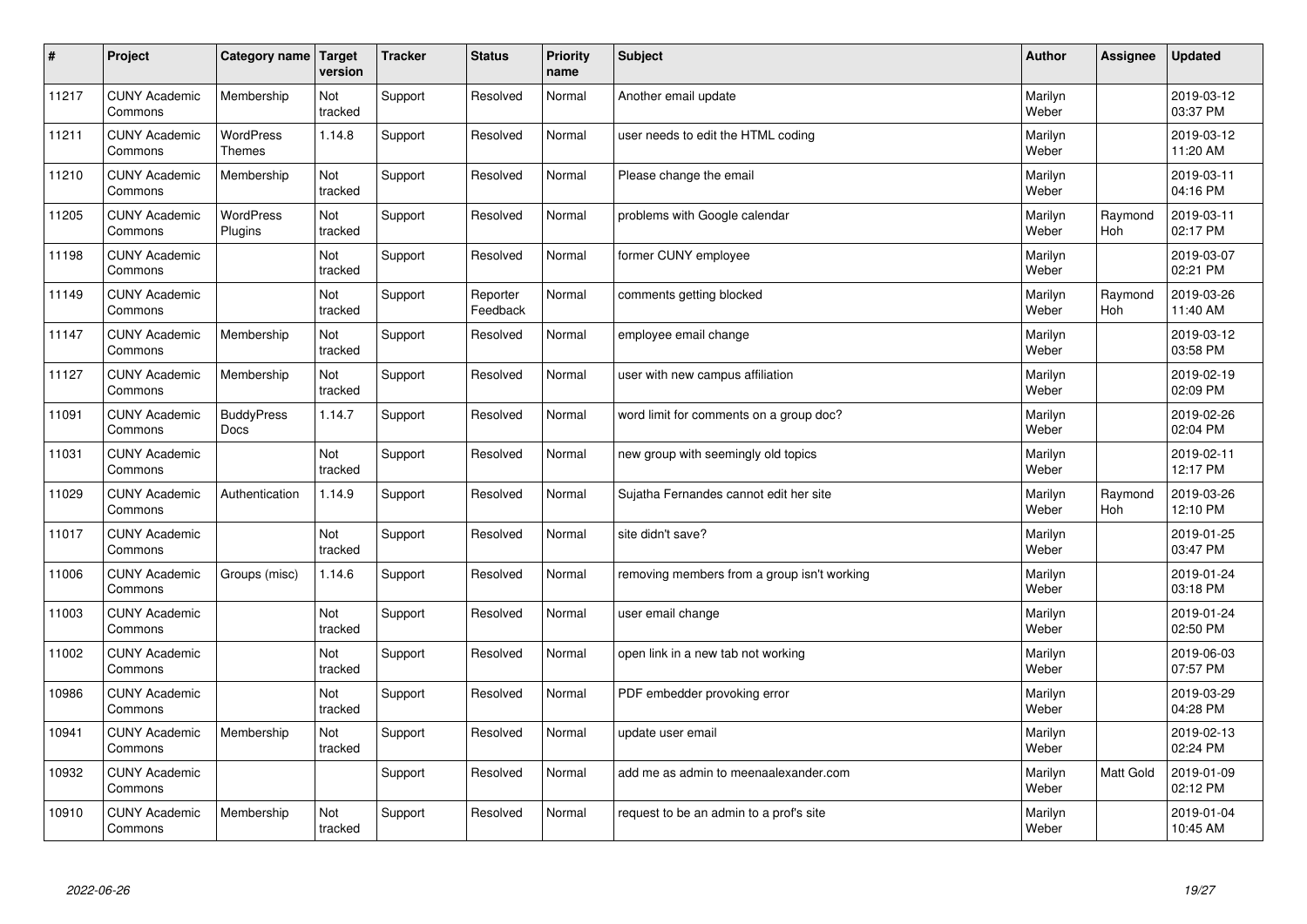| #     | Project                         | Category name                     | <b>Target</b><br>version | <b>Tracker</b> | <b>Status</b>        | <b>Priority</b><br>name | <b>Subject</b>                              | <b>Author</b>    | Assignee              | Updated                |
|-------|---------------------------------|-----------------------------------|--------------------------|----------------|----------------------|-------------------------|---------------------------------------------|------------------|-----------------------|------------------------|
| 11217 | <b>CUNY Academic</b><br>Commons | Membership                        | Not<br>tracked           | Support        | Resolved             | Normal                  | Another email update                        | Marilyn<br>Weber |                       | 2019-03-12<br>03:37 PM |
| 11211 | <b>CUNY Academic</b><br>Commons | <b>WordPress</b><br><b>Themes</b> | 1.14.8                   | Support        | Resolved             | Normal                  | user needs to edit the HTML coding          | Marilyn<br>Weber |                       | 2019-03-12<br>11:20 AM |
| 11210 | <b>CUNY Academic</b><br>Commons | Membership                        | Not<br>tracked           | Support        | Resolved             | Normal                  | Please change the email                     | Marilyn<br>Weber |                       | 2019-03-11<br>04:16 PM |
| 11205 | <b>CUNY Academic</b><br>Commons | <b>WordPress</b><br>Plugins       | Not<br>tracked           | Support        | Resolved             | Normal                  | problems with Google calendar               | Marilyn<br>Weber | Raymond<br><b>Hoh</b> | 2019-03-11<br>02:17 PM |
| 11198 | <b>CUNY Academic</b><br>Commons |                                   | Not<br>tracked           | Support        | Resolved             | Normal                  | former CUNY employee                        | Marilyn<br>Weber |                       | 2019-03-07<br>02:21 PM |
| 11149 | <b>CUNY Academic</b><br>Commons |                                   | Not<br>tracked           | Support        | Reporter<br>Feedback | Normal                  | comments getting blocked                    | Marilyn<br>Weber | Raymond<br>Hoh        | 2019-03-26<br>11:40 AM |
| 11147 | <b>CUNY Academic</b><br>Commons | Membership                        | Not<br>tracked           | Support        | Resolved             | Normal                  | employee email change                       | Marilyn<br>Weber |                       | 2019-03-12<br>03:58 PM |
| 11127 | <b>CUNY Academic</b><br>Commons | Membership                        | Not<br>tracked           | Support        | Resolved             | Normal                  | user with new campus affiliation            | Marilyn<br>Weber |                       | 2019-02-19<br>02:09 PM |
| 11091 | <b>CUNY Academic</b><br>Commons | <b>BuddyPress</b><br><b>Docs</b>  | 1.14.7                   | Support        | Resolved             | Normal                  | word limit for comments on a group doc?     | Marilyn<br>Weber |                       | 2019-02-26<br>02:04 PM |
| 11031 | <b>CUNY Academic</b><br>Commons |                                   | Not<br>tracked           | Support        | Resolved             | Normal                  | new group with seemingly old topics         | Marilyn<br>Weber |                       | 2019-02-11<br>12:17 PM |
| 11029 | <b>CUNY Academic</b><br>Commons | Authentication                    | 1.14.9                   | Support        | Resolved             | Normal                  | Sujatha Fernandes cannot edit her site      | Marilyn<br>Weber | Raymond<br>Hoh        | 2019-03-26<br>12:10 PM |
| 11017 | <b>CUNY Academic</b><br>Commons |                                   | Not<br>tracked           | Support        | Resolved             | Normal                  | site didn't save?                           | Marilyn<br>Weber |                       | 2019-01-25<br>03:47 PM |
| 11006 | <b>CUNY Academic</b><br>Commons | Groups (misc)                     | 1.14.6                   | Support        | Resolved             | Normal                  | removing members from a group isn't working | Marilyn<br>Weber |                       | 2019-01-24<br>03:18 PM |
| 11003 | <b>CUNY Academic</b><br>Commons |                                   | Not<br>tracked           | Support        | Resolved             | Normal                  | user email change                           | Marilyn<br>Weber |                       | 2019-01-24<br>02:50 PM |
| 11002 | <b>CUNY Academic</b><br>Commons |                                   | Not<br>tracked           | Support        | Resolved             | Normal                  | open link in a new tab not working          | Marilyn<br>Weber |                       | 2019-06-03<br>07:57 PM |
| 10986 | <b>CUNY Academic</b><br>Commons |                                   | Not<br>tracked           | Support        | Resolved             | Normal                  | PDF embedder provoking error                | Marilyn<br>Weber |                       | 2019-03-29<br>04:28 PM |
| 10941 | <b>CUNY Academic</b><br>Commons | Membership                        | Not<br>tracked           | Support        | Resolved             | Normal                  | update user email                           | Marilyn<br>Weber |                       | 2019-02-13<br>02:24 PM |
| 10932 | <b>CUNY Academic</b><br>Commons |                                   |                          | Support        | Resolved             | Normal                  | add me as admin to meenaalexander.com       | Marilyn<br>Weber | <b>Matt Gold</b>      | 2019-01-09<br>02:12 PM |
| 10910 | <b>CUNY Academic</b><br>Commons | Membership                        | Not<br>tracked           | Support        | Resolved             | Normal                  | request to be an admin to a prof's site     | Marilyn<br>Weber |                       | 2019-01-04<br>10:45 AM |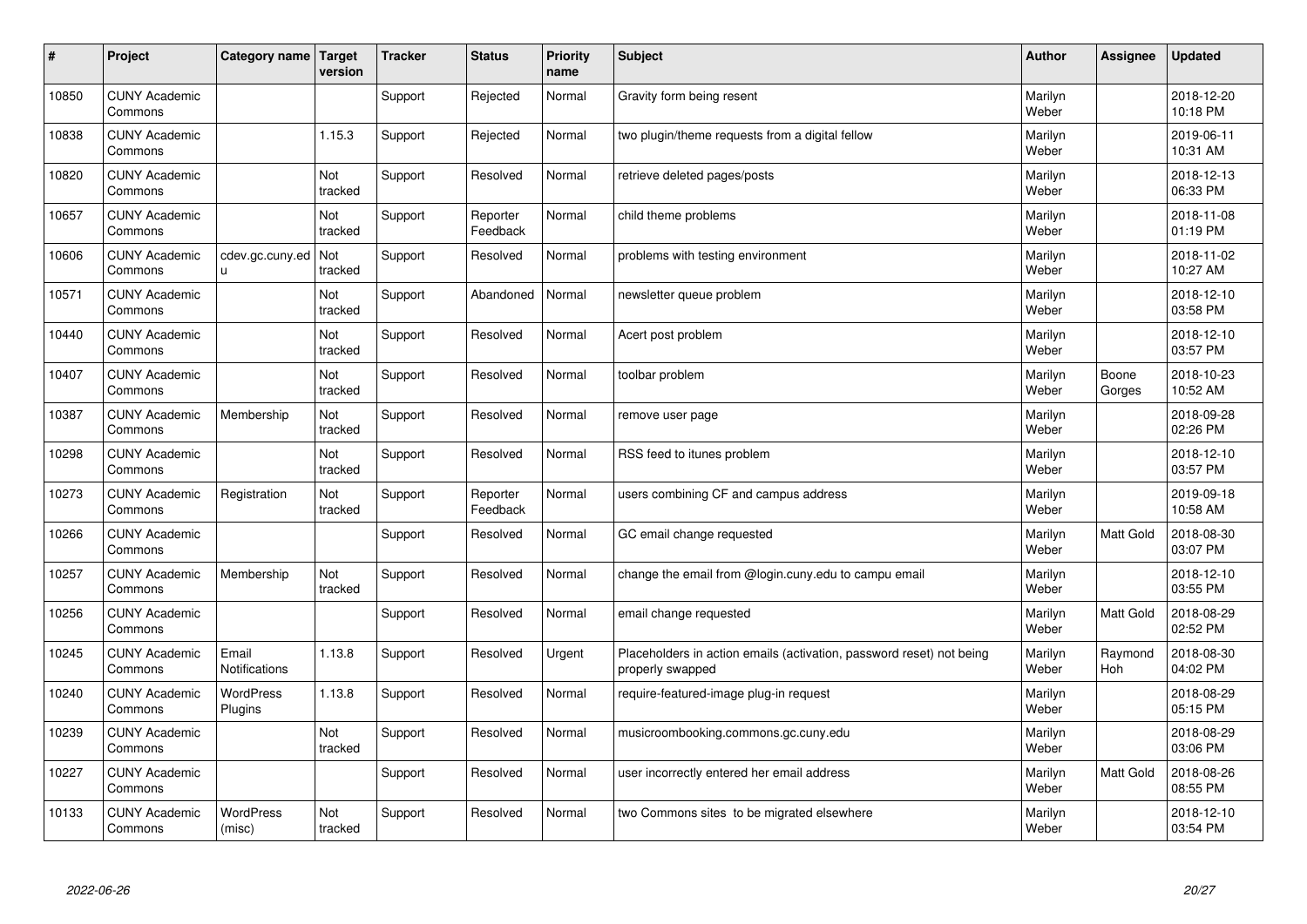| #     | Project                         | Category name   Target        | version        | <b>Tracker</b> | <b>Status</b>        | <b>Priority</b><br>name | <b>Subject</b>                                                                           | <b>Author</b>    | Assignee              | Updated                |
|-------|---------------------------------|-------------------------------|----------------|----------------|----------------------|-------------------------|------------------------------------------------------------------------------------------|------------------|-----------------------|------------------------|
| 10850 | <b>CUNY Academic</b><br>Commons |                               |                | Support        | Rejected             | Normal                  | Gravity form being resent                                                                | Marilyn<br>Weber |                       | 2018-12-20<br>10:18 PM |
| 10838 | <b>CUNY Academic</b><br>Commons |                               | 1.15.3         | Support        | Rejected             | Normal                  | two plugin/theme requests from a digital fellow                                          | Marilyn<br>Weber |                       | 2019-06-11<br>10:31 AM |
| 10820 | <b>CUNY Academic</b><br>Commons |                               | Not<br>tracked | Support        | Resolved             | Normal                  | retrieve deleted pages/posts                                                             | Marilyn<br>Weber |                       | 2018-12-13<br>06:33 PM |
| 10657 | <b>CUNY Academic</b><br>Commons |                               | Not<br>tracked | Support        | Reporter<br>Feedback | Normal                  | child theme problems                                                                     | Marilyn<br>Weber |                       | 2018-11-08<br>01:19 PM |
| 10606 | <b>CUNY Academic</b><br>Commons | cdev.gc.cuny.ed<br>u.         | Not<br>tracked | Support        | Resolved             | Normal                  | problems with testing environment                                                        | Marilyn<br>Weber |                       | 2018-11-02<br>10:27 AM |
| 10571 | <b>CUNY Academic</b><br>Commons |                               | Not<br>tracked | Support        | Abandoned            | Normal                  | newsletter queue problem                                                                 | Marilyn<br>Weber |                       | 2018-12-10<br>03:58 PM |
| 10440 | <b>CUNY Academic</b><br>Commons |                               | Not<br>tracked | Support        | Resolved             | Normal                  | Acert post problem                                                                       | Marilyn<br>Weber |                       | 2018-12-10<br>03:57 PM |
| 10407 | <b>CUNY Academic</b><br>Commons |                               | Not<br>tracked | Support        | Resolved             | Normal                  | toolbar problem                                                                          | Marilyn<br>Weber | Boone<br>Gorges       | 2018-10-23<br>10:52 AM |
| 10387 | <b>CUNY Academic</b><br>Commons | Membership                    | Not<br>tracked | Support        | Resolved             | Normal                  | remove user page                                                                         | Marilyn<br>Weber |                       | 2018-09-28<br>02:26 PM |
| 10298 | <b>CUNY Academic</b><br>Commons |                               | Not<br>tracked | Support        | Resolved             | Normal                  | RSS feed to itunes problem                                                               | Marilyn<br>Weber |                       | 2018-12-10<br>03:57 PM |
| 10273 | <b>CUNY Academic</b><br>Commons | Registration                  | Not<br>tracked | Support        | Reporter<br>Feedback | Normal                  | users combining CF and campus address                                                    | Marilyn<br>Weber |                       | 2019-09-18<br>10:58 AM |
| 10266 | <b>CUNY Academic</b><br>Commons |                               |                | Support        | Resolved             | Normal                  | GC email change requested                                                                | Marilyn<br>Weber | <b>Matt Gold</b>      | 2018-08-30<br>03:07 PM |
| 10257 | <b>CUNY Academic</b><br>Commons | Membership                    | Not<br>tracked | Support        | Resolved             | Normal                  | change the email from @login.cuny.edu to campu email                                     | Marilyn<br>Weber |                       | 2018-12-10<br>03:55 PM |
| 10256 | <b>CUNY Academic</b><br>Commons |                               |                | Support        | Resolved             | Normal                  | email change requested                                                                   | Marilyn<br>Weber | <b>Matt Gold</b>      | 2018-08-29<br>02:52 PM |
| 10245 | <b>CUNY Academic</b><br>Commons | Email<br><b>Notifications</b> | 1.13.8         | Support        | Resolved             | Urgent                  | Placeholders in action emails (activation, password reset) not being<br>properly swapped | Marilyn<br>Weber | Raymond<br><b>Hoh</b> | 2018-08-30<br>04:02 PM |
| 10240 | <b>CUNY Academic</b><br>Commons | WordPress<br>Plugins          | 1.13.8         | Support        | Resolved             | Normal                  | require-featured-image plug-in request                                                   | Marilyn<br>Weber |                       | 2018-08-29<br>05:15 PM |
| 10239 | <b>CUNY Academic</b><br>Commons |                               | Not<br>tracked | Support        | Resolved             | Normal                  | musicroombooking.commons.gc.cuny.edu                                                     | Marilyn<br>Weber |                       | 2018-08-29<br>03:06 PM |
| 10227 | <b>CUNY Academic</b><br>Commons |                               |                | Support        | Resolved             | Normal                  | user incorrectly entered her email address                                               | Marilyn<br>Weber | Matt Gold             | 2018-08-26<br>08:55 PM |
| 10133 | <b>CUNY Academic</b><br>Commons | <b>WordPress</b><br>(misc)    | Not<br>tracked | Support        | Resolved             | Normal                  | two Commons sites to be migrated elsewhere                                               | Marilyn<br>Weber |                       | 2018-12-10<br>03:54 PM |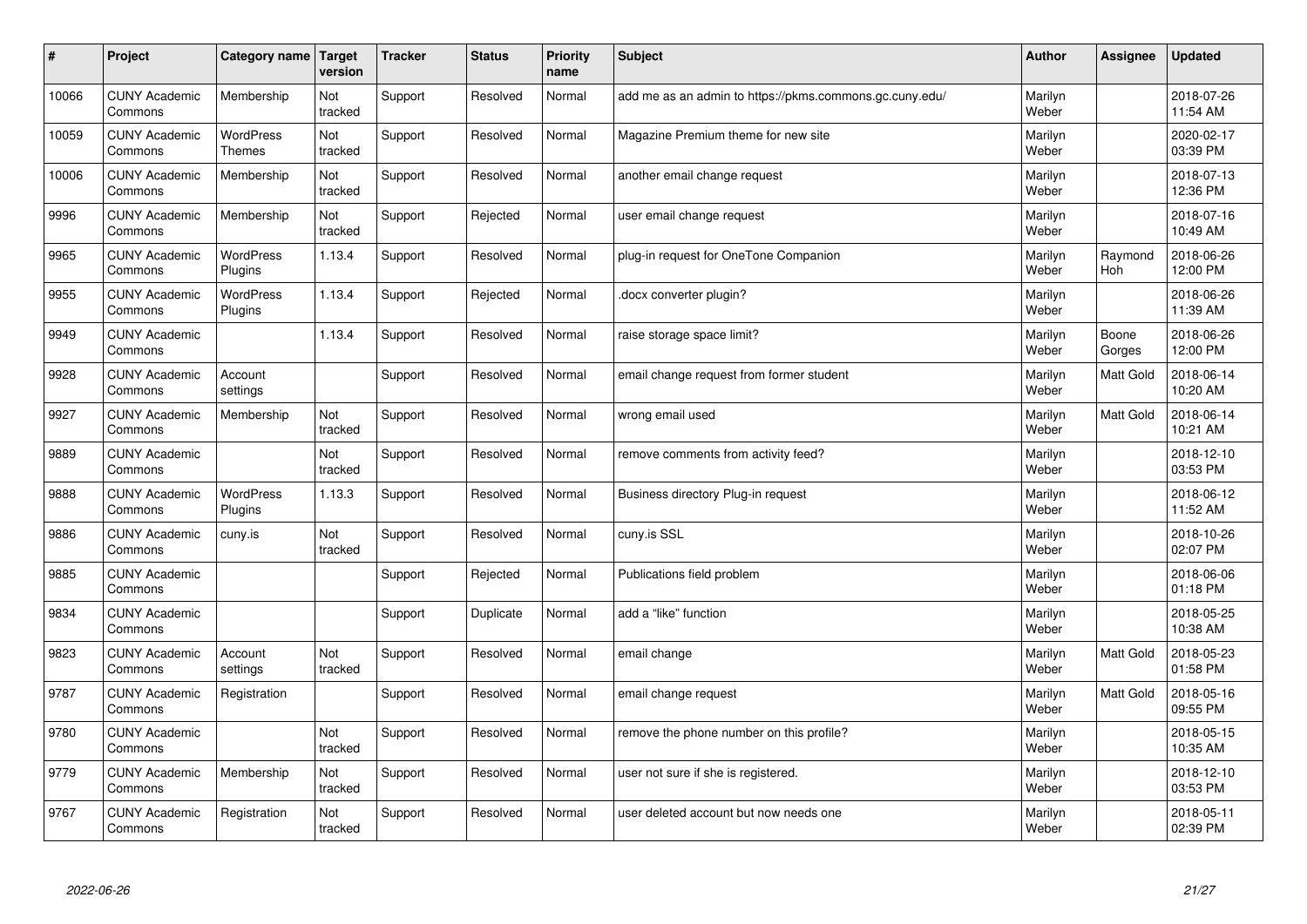| $\pmb{\#}$ | Project                         | Category name                     | Target<br>version | <b>Tracker</b> | <b>Status</b> | <b>Priority</b><br>name | <b>Subject</b>                                          | <b>Author</b>    | Assignee        | <b>Updated</b>         |
|------------|---------------------------------|-----------------------------------|-------------------|----------------|---------------|-------------------------|---------------------------------------------------------|------------------|-----------------|------------------------|
| 10066      | <b>CUNY Academic</b><br>Commons | Membership                        | Not<br>tracked    | Support        | Resolved      | Normal                  | add me as an admin to https://pkms.commons.gc.cuny.edu/ | Marilyn<br>Weber |                 | 2018-07-26<br>11:54 AM |
| 10059      | <b>CUNY Academic</b><br>Commons | <b>WordPress</b><br><b>Themes</b> | Not<br>tracked    | Support        | Resolved      | Normal                  | Magazine Premium theme for new site                     | Marilyn<br>Weber |                 | 2020-02-17<br>03:39 PM |
| 10006      | <b>CUNY Academic</b><br>Commons | Membership                        | Not<br>tracked    | Support        | Resolved      | Normal                  | another email change request                            | Marilyn<br>Weber |                 | 2018-07-13<br>12:36 PM |
| 9996       | <b>CUNY Academic</b><br>Commons | Membership                        | Not<br>tracked    | Support        | Rejected      | Normal                  | user email change request                               | Marilyn<br>Weber |                 | 2018-07-16<br>10:49 AM |
| 9965       | <b>CUNY Academic</b><br>Commons | <b>WordPress</b><br>Plugins       | 1.13.4            | Support        | Resolved      | Normal                  | plug-in request for OneTone Companion                   | Marilyn<br>Weber | Raymond<br>Hoh  | 2018-06-26<br>12:00 PM |
| 9955       | <b>CUNY Academic</b><br>Commons | WordPress<br>Plugins              | 1.13.4            | Support        | Rejected      | Normal                  | docx converter plugin?                                  | Marilyn<br>Weber |                 | 2018-06-26<br>11:39 AM |
| 9949       | <b>CUNY Academic</b><br>Commons |                                   | 1.13.4            | Support        | Resolved      | Normal                  | raise storage space limit?                              | Marilyn<br>Weber | Boone<br>Gorges | 2018-06-26<br>12:00 PM |
| 9928       | <b>CUNY Academic</b><br>Commons | Account<br>settings               |                   | Support        | Resolved      | Normal                  | email change request from former student                | Marilyn<br>Weber | Matt Gold       | 2018-06-14<br>10:20 AM |
| 9927       | <b>CUNY Academic</b><br>Commons | Membership                        | Not<br>tracked    | Support        | Resolved      | Normal                  | wrong email used                                        | Marilyn<br>Weber | Matt Gold       | 2018-06-14<br>10:21 AM |
| 9889       | <b>CUNY Academic</b><br>Commons |                                   | Not<br>tracked    | Support        | Resolved      | Normal                  | remove comments from activity feed?                     | Marilyn<br>Weber |                 | 2018-12-10<br>03:53 PM |
| 9888       | <b>CUNY Academic</b><br>Commons | WordPress<br>Plugins              | 1.13.3            | Support        | Resolved      | Normal                  | Business directory Plug-in request                      | Marilyn<br>Weber |                 | 2018-06-12<br>11:52 AM |
| 9886       | <b>CUNY Academic</b><br>Commons | cuny.is                           | Not<br>tracked    | Support        | Resolved      | Normal                  | cuny.is SSL                                             | Marilyn<br>Weber |                 | 2018-10-26<br>02:07 PM |
| 9885       | <b>CUNY Academic</b><br>Commons |                                   |                   | Support        | Rejected      | Normal                  | Publications field problem                              | Marilyn<br>Weber |                 | 2018-06-06<br>01:18 PM |
| 9834       | <b>CUNY Academic</b><br>Commons |                                   |                   | Support        | Duplicate     | Normal                  | add a "like" function                                   | Marilyn<br>Weber |                 | 2018-05-25<br>10:38 AM |
| 9823       | <b>CUNY Academic</b><br>Commons | Account<br>settings               | Not<br>tracked    | Support        | Resolved      | Normal                  | email change                                            | Marilyn<br>Weber | Matt Gold       | 2018-05-23<br>01:58 PM |
| 9787       | <b>CUNY Academic</b><br>Commons | Registration                      |                   | Support        | Resolved      | Normal                  | email change request                                    | Marilyn<br>Weber | Matt Gold       | 2018-05-16<br>09:55 PM |
| 9780       | <b>CUNY Academic</b><br>Commons |                                   | Not<br>tracked    | Support        | Resolved      | Normal                  | remove the phone number on this profile?                | Marilyn<br>Weber |                 | 2018-05-15<br>10:35 AM |
| 9779       | <b>CUNY Academic</b><br>Commons | Membership                        | Not<br>tracked    | Support        | Resolved      | Normal                  | user not sure if she is registered.                     | Marilyn<br>Weber |                 | 2018-12-10<br>03:53 PM |
| 9767       | <b>CUNY Academic</b><br>Commons | Registration                      | Not<br>tracked    | Support        | Resolved      | Normal                  | user deleted account but now needs one                  | Marilyn<br>Weber |                 | 2018-05-11<br>02:39 PM |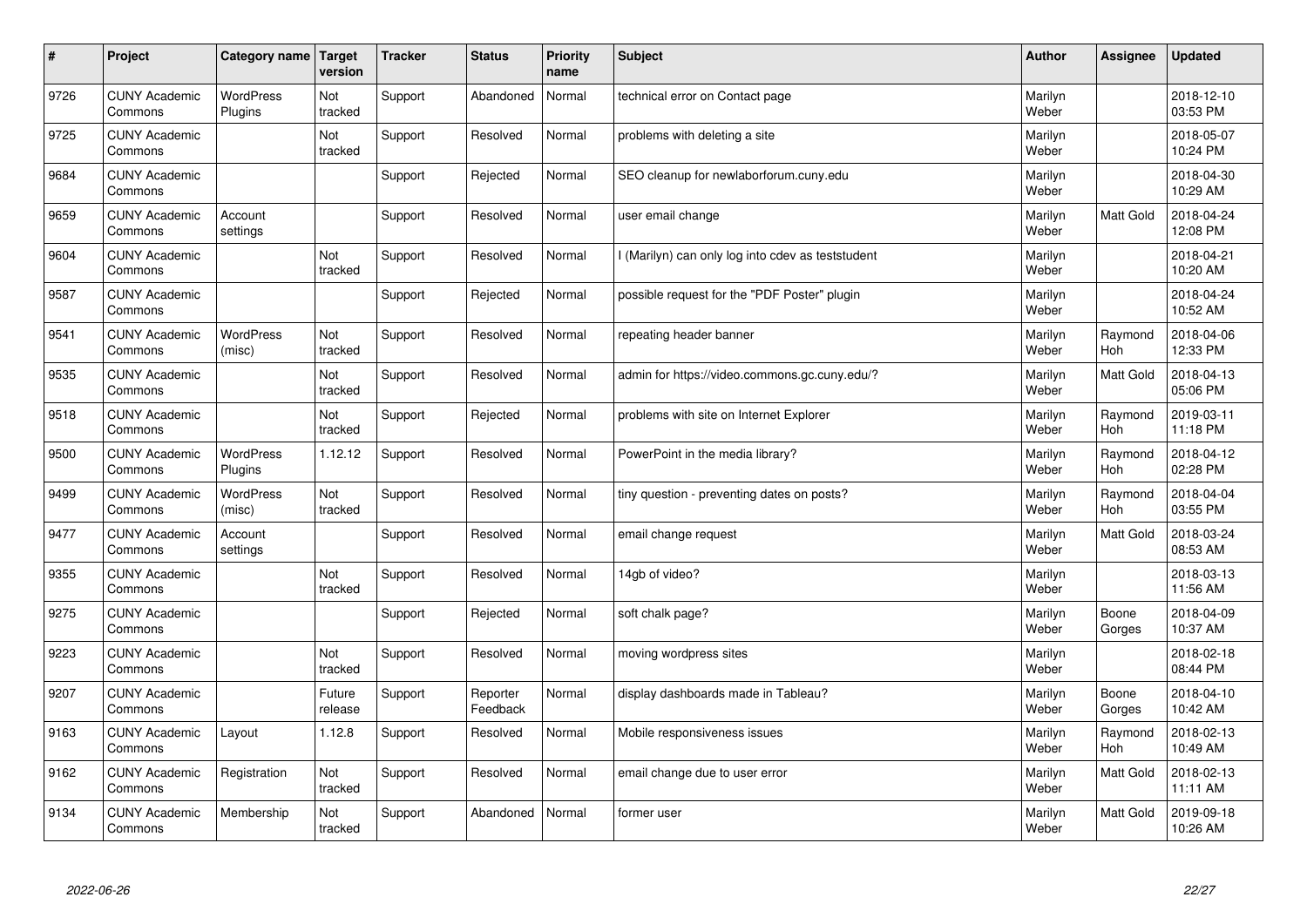| $\sharp$ | Project                         | Category name   Target      | version           | <b>Tracker</b> | <b>Status</b>        | <b>Priority</b><br>name | <b>Subject</b>                                    | <b>Author</b>    | Assignee              | <b>Updated</b>         |
|----------|---------------------------------|-----------------------------|-------------------|----------------|----------------------|-------------------------|---------------------------------------------------|------------------|-----------------------|------------------------|
| 9726     | <b>CUNY Academic</b><br>Commons | <b>WordPress</b><br>Plugins | Not<br>tracked    | Support        | Abandoned            | Normal                  | technical error on Contact page                   | Marilyn<br>Weber |                       | 2018-12-10<br>03:53 PM |
| 9725     | <b>CUNY Academic</b><br>Commons |                             | Not<br>tracked    | Support        | Resolved             | Normal                  | problems with deleting a site                     | Marilyn<br>Weber |                       | 2018-05-07<br>10:24 PM |
| 9684     | <b>CUNY Academic</b><br>Commons |                             |                   | Support        | Rejected             | Normal                  | SEO cleanup for newlaborforum.cuny.edu            | Marilyn<br>Weber |                       | 2018-04-30<br>10:29 AM |
| 9659     | <b>CUNY Academic</b><br>Commons | Account<br>settings         |                   | Support        | Resolved             | Normal                  | user email change                                 | Marilyn<br>Weber | <b>Matt Gold</b>      | 2018-04-24<br>12:08 PM |
| 9604     | <b>CUNY Academic</b><br>Commons |                             | Not<br>tracked    | Support        | Resolved             | Normal                  | I (Marilyn) can only log into cdev as teststudent | Marilyn<br>Weber |                       | 2018-04-21<br>10:20 AM |
| 9587     | <b>CUNY Academic</b><br>Commons |                             |                   | Support        | Rejected             | Normal                  | possible request for the "PDF Poster" plugin      | Marilyn<br>Weber |                       | 2018-04-24<br>10:52 AM |
| 9541     | <b>CUNY Academic</b><br>Commons | <b>WordPress</b><br>(misc)  | Not<br>tracked    | Support        | Resolved             | Normal                  | repeating header banner                           | Marilyn<br>Weber | Raymond<br>Hoh        | 2018-04-06<br>12:33 PM |
| 9535     | <b>CUNY Academic</b><br>Commons |                             | Not<br>tracked    | Support        | Resolved             | Normal                  | admin for https://video.commons.gc.cuny.edu/?     | Marilyn<br>Weber | Matt Gold             | 2018-04-13<br>05:06 PM |
| 9518     | <b>CUNY Academic</b><br>Commons |                             | Not<br>tracked    | Support        | Rejected             | Normal                  | problems with site on Internet Explorer           | Marilyn<br>Weber | Raymond<br>Hoh        | 2019-03-11<br>11:18 PM |
| 9500     | <b>CUNY Academic</b><br>Commons | <b>WordPress</b><br>Plugins | 1.12.12           | Support        | Resolved             | Normal                  | PowerPoint in the media library?                  | Marilyn<br>Weber | Raymond<br><b>Hoh</b> | 2018-04-12<br>02:28 PM |
| 9499     | <b>CUNY Academic</b><br>Commons | WordPress<br>(misc)         | Not<br>tracked    | Support        | Resolved             | Normal                  | tiny question - preventing dates on posts?        | Marilyn<br>Weber | Raymond<br>Hoh        | 2018-04-04<br>03:55 PM |
| 9477     | <b>CUNY Academic</b><br>Commons | Account<br>settings         |                   | Support        | Resolved             | Normal                  | email change request                              | Marilyn<br>Weber | Matt Gold             | 2018-03-24<br>08:53 AM |
| 9355     | <b>CUNY Academic</b><br>Commons |                             | Not<br>tracked    | Support        | Resolved             | Normal                  | 14gb of video?                                    | Marilyn<br>Weber |                       | 2018-03-13<br>11:56 AM |
| 9275     | <b>CUNY Academic</b><br>Commons |                             |                   | Support        | Rejected             | Normal                  | soft chalk page?                                  | Marilyn<br>Weber | Boone<br>Gorges       | 2018-04-09<br>10:37 AM |
| 9223     | <b>CUNY Academic</b><br>Commons |                             | Not<br>tracked    | Support        | Resolved             | Normal                  | moving wordpress sites                            | Marilyn<br>Weber |                       | 2018-02-18<br>08:44 PM |
| 9207     | <b>CUNY Academic</b><br>Commons |                             | Future<br>release | Support        | Reporter<br>Feedback | Normal                  | display dashboards made in Tableau?               | Marilyn<br>Weber | Boone<br>Gorges       | 2018-04-10<br>10:42 AM |
| 9163     | <b>CUNY Academic</b><br>Commons | Layout                      | 1.12.8            | Support        | Resolved             | Normal                  | Mobile responsiveness issues                      | Marilyn<br>Weber | Raymond<br><b>Hoh</b> | 2018-02-13<br>10:49 AM |
| 9162     | <b>CUNY Academic</b><br>Commons | Registration                | Not<br>tracked    | Support        | Resolved             | Normal                  | email change due to user error                    | Marilyn<br>Weber | Matt Gold             | 2018-02-13<br>11:11 AM |
| 9134     | <b>CUNY Academic</b><br>Commons | Membership                  | Not<br>tracked    | Support        | Abandoned            | Normal                  | former user                                       | Marilyn<br>Weber | <b>Matt Gold</b>      | 2019-09-18<br>10:26 AM |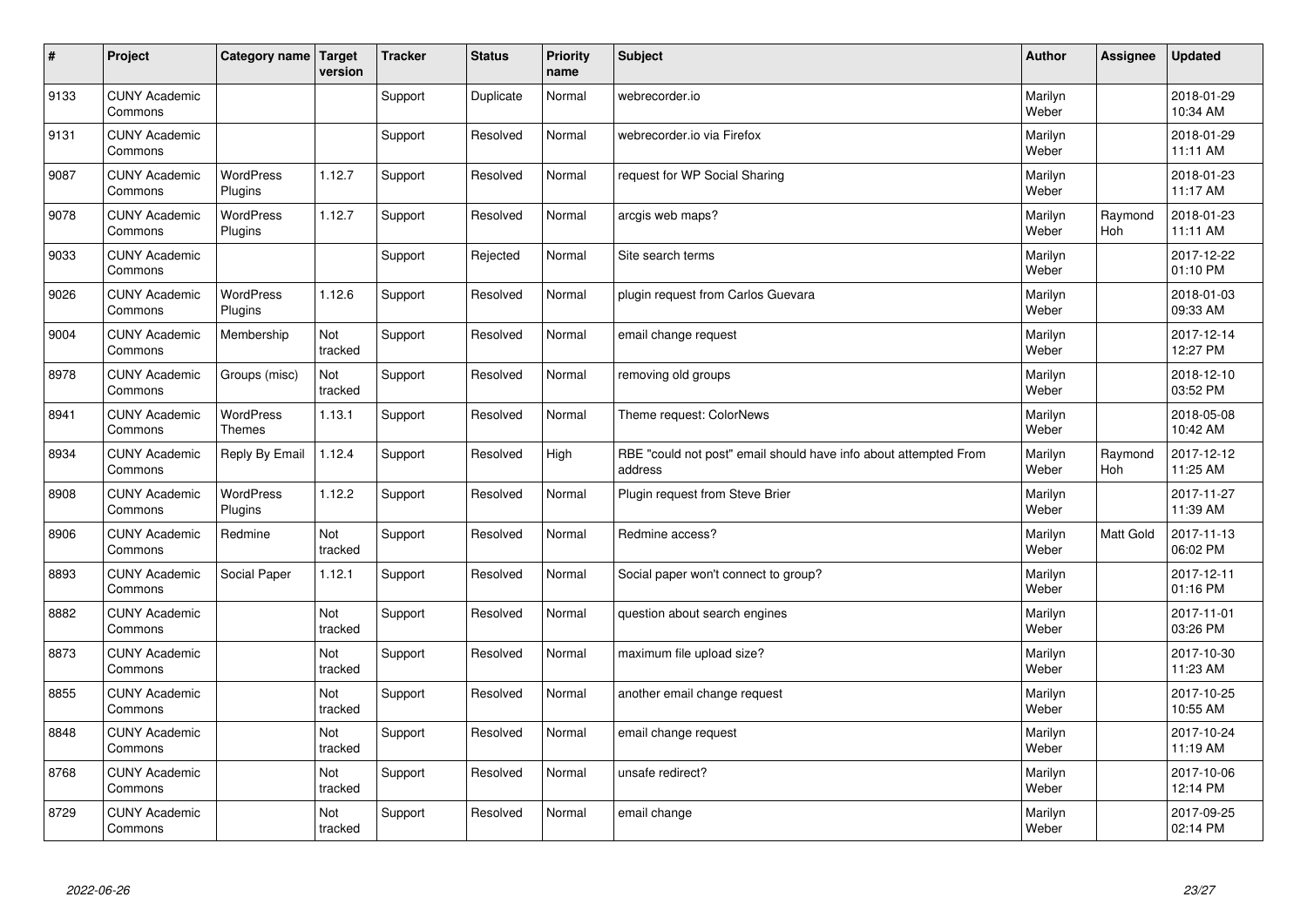| #    | Project                         | Category name   Target      | version        | <b>Tracker</b> | <b>Status</b> | <b>Priority</b><br>name | <b>Subject</b>                                                              | <b>Author</b>    | <b>Assignee</b>       | <b>Updated</b>         |
|------|---------------------------------|-----------------------------|----------------|----------------|---------------|-------------------------|-----------------------------------------------------------------------------|------------------|-----------------------|------------------------|
| 9133 | <b>CUNY Academic</b><br>Commons |                             |                | Support        | Duplicate     | Normal                  | webrecorder.io                                                              | Marilyn<br>Weber |                       | 2018-01-29<br>10:34 AM |
| 9131 | <b>CUNY Academic</b><br>Commons |                             |                | Support        | Resolved      | Normal                  | webrecorder.io via Firefox                                                  | Marilyn<br>Weber |                       | 2018-01-29<br>11:11 AM |
| 9087 | <b>CUNY Academic</b><br>Commons | <b>WordPress</b><br>Plugins | 1.12.7         | Support        | Resolved      | Normal                  | request for WP Social Sharing                                               | Marilyn<br>Weber |                       | 2018-01-23<br>11:17 AM |
| 9078 | <b>CUNY Academic</b><br>Commons | <b>WordPress</b><br>Plugins | 1.12.7         | Support        | Resolved      | Normal                  | arcgis web maps?                                                            | Marilyn<br>Weber | Raymond<br>Hoh        | 2018-01-23<br>11:11 AM |
| 9033 | <b>CUNY Academic</b><br>Commons |                             |                | Support        | Rejected      | Normal                  | Site search terms                                                           | Marilyn<br>Weber |                       | 2017-12-22<br>01:10 PM |
| 9026 | <b>CUNY Academic</b><br>Commons | WordPress<br>Plugins        | 1.12.6         | Support        | Resolved      | Normal                  | plugin request from Carlos Guevara                                          | Marilyn<br>Weber |                       | 2018-01-03<br>09:33 AM |
| 9004 | <b>CUNY Academic</b><br>Commons | Membership                  | Not<br>tracked | Support        | Resolved      | Normal                  | email change request                                                        | Marilyn<br>Weber |                       | 2017-12-14<br>12:27 PM |
| 8978 | <b>CUNY Academic</b><br>Commons | Groups (misc)               | Not<br>tracked | Support        | Resolved      | Normal                  | removing old groups                                                         | Marilyn<br>Weber |                       | 2018-12-10<br>03:52 PM |
| 8941 | <b>CUNY Academic</b><br>Commons | WordPress<br><b>Themes</b>  | 1.13.1         | Support        | Resolved      | Normal                  | Theme request: ColorNews                                                    | Marilyn<br>Weber |                       | 2018-05-08<br>10:42 AM |
| 8934 | <b>CUNY Academic</b><br>Commons | Reply By Email              | 1.12.4         | Support        | Resolved      | High                    | RBE "could not post" email should have info about attempted From<br>address | Marilyn<br>Weber | Raymond<br><b>Hoh</b> | 2017-12-12<br>11:25 AM |
| 8908 | <b>CUNY Academic</b><br>Commons | WordPress<br>Plugins        | 1.12.2         | Support        | Resolved      | Normal                  | Plugin request from Steve Brier                                             | Marilyn<br>Weber |                       | 2017-11-27<br>11:39 AM |
| 8906 | <b>CUNY Academic</b><br>Commons | Redmine                     | Not<br>tracked | Support        | Resolved      | Normal                  | Redmine access?                                                             | Marilyn<br>Weber | <b>Matt Gold</b>      | 2017-11-13<br>06:02 PM |
| 8893 | <b>CUNY Academic</b><br>Commons | Social Paper                | 1.12.1         | Support        | Resolved      | Normal                  | Social paper won't connect to group?                                        | Marilyn<br>Weber |                       | 2017-12-11<br>01:16 PM |
| 8882 | <b>CUNY Academic</b><br>Commons |                             | Not<br>tracked | Support        | Resolved      | Normal                  | question about search engines                                               | Marilyn<br>Weber |                       | 2017-11-01<br>03:26 PM |
| 8873 | <b>CUNY Academic</b><br>Commons |                             | Not<br>tracked | Support        | Resolved      | Normal                  | maximum file upload size?                                                   | Marilyn<br>Weber |                       | 2017-10-30<br>11:23 AM |
| 8855 | <b>CUNY Academic</b><br>Commons |                             | Not<br>tracked | Support        | Resolved      | Normal                  | another email change request                                                | Marilyn<br>Weber |                       | 2017-10-25<br>10:55 AM |
| 8848 | <b>CUNY Academic</b><br>Commons |                             | Not<br>tracked | Support        | Resolved      | Normal                  | email change request                                                        | Marilyn<br>Weber |                       | 2017-10-24<br>11:19 AM |
| 8768 | <b>CUNY Academic</b><br>Commons |                             | Not<br>tracked | Support        | Resolved      | Normal                  | unsafe redirect?                                                            | Marilyn<br>Weber |                       | 2017-10-06<br>12:14 PM |
| 8729 | <b>CUNY Academic</b><br>Commons |                             | Not<br>tracked | Support        | Resolved      | Normal                  | email change                                                                | Marilyn<br>Weber |                       | 2017-09-25<br>02:14 PM |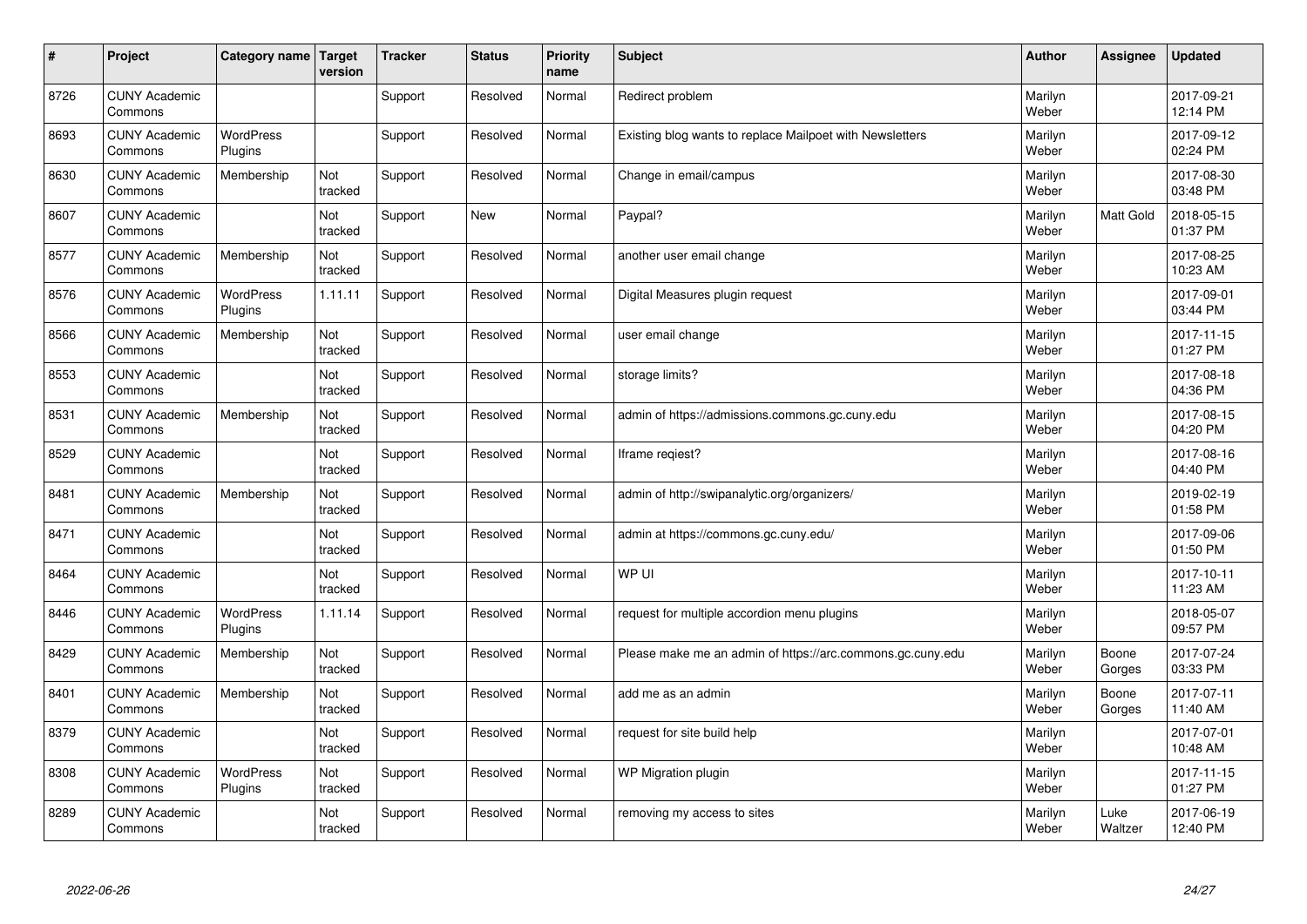| #    | Project                         | Category name   Target      | version        | <b>Tracker</b> | <b>Status</b> | <b>Priority</b><br>name | <b>Subject</b>                                             | <b>Author</b>    | Assignee        | <b>Updated</b>         |
|------|---------------------------------|-----------------------------|----------------|----------------|---------------|-------------------------|------------------------------------------------------------|------------------|-----------------|------------------------|
| 8726 | <b>CUNY Academic</b><br>Commons |                             |                | Support        | Resolved      | Normal                  | Redirect problem                                           | Marilyn<br>Weber |                 | 2017-09-21<br>12:14 PM |
| 8693 | <b>CUNY Academic</b><br>Commons | <b>WordPress</b><br>Plugins |                | Support        | Resolved      | Normal                  | Existing blog wants to replace Mailpoet with Newsletters   | Marilyn<br>Weber |                 | 2017-09-12<br>02:24 PM |
| 8630 | <b>CUNY Academic</b><br>Commons | Membership                  | Not<br>tracked | Support        | Resolved      | Normal                  | Change in email/campus                                     | Marilyn<br>Weber |                 | 2017-08-30<br>03:48 PM |
| 8607 | <b>CUNY Academic</b><br>Commons |                             | Not<br>tracked | Support        | <b>New</b>    | Normal                  | Paypal?                                                    | Marilyn<br>Weber | Matt Gold       | 2018-05-15<br>01:37 PM |
| 8577 | <b>CUNY Academic</b><br>Commons | Membership                  | Not<br>tracked | Support        | Resolved      | Normal                  | another user email change                                  | Marilyn<br>Weber |                 | 2017-08-25<br>10:23 AM |
| 8576 | <b>CUNY Academic</b><br>Commons | <b>WordPress</b><br>Plugins | 1.11.11        | Support        | Resolved      | Normal                  | Digital Measures plugin request                            | Marilyn<br>Weber |                 | 2017-09-01<br>03:44 PM |
| 8566 | <b>CUNY Academic</b><br>Commons | Membership                  | Not<br>tracked | Support        | Resolved      | Normal                  | user email change                                          | Marilyn<br>Weber |                 | 2017-11-15<br>01:27 PM |
| 8553 | <b>CUNY Academic</b><br>Commons |                             | Not<br>tracked | Support        | Resolved      | Normal                  | storage limits?                                            | Marilyn<br>Weber |                 | 2017-08-18<br>04:36 PM |
| 8531 | <b>CUNY Academic</b><br>Commons | Membership                  | Not<br>tracked | Support        | Resolved      | Normal                  | admin of https://admissions.commons.gc.cuny.edu            | Marilyn<br>Weber |                 | 2017-08-15<br>04:20 PM |
| 8529 | <b>CUNY Academic</b><br>Commons |                             | Not<br>tracked | Support        | Resolved      | Normal                  | Iframe regiest?                                            | Marilyn<br>Weber |                 | 2017-08-16<br>04:40 PM |
| 8481 | <b>CUNY Academic</b><br>Commons | Membership                  | Not<br>tracked | Support        | Resolved      | Normal                  | admin of http://swipanalytic.org/organizers/               | Marilyn<br>Weber |                 | 2019-02-19<br>01:58 PM |
| 8471 | <b>CUNY Academic</b><br>Commons |                             | Not<br>tracked | Support        | Resolved      | Normal                  | admin at https://commons.gc.cuny.edu/                      | Marilyn<br>Weber |                 | 2017-09-06<br>01:50 PM |
| 8464 | <b>CUNY Academic</b><br>Commons |                             | Not<br>tracked | Support        | Resolved      | Normal                  | WP UI                                                      | Marilyn<br>Weber |                 | 2017-10-11<br>11:23 AM |
| 8446 | <b>CUNY Academic</b><br>Commons | <b>WordPress</b><br>Plugins | 1.11.14        | Support        | Resolved      | Normal                  | request for multiple accordion menu plugins                | Marilyn<br>Weber |                 | 2018-05-07<br>09:57 PM |
| 8429 | <b>CUNY Academic</b><br>Commons | Membership                  | Not<br>tracked | Support        | Resolved      | Normal                  | Please make me an admin of https://arc.commons.gc.cuny.edu | Marilyn<br>Weber | Boone<br>Gorges | 2017-07-24<br>03:33 PM |
| 8401 | <b>CUNY Academic</b><br>Commons | Membership                  | Not<br>tracked | Support        | Resolved      | Normal                  | add me as an admin                                         | Marilyn<br>Weber | Boone<br>Gorges | 2017-07-11<br>11:40 AM |
| 8379 | <b>CUNY Academic</b><br>Commons |                             | Not<br>tracked | Support        | Resolved      | Normal                  | request for site build help                                | Marilyn<br>Weber |                 | 2017-07-01<br>10:48 AM |
| 8308 | <b>CUNY Academic</b><br>Commons | <b>WordPress</b><br>Plugins | Not<br>tracked | Support        | Resolved      | Normal                  | WP Migration plugin                                        | Marilyn<br>Weber |                 | 2017-11-15<br>01:27 PM |
| 8289 | <b>CUNY Academic</b><br>Commons |                             | Not<br>tracked | Support        | Resolved      | Normal                  | removing my access to sites                                | Marilyn<br>Weber | Luke<br>Waltzer | 2017-06-19<br>12:40 PM |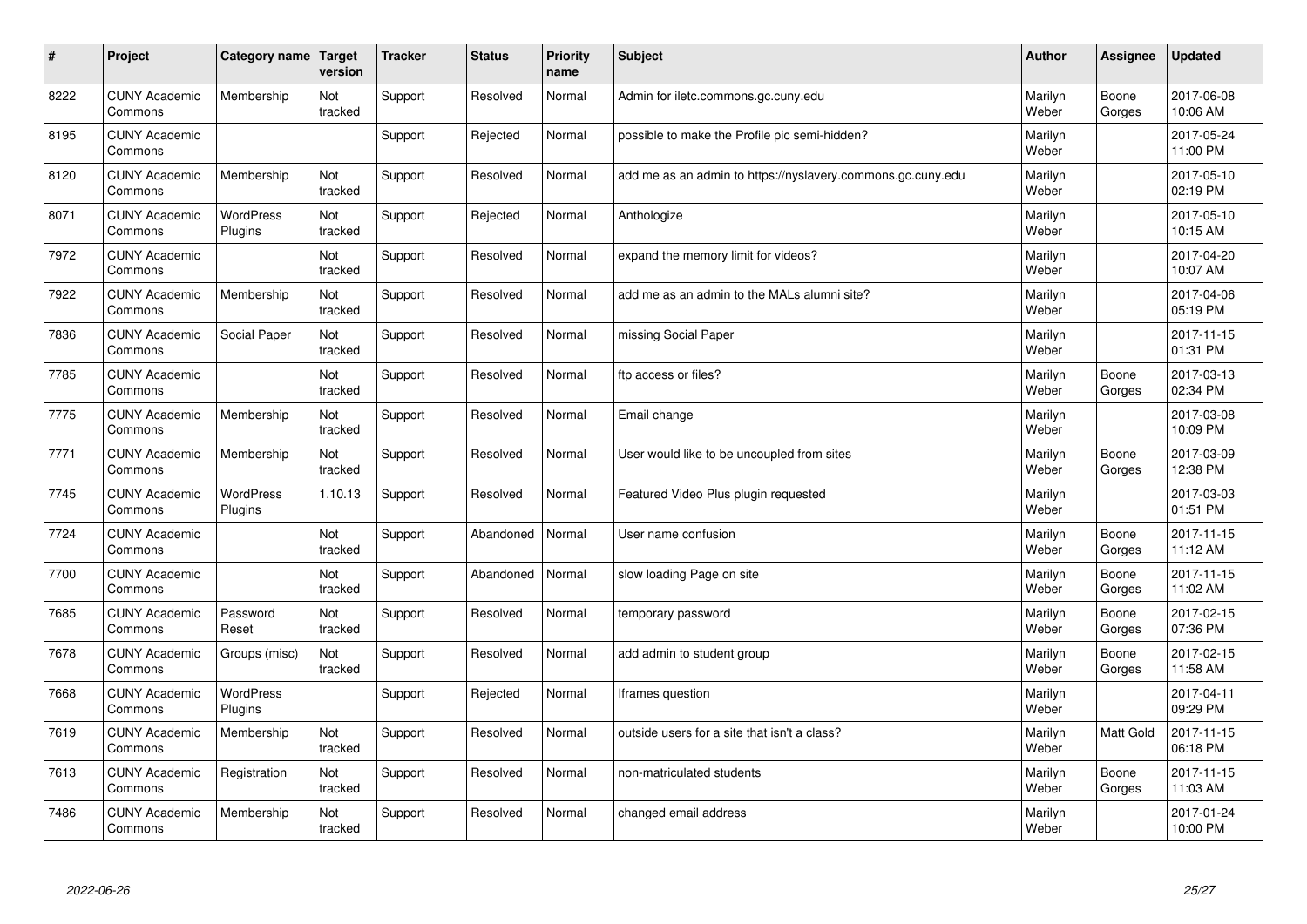| $\#$ | Project                         | Category name   Target      | version        | <b>Tracker</b> | <b>Status</b> | Priority<br>name | <b>Subject</b>                                              | <b>Author</b>    | <b>Assignee</b>  | <b>Updated</b>         |
|------|---------------------------------|-----------------------------|----------------|----------------|---------------|------------------|-------------------------------------------------------------|------------------|------------------|------------------------|
| 8222 | <b>CUNY Academic</b><br>Commons | Membership                  | Not<br>tracked | Support        | Resolved      | Normal           | Admin for iletc.commons.gc.cuny.edu                         | Marilyn<br>Weber | Boone<br>Gorges  | 2017-06-08<br>10:06 AM |
| 8195 | <b>CUNY Academic</b><br>Commons |                             |                | Support        | Rejected      | Normal           | possible to make the Profile pic semi-hidden?               | Marilyn<br>Weber |                  | 2017-05-24<br>11:00 PM |
| 8120 | <b>CUNY Academic</b><br>Commons | Membership                  | Not<br>tracked | Support        | Resolved      | Normal           | add me as an admin to https://nyslavery.commons.gc.cuny.edu | Marilyn<br>Weber |                  | 2017-05-10<br>02:19 PM |
| 8071 | <b>CUNY Academic</b><br>Commons | WordPress<br>Plugins        | Not<br>tracked | Support        | Rejected      | Normal           | Anthologize                                                 | Marilyn<br>Weber |                  | 2017-05-10<br>10:15 AM |
| 7972 | <b>CUNY Academic</b><br>Commons |                             | Not<br>tracked | Support        | Resolved      | Normal           | expand the memory limit for videos?                         | Marilyn<br>Weber |                  | 2017-04-20<br>10:07 AM |
| 7922 | <b>CUNY Academic</b><br>Commons | Membership                  | Not<br>tracked | Support        | Resolved      | Normal           | add me as an admin to the MALs alumni site?                 | Marilyn<br>Weber |                  | 2017-04-06<br>05:19 PM |
| 7836 | <b>CUNY Academic</b><br>Commons | Social Paper                | Not<br>tracked | Support        | Resolved      | Normal           | missing Social Paper                                        | Marilyn<br>Weber |                  | 2017-11-15<br>01:31 PM |
| 7785 | <b>CUNY Academic</b><br>Commons |                             | Not<br>tracked | Support        | Resolved      | Normal           | ftp access or files?                                        | Marilyn<br>Weber | Boone<br>Gorges  | 2017-03-13<br>02:34 PM |
| 7775 | <b>CUNY Academic</b><br>Commons | Membership                  | Not<br>tracked | Support        | Resolved      | Normal           | Email change                                                | Marilyn<br>Weber |                  | 2017-03-08<br>10:09 PM |
| 7771 | <b>CUNY Academic</b><br>Commons | Membership                  | Not<br>tracked | Support        | Resolved      | Normal           | User would like to be uncoupled from sites                  | Marilyn<br>Weber | Boone<br>Gorges  | 2017-03-09<br>12:38 PM |
| 7745 | <b>CUNY Academic</b><br>Commons | <b>WordPress</b><br>Plugins | 1.10.13        | Support        | Resolved      | Normal           | Featured Video Plus plugin requested                        | Marilyn<br>Weber |                  | 2017-03-03<br>01:51 PM |
| 7724 | <b>CUNY Academic</b><br>Commons |                             | Not<br>tracked | Support        | Abandoned     | Normal           | User name confusion                                         | Marilyn<br>Weber | Boone<br>Gorges  | 2017-11-15<br>11:12 AM |
| 7700 | <b>CUNY Academic</b><br>Commons |                             | Not<br>tracked | Support        | Abandoned     | Normal           | slow loading Page on site                                   | Marilyn<br>Weber | Boone<br>Gorges  | 2017-11-15<br>11:02 AM |
| 7685 | <b>CUNY Academic</b><br>Commons | Password<br>Reset           | Not<br>tracked | Support        | Resolved      | Normal           | temporary password                                          | Marilyn<br>Weber | Boone<br>Gorges  | 2017-02-15<br>07:36 PM |
| 7678 | <b>CUNY Academic</b><br>Commons | Groups (misc)               | Not<br>tracked | Support        | Resolved      | Normal           | add admin to student group                                  | Marilyn<br>Weber | Boone<br>Gorges  | 2017-02-15<br>11:58 AM |
| 7668 | <b>CUNY Academic</b><br>Commons | WordPress<br>Plugins        |                | Support        | Rejected      | Normal           | Iframes question                                            | Marilyn<br>Weber |                  | 2017-04-11<br>09:29 PM |
| 7619 | <b>CUNY Academic</b><br>Commons | Membership                  | Not<br>tracked | Support        | Resolved      | Normal           | outside users for a site that isn't a class?                | Marilyn<br>Weber | <b>Matt Gold</b> | 2017-11-15<br>06:18 PM |
| 7613 | <b>CUNY Academic</b><br>Commons | Registration                | Not<br>tracked | Support        | Resolved      | Normal           | non-matriculated students                                   | Marilyn<br>Weber | Boone<br>Gorges  | 2017-11-15<br>11:03 AM |
| 7486 | <b>CUNY Academic</b><br>Commons | Membership                  | Not<br>tracked | Support        | Resolved      | Normal           | changed email address                                       | Marilyn<br>Weber |                  | 2017-01-24<br>10:00 PM |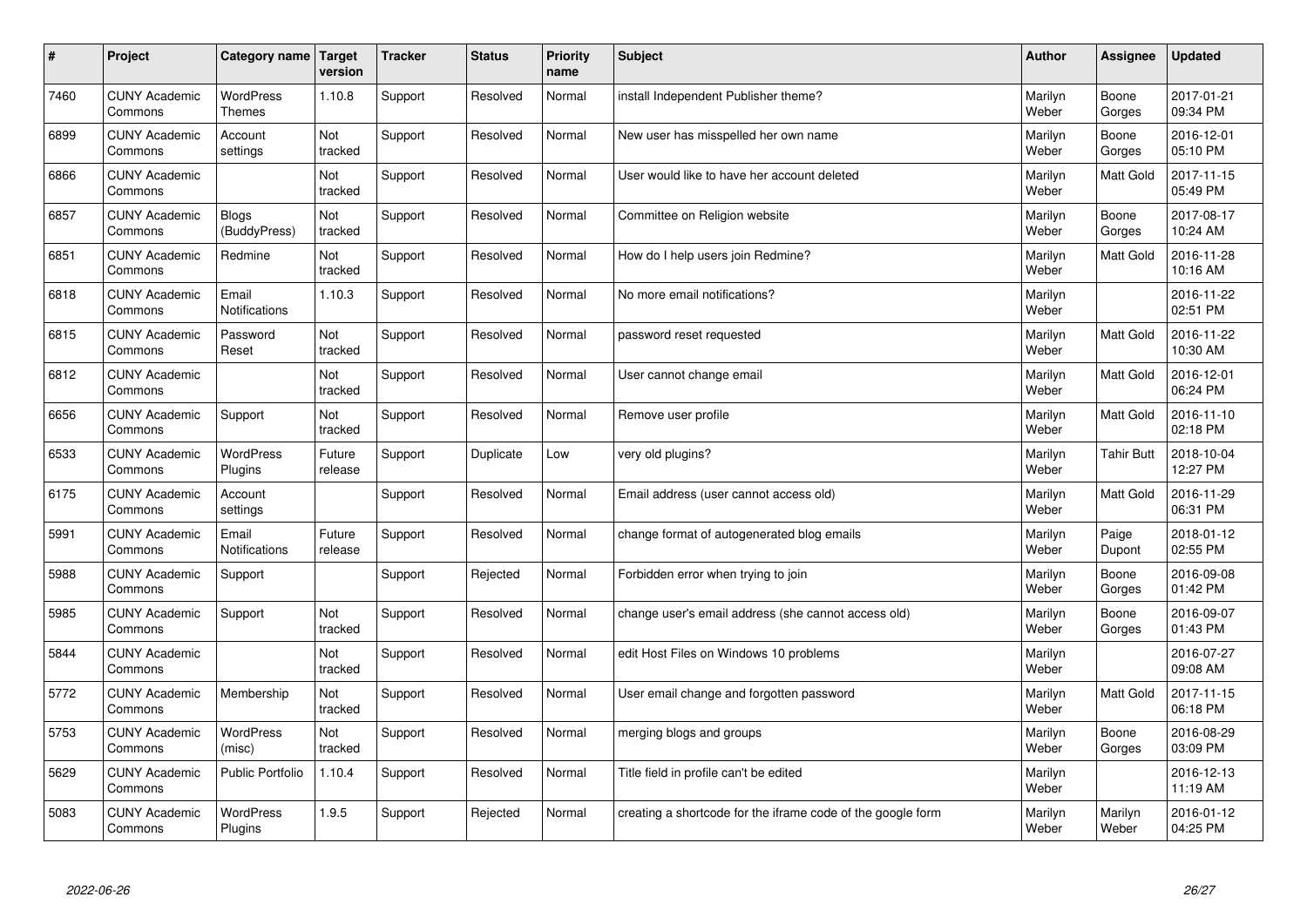| #    | Project                         | Category name                     | <b>Target</b><br>version | <b>Tracker</b> | <b>Status</b> | <b>Priority</b><br>name | <b>Subject</b>                                              | <b>Author</b>    | Assignee          | <b>Updated</b>         |
|------|---------------------------------|-----------------------------------|--------------------------|----------------|---------------|-------------------------|-------------------------------------------------------------|------------------|-------------------|------------------------|
| 7460 | <b>CUNY Academic</b><br>Commons | <b>WordPress</b><br><b>Themes</b> | 1.10.8                   | Support        | Resolved      | Normal                  | install Independent Publisher theme?                        | Marilyn<br>Weber | Boone<br>Gorges   | 2017-01-21<br>09:34 PM |
| 6899 | <b>CUNY Academic</b><br>Commons | Account<br>settings               | Not<br>tracked           | Support        | Resolved      | Normal                  | New user has misspelled her own name                        | Marilyn<br>Weber | Boone<br>Gorges   | 2016-12-01<br>05:10 PM |
| 6866 | <b>CUNY Academic</b><br>Commons |                                   | Not<br>tracked           | Support        | Resolved      | Normal                  | User would like to have her account deleted                 | Marilyn<br>Weber | Matt Gold         | 2017-11-15<br>05:49 PM |
| 6857 | <b>CUNY Academic</b><br>Commons | <b>Blogs</b><br>(BuddyPress)      | Not<br>tracked           | Support        | Resolved      | Normal                  | Committee on Religion website                               | Marilyn<br>Weber | Boone<br>Gorges   | 2017-08-17<br>10:24 AM |
| 6851 | <b>CUNY Academic</b><br>Commons | Redmine                           | <b>Not</b><br>tracked    | Support        | Resolved      | Normal                  | How do I help users join Redmine?                           | Marilyn<br>Weber | <b>Matt Gold</b>  | 2016-11-28<br>10:16 AM |
| 6818 | <b>CUNY Academic</b><br>Commons | Email<br>Notifications            | 1.10.3                   | Support        | Resolved      | Normal                  | No more email notifications?                                | Marilyn<br>Weber |                   | 2016-11-22<br>02:51 PM |
| 6815 | <b>CUNY Academic</b><br>Commons | Password<br>Reset                 | Not<br>tracked           | Support        | Resolved      | Normal                  | password reset requested                                    | Marilyn<br>Weber | Matt Gold         | 2016-11-22<br>10:30 AM |
| 6812 | <b>CUNY Academic</b><br>Commons |                                   | Not<br>tracked           | Support        | Resolved      | Normal                  | User cannot change email                                    | Marilyn<br>Weber | Matt Gold         | 2016-12-01<br>06:24 PM |
| 6656 | <b>CUNY Academic</b><br>Commons | Support                           | Not<br>tracked           | Support        | Resolved      | Normal                  | Remove user profile                                         | Marilyn<br>Weber | <b>Matt Gold</b>  | 2016-11-10<br>02:18 PM |
| 6533 | <b>CUNY Academic</b><br>Commons | <b>WordPress</b><br>Plugins       | Future<br>release        | Support        | Duplicate     | Low                     | very old plugins?                                           | Marilyn<br>Weber | <b>Tahir Butt</b> | 2018-10-04<br>12:27 PM |
| 6175 | <b>CUNY Academic</b><br>Commons | Account<br>settings               |                          | Support        | Resolved      | Normal                  | Email address (user cannot access old)                      | Marilyn<br>Weber | Matt Gold         | 2016-11-29<br>06:31 PM |
| 5991 | <b>CUNY Academic</b><br>Commons | Email<br>Notifications            | Future<br>release        | Support        | Resolved      | Normal                  | change format of autogenerated blog emails                  | Marilyn<br>Weber | Paige<br>Dupont   | 2018-01-12<br>02:55 PM |
| 5988 | <b>CUNY Academic</b><br>Commons | Support                           |                          | Support        | Rejected      | Normal                  | Forbidden error when trying to join                         | Marilyn<br>Weber | Boone<br>Gorges   | 2016-09-08<br>01:42 PM |
| 5985 | <b>CUNY Academic</b><br>Commons | Support                           | Not<br>tracked           | Support        | Resolved      | Normal                  | change user's email address (she cannot access old)         | Marilyn<br>Weber | Boone<br>Gorges   | 2016-09-07<br>01:43 PM |
| 5844 | <b>CUNY Academic</b><br>Commons |                                   | Not<br>tracked           | Support        | Resolved      | Normal                  | edit Host Files on Windows 10 problems                      | Marilyn<br>Weber |                   | 2016-07-27<br>09:08 AM |
| 5772 | <b>CUNY Academic</b><br>Commons | Membership                        | Not<br>tracked           | Support        | Resolved      | Normal                  | User email change and forgotten password                    | Marilyn<br>Weber | Matt Gold         | 2017-11-15<br>06:18 PM |
| 5753 | <b>CUNY Academic</b><br>Commons | WordPress<br>(misc)               | Not<br>tracked           | Support        | Resolved      | Normal                  | merging blogs and groups                                    | Marilyn<br>Weber | Boone<br>Gorges   | 2016-08-29<br>03:09 PM |
| 5629 | <b>CUNY Academic</b><br>Commons | <b>Public Portfolio</b>           | 1.10.4                   | Support        | Resolved      | Normal                  | Title field in profile can't be edited                      | Marilyn<br>Weber |                   | 2016-12-13<br>11:19 AM |
| 5083 | <b>CUNY Academic</b><br>Commons | <b>WordPress</b><br>Plugins       | 1.9.5                    | Support        | Rejected      | Normal                  | creating a shortcode for the iframe code of the google form | Marilyn<br>Weber | Marilyn<br>Weber  | 2016-01-12<br>04:25 PM |